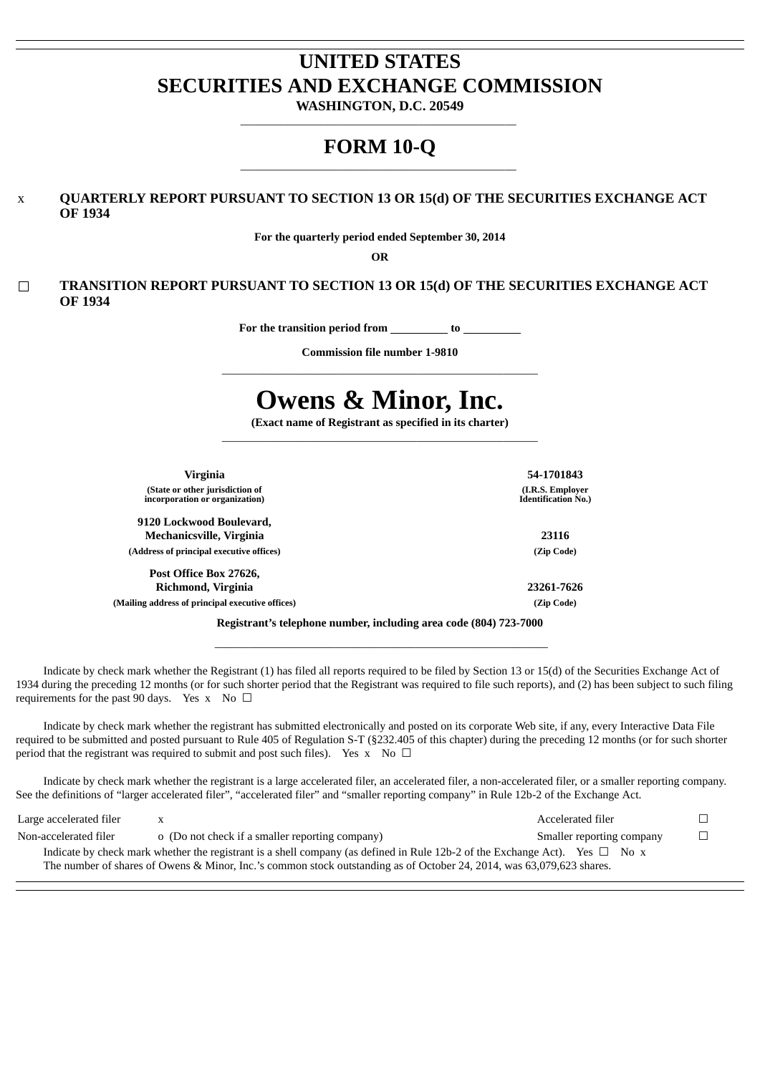# **UNITED STATES SECURITIES AND EXCHANGE COMMISSION**

**WASHINGTON, D.C. 20549** \_\_\_\_\_\_\_\_\_\_\_\_\_\_\_\_\_\_\_\_\_\_\_\_\_\_\_\_\_\_\_\_\_\_\_\_\_\_\_\_\_\_\_\_\_\_\_\_

# **FORM 10-Q** \_\_\_\_\_\_\_\_\_\_\_\_\_\_\_\_\_\_\_\_\_\_\_\_\_\_\_\_\_\_\_\_\_\_\_\_\_\_\_\_\_\_\_\_\_\_\_\_

x **QUARTERLY REPORT PURSUANT TO SECTION 13 OR 15(d) OF THE SECURITIES EXCHANGE ACT OF 1934**

**For the quarterly period ended September 30, 2014**

**OR**

☐ **TRANSITION REPORT PURSUANT TO SECTION 13 OR 15(d) OF THE SECURITIES EXCHANGE ACT OF 1934**

**For the transition period from to**

**Commission file number 1-9810** \_\_\_\_\_\_\_\_\_\_\_\_\_\_\_\_\_\_\_\_\_\_\_\_\_\_\_\_\_\_\_\_\_\_\_\_\_\_\_\_\_\_\_\_\_\_\_\_\_\_\_\_\_\_\_

# **Owens & Minor, Inc.**

**(Exact name of Registrant as specified in its charter)** \_\_\_\_\_\_\_\_\_\_\_\_\_\_\_\_\_\_\_\_\_\_\_\_\_\_\_\_\_\_\_\_\_\_\_\_\_\_\_\_\_\_\_\_\_\_\_\_\_\_\_\_\_\_\_

| Virginia                                                          | 54-1701843                                      |
|-------------------------------------------------------------------|-------------------------------------------------|
| (State or other jurisdiction of<br>incorporation or organization) | (I.R.S. Employer)<br><b>Identification No.)</b> |
| 9120 Lockwood Boulevard,                                          |                                                 |
| Mechanicsville, Virginia                                          | 23116                                           |
| (Address of principal executive offices)                          | (Zip Code)                                      |
| Post Office Box 27626,                                            |                                                 |
| Richmond, Virginia                                                | 23261-7626                                      |
| (Mailing address of principal executive offices)                  | (Zip Code)                                      |
|                                                                   |                                                 |

**Registrant's telephone number, including area code (804) 723-7000** \_\_\_\_\_\_\_\_\_\_\_\_\_\_\_\_\_\_\_\_\_\_\_\_\_\_\_\_\_\_\_\_\_\_\_\_\_\_\_\_\_\_\_\_\_\_\_\_\_\_\_\_\_\_\_\_\_\_

Indicate by check mark whether the Registrant (1) has filed all reports required to be filed by Section 13 or 15(d) of the Securities Exchange Act of 1934 during the preceding 12 months (or for such shorter period that the Registrant was required to file such reports), and (2) has been subject to such filing requirements for the past 90 days. Yes  $x \to 0$ 

Indicate by check mark whether the registrant has submitted electronically and posted on its corporate Web site, if any, every Interactive Data File required to be submitted and posted pursuant to Rule 405 of Regulation S-T (§232.405 of this chapter) during the preceding 12 months (or for such shorter period that the registrant was required to submit and post such files). Yes  $x \to 0$ 

Indicate by check mark whether the registrant is a large accelerated filer, an accelerated filer, a non-accelerated filer, or a smaller reporting company. See the definitions of "larger accelerated filer", "accelerated filer" and "smaller reporting company" in Rule 12b-2 of the Exchange Act.

<span id="page-0-0"></span>

| Large accelerated filer |                                                                                                                                                                                                                                                           | Accelerated filer         |  |
|-------------------------|-----------------------------------------------------------------------------------------------------------------------------------------------------------------------------------------------------------------------------------------------------------|---------------------------|--|
| Non-accelerated filer   | o (Do not check if a smaller reporting company)                                                                                                                                                                                                           | Smaller reporting company |  |
|                         | Indicate by check mark whether the registrant is a shell company (as defined in Rule 12b-2 of the Exchange Act). Yes $\Box$ No x<br>The number of shares of Owens & Minor, Inc.'s common stock outstanding as of October 24, 2014, was 63,079,623 shares. |                           |  |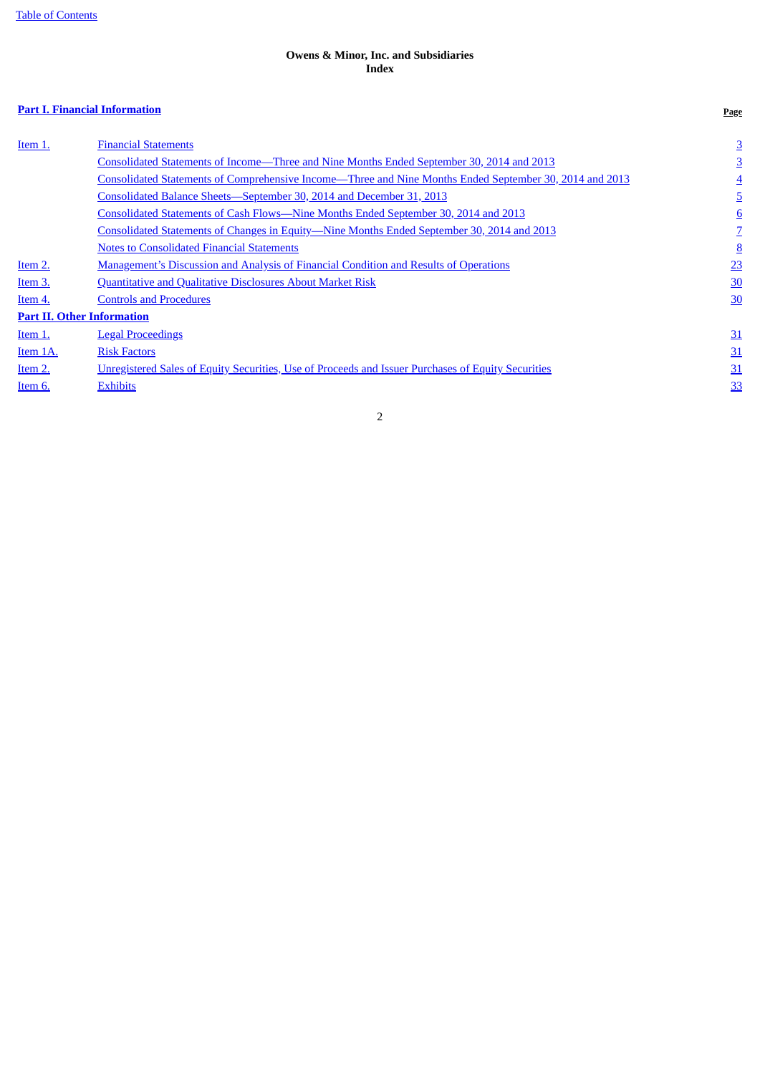# **Owens & Minor, Inc. and Subsidiaries Index**

# **Part I. Financial [Information](#page-1-0) Page**

<span id="page-1-0"></span>

| Item 1.        | <b>Financial Statements</b>                                                                               | $\overline{3}$  |
|----------------|-----------------------------------------------------------------------------------------------------------|-----------------|
|                | <u>Consolidated Statements of Income—Three and Nine Months Ended September 30, 2014 and 2013</u>          |                 |
|                | Consolidated Statements of Comprehensive Income—Three and Nine Months Ended September 30, 2014 and 2013   |                 |
|                | Consolidated Balance Sheets-September 30, 2014 and December 31, 2013                                      |                 |
|                | <u>Consolidated Statements of Cash Flows—Nine Months Ended September 30, 2014 and 2013</u>                | $6\phantom{1}6$ |
|                | <u>Consolidated Statements of Changes in Equity—Nine Months Ended September 30, 2014 and 2013</u>         |                 |
|                | <b>Notes to Consolidated Financial Statements</b>                                                         | 8               |
| Item 2.        | Management's Discussion and Analysis of Financial Condition and Results of Operations                     | 23              |
| Item 3.        | Quantitative and Qualitative Disclosures About Market Risk                                                | <u>30</u>       |
| Item 4.        | <b>Controls and Procedures</b>                                                                            | <u>30</u>       |
|                | <b>Part II. Other Information</b>                                                                         |                 |
| <b>Item 1.</b> | <b>Legal Proceedings</b>                                                                                  | 31              |
| Item 1A.       | <b>Risk Factors</b>                                                                                       | 31              |
| Item 2.        | <b>Unregistered Sales of Equity Securities, Use of Proceeds and Issuer Purchases of Equity Securities</b> | 31              |
| Item 6.        | <b>Exhibits</b>                                                                                           | 33              |
|                |                                                                                                           |                 |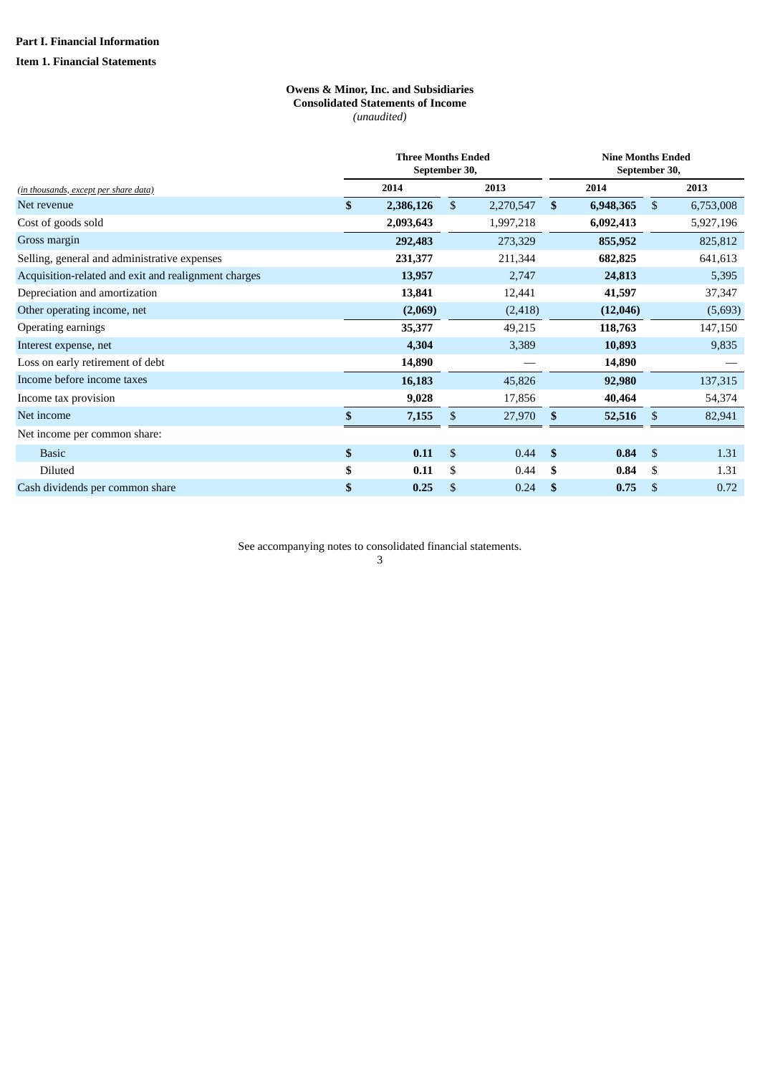<span id="page-2-1"></span><span id="page-2-0"></span>**Item 1. Financial Statements**

## **Owens & Minor, Inc. and Subsidiaries Consolidated Statements of Income** *(unaudited)*

|                                                      | <b>Three Months Ended</b><br>September 30, |                | <b>Nine Months Ended</b><br>September 30, |               |           |                |           |
|------------------------------------------------------|--------------------------------------------|----------------|-------------------------------------------|---------------|-----------|----------------|-----------|
| (in thousands, except per share data)                | 2014                                       |                | 2013                                      |               | 2014      | 2013           |           |
| Net revenue                                          | \$<br>2,386,126                            | $\mathbb{S}$   | 2,270,547                                 | \$.           | 6,948,365 | $\mathfrak{S}$ | 6,753,008 |
| Cost of goods sold                                   | 2,093,643                                  |                | 1,997,218                                 |               | 6,092,413 |                | 5,927,196 |
| Gross margin                                         | 292,483                                    |                | 273,329                                   |               | 855,952   |                | 825,812   |
| Selling, general and administrative expenses         | 231,377                                    |                | 211,344                                   |               | 682,825   |                | 641,613   |
| Acquisition-related and exit and realignment charges | 13,957                                     |                | 2,747                                     |               | 24,813    |                | 5,395     |
| Depreciation and amortization                        | 13,841                                     |                | 12,441                                    |               | 41,597    |                | 37,347    |
| Other operating income, net                          | (2,069)                                    |                | (2, 418)                                  |               | (12,046)  |                | (5,693)   |
| <b>Operating earnings</b>                            | 35,377                                     |                | 49,215                                    |               | 118,763   |                | 147,150   |
| Interest expense, net                                | 4,304                                      |                | 3,389                                     |               | 10,893    |                | 9,835     |
| Loss on early retirement of debt                     | 14,890                                     |                |                                           |               | 14,890    |                |           |
| Income before income taxes                           | 16,183                                     |                | 45,826                                    |               | 92,980    |                | 137,315   |
| Income tax provision                                 | 9,028                                      |                | 17,856                                    |               | 40,464    |                | 54,374    |
| Net income                                           | \$<br>7,155                                | \$             | 27,970                                    | \$            | 52,516    | \$             | 82,941    |
| Net income per common share:                         |                                            |                |                                           |               |           |                |           |
| <b>Basic</b>                                         | \$<br>0.11                                 | $\mathfrak{S}$ | 0.44                                      | <sup>\$</sup> | 0.84      | \$             | 1.31      |
| Diluted                                              | \$<br>0.11                                 | \$             | 0.44                                      | \$            | 0.84      | \$             | 1.31      |
| Cash dividends per common share                      | \$<br>0.25                                 | \$             | 0.24                                      | \$            | 0.75      | $\mathbb{S}$   | 0.72      |

<span id="page-2-2"></span>See accompanying notes to consolidated financial statements.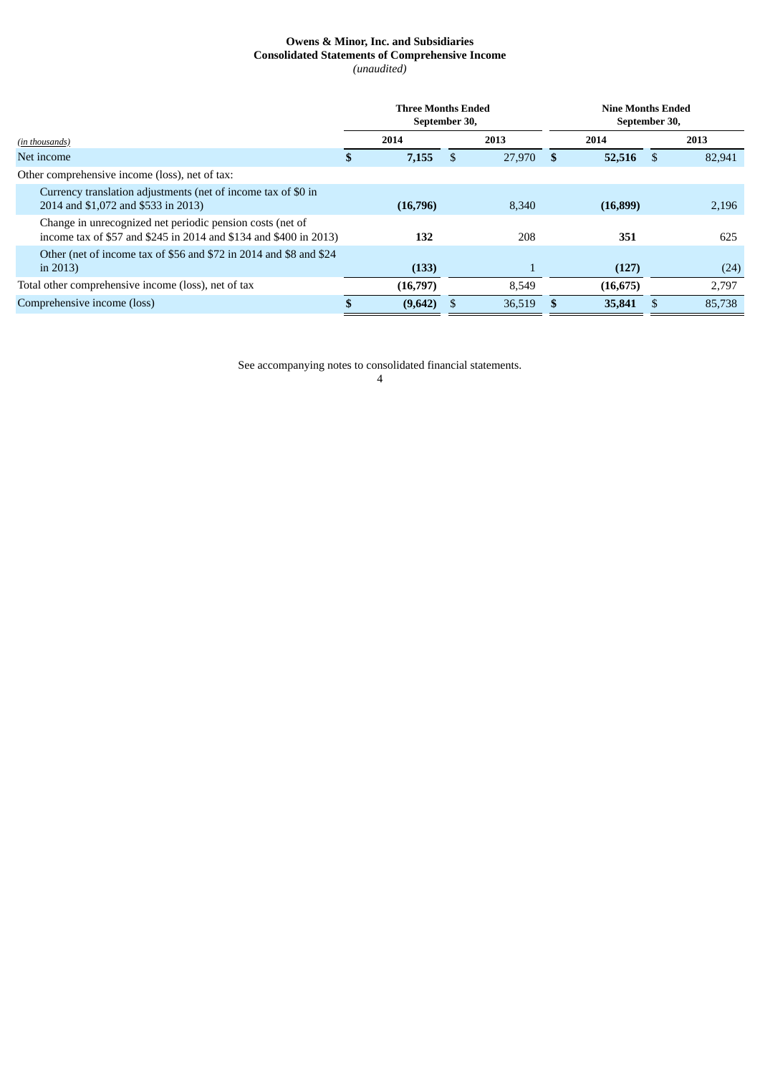# **Owens & Minor, Inc. and Subsidiaries Consolidated Statements of Comprehensive Income** *(unaudited)*

|                                                                                                                                |                   | <b>Three Months Ended</b><br>September 30, | <b>Nine Months Ended</b> | September 30, |
|--------------------------------------------------------------------------------------------------------------------------------|-------------------|--------------------------------------------|--------------------------|---------------|
| (in thousands)                                                                                                                 | 2014              | 2013                                       | 2014                     | 2013          |
| Net income                                                                                                                     | 7,155<br><b>S</b> | 27.970<br>-S                               | 52,516<br>-S             | 82,941<br>-S  |
| Other comprehensive income (loss), net of tax:                                                                                 |                   |                                            |                          |               |
| Currency translation adjustments (net of income tax of \$0 in<br>2014 and \$1,072 and \$533 in 2013)                           | (16,796)          | 8,340                                      | (16, 899)                | 2,196         |
| Change in unrecognized net periodic pension costs (net of<br>income tax of \$57 and \$245 in 2014 and \$134 and \$400 in 2013) | 132               | 208                                        | 351                      | 625           |
| Other (net of income tax of \$56 and \$72 in 2014 and \$8 and \$24<br>in $2013$ )                                              | (133)             |                                            | (127)                    | (24)          |
| Total other comprehensive income (loss), net of tax                                                                            | (16,797)          | 8,549                                      | (16, 675)                | 2,797         |
| Comprehensive income (loss)                                                                                                    | (9,642)           | 36,519                                     | 35,841                   | 85,738        |

<span id="page-3-0"></span>See accompanying notes to consolidated financial statements.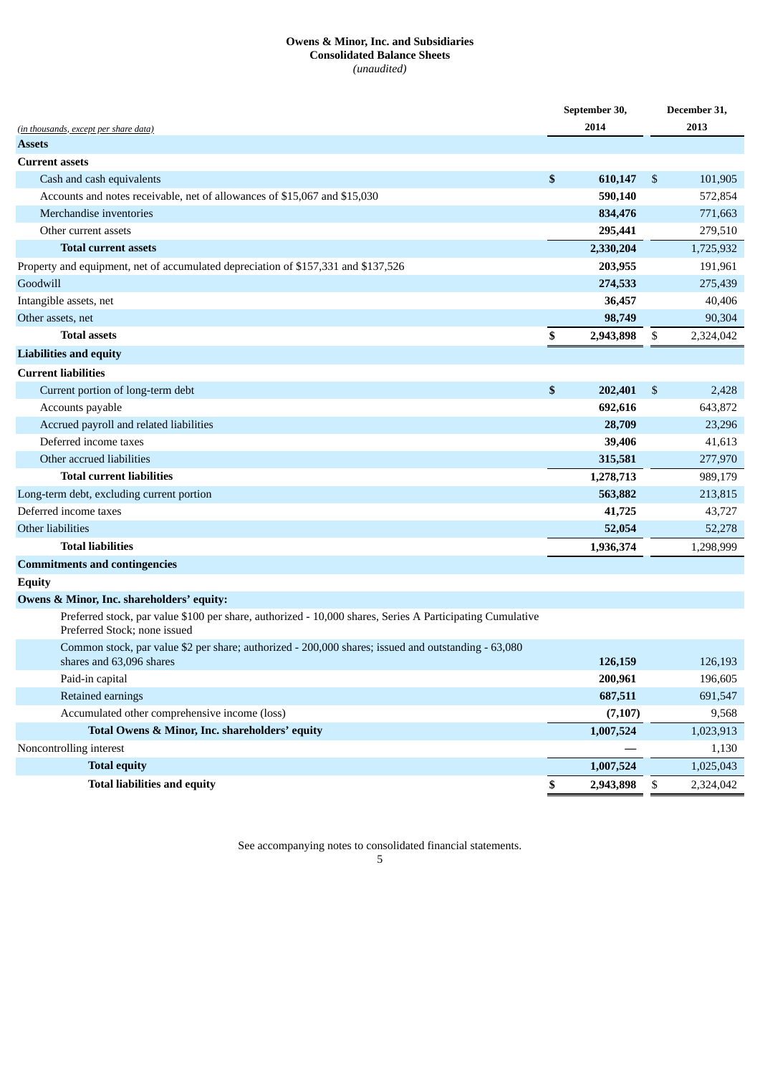# **Owens & Minor, Inc. and Subsidiaries Consolidated Balance Sheets** *(unaudited)*

|                                                                                                                                           | September 30,<br>2014 |           |              | December 31, |
|-------------------------------------------------------------------------------------------------------------------------------------------|-----------------------|-----------|--------------|--------------|
| (in thousands, except per share data)                                                                                                     |                       |           |              | 2013         |
| <b>Assets</b>                                                                                                                             |                       |           |              |              |
| <b>Current assets</b>                                                                                                                     |                       |           |              |              |
| Cash and cash equivalents                                                                                                                 | \$                    | 610,147   | \$           | 101,905      |
| Accounts and notes receivable, net of allowances of \$15,067 and \$15,030                                                                 |                       | 590,140   |              | 572,854      |
| Merchandise inventories                                                                                                                   |                       | 834,476   |              | 771,663      |
| Other current assets                                                                                                                      |                       | 295,441   |              | 279,510      |
| <b>Total current assets</b>                                                                                                               |                       | 2,330,204 |              | 1,725,932    |
| Property and equipment, net of accumulated depreciation of \$157,331 and \$137,526                                                        |                       | 203,955   |              | 191,961      |
| Goodwill                                                                                                                                  |                       | 274,533   |              | 275,439      |
| Intangible assets, net                                                                                                                    |                       | 36,457    |              | 40,406       |
| Other assets, net                                                                                                                         |                       | 98,749    |              | 90,304       |
| <b>Total assets</b>                                                                                                                       | \$                    | 2,943,898 | \$           | 2,324,042    |
| <b>Liabilities and equity</b>                                                                                                             |                       |           |              |              |
| <b>Current liabilities</b>                                                                                                                |                       |           |              |              |
| Current portion of long-term debt                                                                                                         | \$                    | 202,401   | \$           | 2,428        |
| Accounts payable                                                                                                                          |                       | 692,616   |              | 643,872      |
| Accrued payroll and related liabilities                                                                                                   |                       | 28,709    |              | 23,296       |
| Deferred income taxes                                                                                                                     |                       | 39,406    |              | 41,613       |
| Other accrued liabilities                                                                                                                 |                       | 315,581   |              | 277,970      |
| <b>Total current liabilities</b>                                                                                                          |                       | 1,278,713 |              | 989,179      |
| Long-term debt, excluding current portion                                                                                                 |                       | 563,882   |              | 213,815      |
| Deferred income taxes                                                                                                                     |                       | 41,725    |              | 43,727       |
| Other liabilities                                                                                                                         |                       | 52,054    |              | 52,278       |
| <b>Total liabilities</b>                                                                                                                  |                       | 1,936,374 |              | 1,298,999    |
| <b>Commitments and contingencies</b>                                                                                                      |                       |           |              |              |
| <b>Equity</b>                                                                                                                             |                       |           |              |              |
| Owens & Minor, Inc. shareholders' equity:                                                                                                 |                       |           |              |              |
| Preferred stock, par value \$100 per share, authorized - 10,000 shares, Series A Participating Cumulative<br>Preferred Stock: none issued |                       |           |              |              |
| Common stock, par value \$2 per share; authorized - 200,000 shares; issued and outstanding - 63,080<br>shares and 63,096 shares           |                       | 126,159   |              | 126,193      |
| Paid-in capital                                                                                                                           |                       | 200,961   |              | 196,605      |
| Retained earnings                                                                                                                         |                       | 687,511   |              | 691,547      |
| Accumulated other comprehensive income (loss)                                                                                             |                       | (7, 107)  |              | 9,568        |
| Total Owens & Minor, Inc. shareholders' equity                                                                                            |                       | 1,007,524 |              | 1,023,913    |
| Noncontrolling interest                                                                                                                   |                       |           |              | 1,130        |
| <b>Total equity</b>                                                                                                                       |                       | 1,007,524 |              | 1,025,043    |
| <b>Total liabilities and equity</b>                                                                                                       | \$                    | 2,943,898 | $\mathbb{S}$ | 2,324,042    |

<span id="page-4-0"></span>See accompanying notes to consolidated financial statements.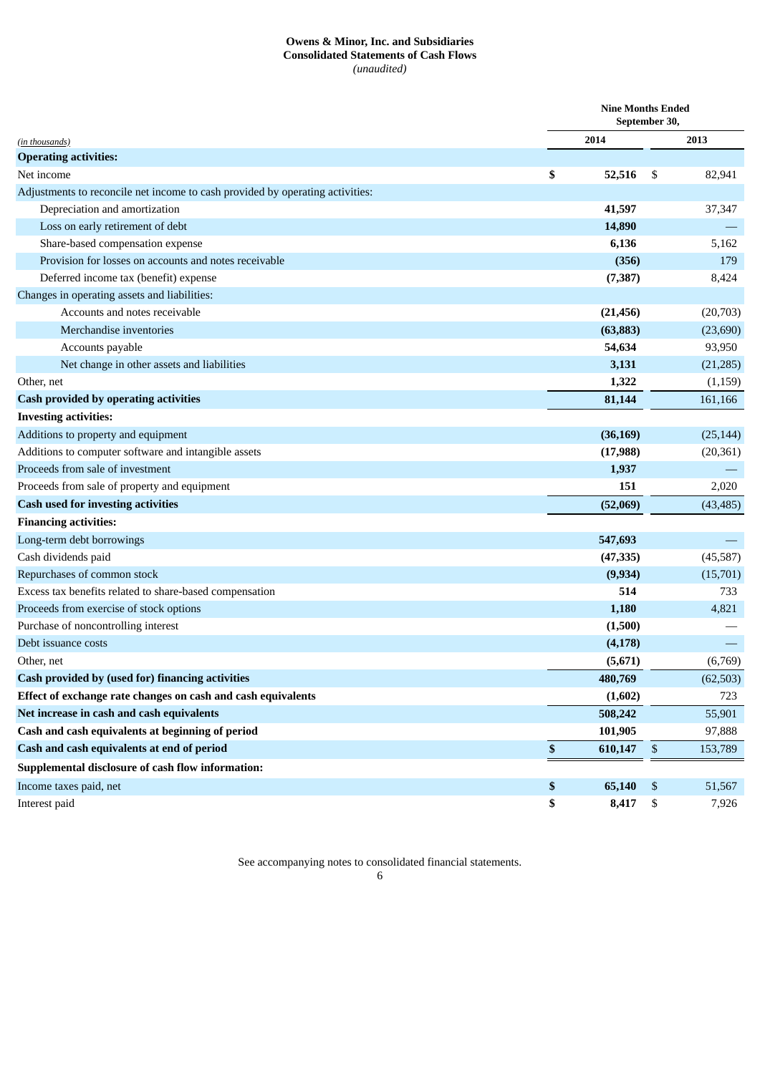# **Owens & Minor, Inc. and Subsidiaries Consolidated Statements of Cash Flows** *(unaudited)*

|                                                                               | <b>Nine Months Ended</b><br>September 30, |              |           |  |  |  |
|-------------------------------------------------------------------------------|-------------------------------------------|--------------|-----------|--|--|--|
| (in thousands)                                                                | 2014                                      |              | 2013      |  |  |  |
| <b>Operating activities:</b>                                                  |                                           |              |           |  |  |  |
| Net income                                                                    | \$<br>52,516                              | \$           | 82,941    |  |  |  |
| Adjustments to reconcile net income to cash provided by operating activities: |                                           |              |           |  |  |  |
| Depreciation and amortization                                                 | 41,597                                    |              | 37,347    |  |  |  |
| Loss on early retirement of debt                                              | 14,890                                    |              |           |  |  |  |
| Share-based compensation expense                                              | 6,136                                     |              | 5,162     |  |  |  |
| Provision for losses on accounts and notes receivable                         | (356)                                     |              | 179       |  |  |  |
| Deferred income tax (benefit) expense                                         | (7, 387)                                  |              | 8,424     |  |  |  |
| Changes in operating assets and liabilities:                                  |                                           |              |           |  |  |  |
| Accounts and notes receivable                                                 | (21, 456)                                 |              | (20,703)  |  |  |  |
| Merchandise inventories                                                       | (63, 883)                                 |              | (23,690)  |  |  |  |
| Accounts payable                                                              | 54,634                                    |              | 93,950    |  |  |  |
| Net change in other assets and liabilities                                    | 3,131                                     |              | (21, 285) |  |  |  |
| Other, net                                                                    | 1,322                                     |              | (1,159)   |  |  |  |
| <b>Cash provided by operating activities</b>                                  | 81,144                                    |              | 161,166   |  |  |  |
| <b>Investing activities:</b>                                                  |                                           |              |           |  |  |  |
| Additions to property and equipment                                           | (36, 169)                                 |              | (25, 144) |  |  |  |
| Additions to computer software and intangible assets                          | (17,988)                                  |              | (20, 361) |  |  |  |
| Proceeds from sale of investment                                              | 1,937                                     |              |           |  |  |  |
| Proceeds from sale of property and equipment                                  | 151                                       |              | 2,020     |  |  |  |
| <b>Cash used for investing activities</b>                                     | (52,069)                                  |              | (43, 485) |  |  |  |
| <b>Financing activities:</b>                                                  |                                           |              |           |  |  |  |
| Long-term debt borrowings                                                     | 547,693                                   |              |           |  |  |  |
| Cash dividends paid                                                           | (47, 335)                                 |              | (45, 587) |  |  |  |
| Repurchases of common stock                                                   | (9, 934)                                  |              | (15,701)  |  |  |  |
| Excess tax benefits related to share-based compensation                       | 514                                       |              | 733       |  |  |  |
| Proceeds from exercise of stock options                                       | 1,180                                     |              | 4,821     |  |  |  |
| Purchase of noncontrolling interest                                           | (1,500)                                   |              |           |  |  |  |
| Debt issuance costs                                                           | (4, 178)                                  |              |           |  |  |  |
| Other, net                                                                    | (5,671)                                   |              | (6,769)   |  |  |  |
| Cash provided by (used for) financing activities                              | 480,769                                   |              | (62, 503) |  |  |  |
| Effect of exchange rate changes on cash and cash equivalents                  | (1,602)                                   |              | 723       |  |  |  |
| Net increase in cash and cash equivalents                                     | 508,242                                   |              | 55,901    |  |  |  |
| Cash and cash equivalents at beginning of period                              | 101,905                                   |              | 97,888    |  |  |  |
| Cash and cash equivalents at end of period                                    | \$<br>610,147                             | $\mathbb{S}$ | 153,789   |  |  |  |
| Supplemental disclosure of cash flow information:                             |                                           |              |           |  |  |  |
| Income taxes paid, net                                                        | \$<br>65,140                              | \$           | 51,567    |  |  |  |
| Interest paid                                                                 | \$<br>8,417                               | \$           | 7,926     |  |  |  |

<span id="page-5-0"></span>See accompanying notes to consolidated financial statements.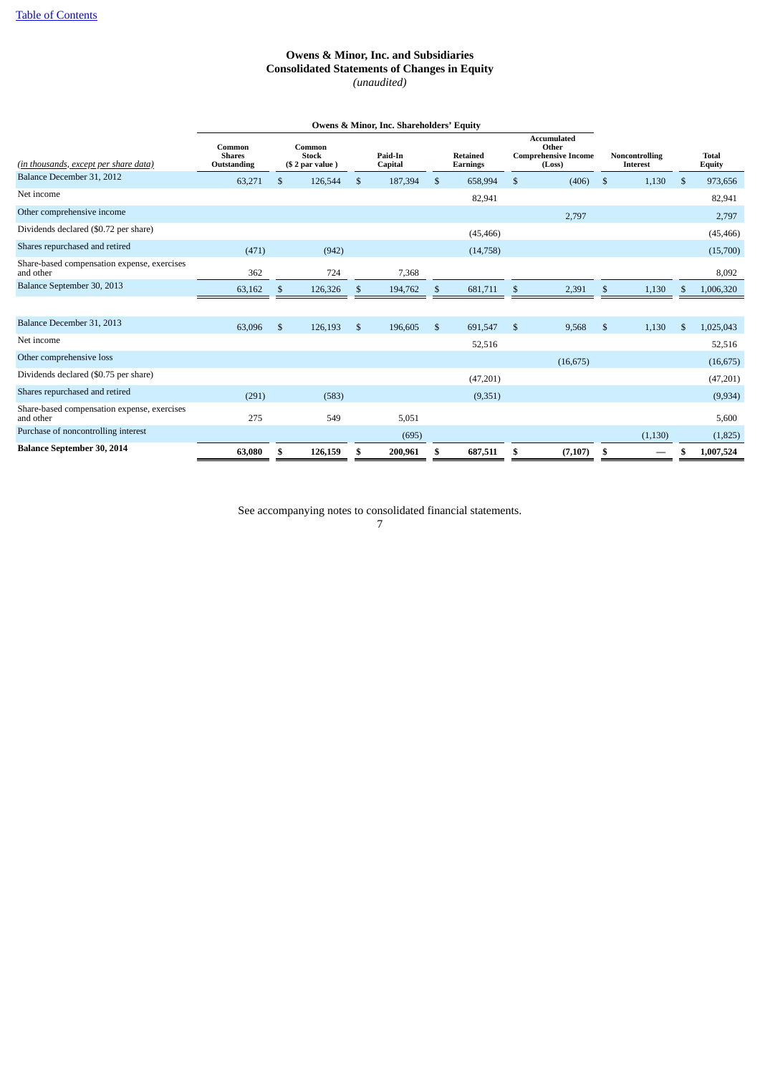# **Owens & Minor, Inc. and Subsidiaries Consolidated Statements of Changes in Equity** *(unaudited)*

|                                                          | Owens & Minor, Inc. Shareholders' Equity |    |                                           |                |                    |    |                                    |    |                                                                      |                |                                   |              |                               |
|----------------------------------------------------------|------------------------------------------|----|-------------------------------------------|----------------|--------------------|----|------------------------------------|----|----------------------------------------------------------------------|----------------|-----------------------------------|--------------|-------------------------------|
| (in thousands, except per share data)                    | Common<br><b>Shares</b><br>Outstanding   |    | Common<br><b>Stock</b><br>(\$2 par value) |                | Paid-In<br>Capital |    | <b>Retained</b><br><b>Earnings</b> |    | <b>Accumulated</b><br>Other<br><b>Comprehensive Income</b><br>(Loss) |                | Noncontrolling<br><b>Interest</b> |              | <b>Total</b><br><b>Equity</b> |
| Balance December 31, 2012                                | 63,271                                   | \$ | 126,544                                   | \$             | 187,394            | \$ | 658,994                            | \$ | (406)                                                                | $\mathfrak{s}$ | 1,130                             | $\mathbb{S}$ | 973,656                       |
| Net income                                               |                                          |    |                                           |                |                    |    | 82,941                             |    |                                                                      |                |                                   |              | 82,941                        |
| Other comprehensive income                               |                                          |    |                                           |                |                    |    |                                    |    | 2,797                                                                |                |                                   |              | 2,797                         |
| Dividends declared (\$0.72 per share)                    |                                          |    |                                           |                |                    |    | (45, 466)                          |    |                                                                      |                |                                   |              | (45, 466)                     |
| Shares repurchased and retired                           | (471)                                    |    | (942)                                     |                |                    |    | (14,758)                           |    |                                                                      |                |                                   |              | (15,700)                      |
| Share-based compensation expense, exercises<br>and other | 362                                      |    | 724                                       |                | 7,368              |    |                                    |    |                                                                      |                |                                   |              | 8,092                         |
| Balance September 30, 2013                               | 63,162                                   | \$ | 126,326                                   | $\mathfrak{S}$ | 194,762            | \$ | 681,711                            | \$ | 2,391                                                                | $\mathcal{S}$  | 1,130                             |              | 1,006,320                     |
|                                                          |                                          |    |                                           |                |                    |    |                                    |    |                                                                      |                |                                   |              |                               |
| Balance December 31, 2013                                | 63,096                                   | \$ | 126,193                                   | \$             | 196,605            | \$ | 691,547                            | \$ | 9,568                                                                | $\mathfrak{s}$ | 1,130                             | \$           | 1,025,043                     |
| Net income                                               |                                          |    |                                           |                |                    |    | 52,516                             |    |                                                                      |                |                                   |              | 52,516                        |
| Other comprehensive loss                                 |                                          |    |                                           |                |                    |    |                                    |    | (16, 675)                                                            |                |                                   |              | (16, 675)                     |
| Dividends declared (\$0.75 per share)                    |                                          |    |                                           |                |                    |    | (47,201)                           |    |                                                                      |                |                                   |              | (47,201)                      |
| Shares repurchased and retired                           | (291)                                    |    | (583)                                     |                |                    |    | (9,351)                            |    |                                                                      |                |                                   |              | (9, 934)                      |
| Share-based compensation expense, exercises<br>and other | 275                                      |    | 549                                       |                | 5,051              |    |                                    |    |                                                                      |                |                                   |              | 5,600                         |
| Purchase of noncontrolling interest                      |                                          |    |                                           |                | (695)              |    |                                    |    |                                                                      |                | (1, 130)                          |              | (1,825)                       |
| <b>Balance September 30, 2014</b>                        | 63,080                                   | S  | 126,159                                   | \$             | 200,961            | S  | 687,511                            | \$ | (7, 107)                                                             | -S             |                                   |              | 1,007,524                     |

<span id="page-6-0"></span>See accompanying notes to consolidated financial statements.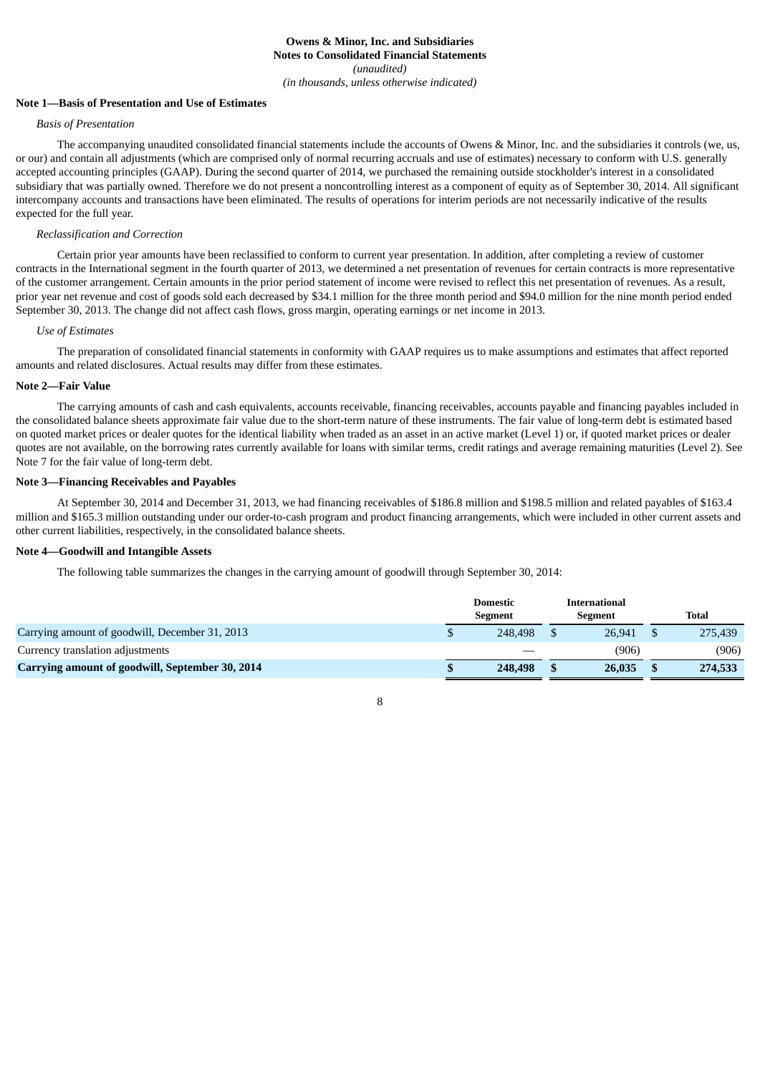# **Owens & Minor, Inc. and Subsidiaries Notes to Consolidated Financial Statements** *(unaudited)*

*(in thousands, unless otherwise indicated)*

#### **Note 1—Basis of Presentation and Use of Estimates**

#### *Basis of Presentation*

The accompanying unaudited consolidated financial statements include the accounts of Owens & Minor, Inc. and the subsidiaries it controls (we, us, or our) and contain all adjustments (which are comprised only of normal recurring accruals and use of estimates) necessary to conform with U.S. generally accepted accounting principles (GAAP). During the second quarter of 2014, we purchased the remaining outside stockholder's interest in a consolidated subsidiary that was partially owned. Therefore we do not present a noncontrolling interest as a component of equity as of September 30, 2014. All significant intercompany accounts and transactions have been eliminated. The results of operations for interim periods are not necessarily indicative of the results expected for the full year.

#### *Reclassification and Correction*

Certain prior year amounts have been reclassified to conform to current year presentation. In addition, after completing a review of customer contracts in the International segment in the fourth quarter of 2013, we determined a net presentation of revenues for certain contracts is more representative of the customer arrangement. Certain amounts in the prior period statement of income were revised to reflect this net presentation of revenues. As a result, prior year net revenue and cost of goods sold each decreased by \$34.1 million for the three month period and \$94.0 million for the nine month period ended September 30, 2013. The change did not affect cash flows, gross margin, operating earnings or net income in 2013.

#### *Use of Estimates*

The preparation of consolidated financial statements in conformity with GAAP requires us to make assumptions and estimates that affect reported amounts and related disclosures. Actual results may differ from these estimates.

#### **Note 2—Fair Value**

The carrying amounts of cash and cash equivalents, accounts receivable, financing receivables, accounts payable and financing payables included in the consolidated balance sheets approximate fair value due to the short-term nature of these instruments. The fair value of long-term debt is estimated based on quoted market prices or dealer quotes for the identical liability when traded as an asset in an active market (Level 1) or, if quoted market prices or dealer quotes are not available, on the borrowing rates currently available for loans with similar terms, credit ratings and average remaining maturities (Level 2). See Note 7 for the fair value of long-term debt.

#### **Note 3—Financing Receivables and Payables**

At September 30, 2014 and December 31, 2013, we had financing receivables of \$186.8 million and \$198.5 million and related payables of \$163.4 million and \$165.3 million outstanding under our order-to-cash program and product financing arrangements, which were included in other current assets and other current liabilities, respectively, in the consolidated balance sheets.

#### **Note 4—Goodwill and Intangible Assets**

The following table summarizes the changes in the carrying amount of goodwill through September 30, 2014:

|                                                 | <b>Domestic</b><br>Segment | <b>International</b><br>Segment | <b>Total</b> |
|-------------------------------------------------|----------------------------|---------------------------------|--------------|
| Carrying amount of goodwill, December 31, 2013  | 248,498                    | 26.941                          | 275,439      |
| Currency translation adjustments                |                            | (906)                           | (906)        |
| Carrying amount of goodwill, September 30, 2014 | 248,498                    | 26,035                          | 274,533      |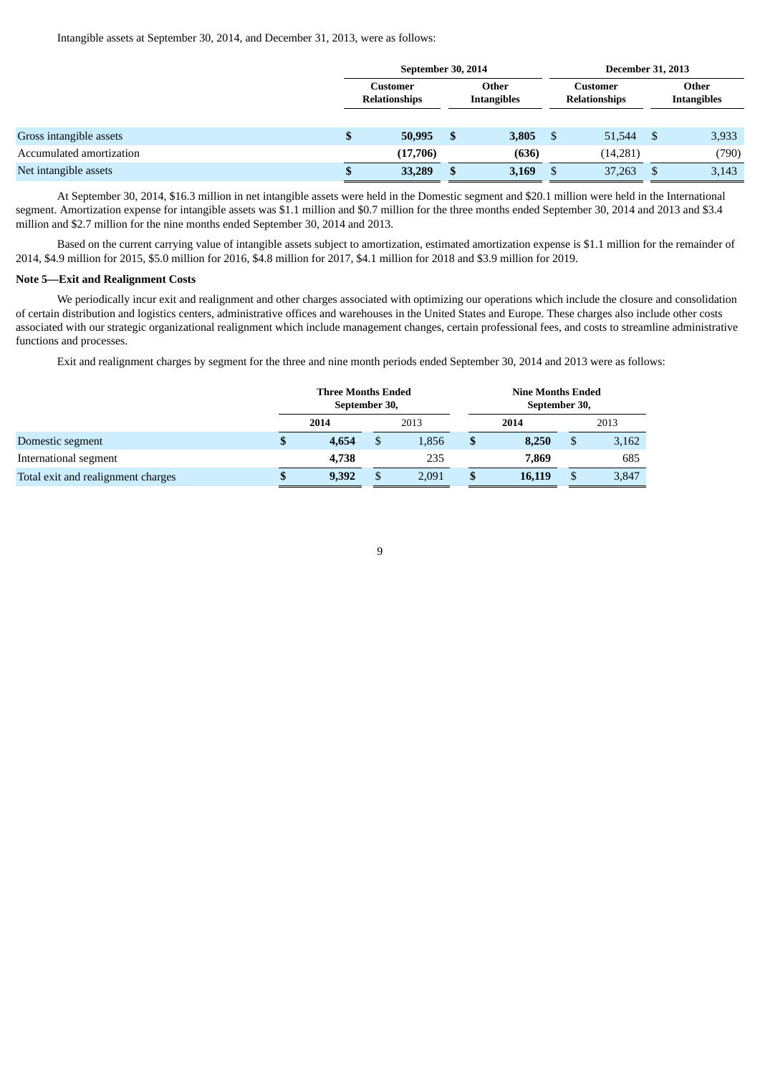Intangible assets at September 30, 2014, and December 31, 2013, were as follows:

|                          |                                  | September 30, 2014 |                             |       | <b>December 31, 2013</b>         |          |    |                             |  |
|--------------------------|----------------------------------|--------------------|-----------------------------|-------|----------------------------------|----------|----|-----------------------------|--|
|                          | Customer<br><b>Relationships</b> |                    | Other<br><b>Intangibles</b> |       | Customer<br><b>Relationships</b> |          |    | Other<br><b>Intangibles</b> |  |
|                          |                                  |                    |                             |       |                                  |          |    |                             |  |
| Gross intangible assets  |                                  | 50,995             |                             | 3,805 |                                  | 51,544   | \$ | 3,933                       |  |
| Accumulated amortization |                                  | (17,706)           |                             | (636) |                                  | (14,281) |    | (790)                       |  |
| Net intangible assets    |                                  | 33,289             |                             | 3,169 |                                  | 37,263   | S  | 3,143                       |  |

At September 30, 2014, \$16.3 million in net intangible assets were held in the Domestic segment and \$20.1 million were held in the International segment. Amortization expense for intangible assets was \$1.1 million and \$0.7 million for the three months ended September 30, 2014 and 2013 and \$3.4 million and \$2.7 million for the nine months ended September 30, 2014 and 2013.

Based on the current carrying value of intangible assets subject to amortization, estimated amortization expense is \$1.1 million for the remainder of 2014, \$4.9 million for 2015, \$5.0 million for 2016, \$4.8 million for 2017, \$4.1 million for 2018 and \$3.9 million for 2019.

#### **Note 5—Exit and Realignment Costs**

We periodically incur exit and realignment and other charges associated with optimizing our operations which include the closure and consolidation of certain distribution and logistics centers, administrative offices and warehouses in the United States and Europe. These charges also include other costs associated with our strategic organizational realignment which include management changes, certain professional fees, and costs to streamline administrative functions and processes.

Exit and realignment charges by segment for the three and nine month periods ended September 30, 2014 and 2013 were as follows:

|                                    |              | <b>Three Months Ended</b> | September 30, |       | <b>Nine Months Ended</b><br>September 30, |    |       |
|------------------------------------|--------------|---------------------------|---------------|-------|-------------------------------------------|----|-------|
|                                    | 2013<br>2014 |                           | 2014          | 2013  |                                           |    |       |
| Domestic segment                   | \$           | 4,654                     |               | 1,856 | \$<br>8,250                               | \$ | 3,162 |
| International segment              |              | 4.738                     |               | 235   | 7,869                                     |    | 685   |
| Total exit and realignment charges |              | 9,392                     |               | 2,091 | \$<br>16,119                              | \$ | 3,847 |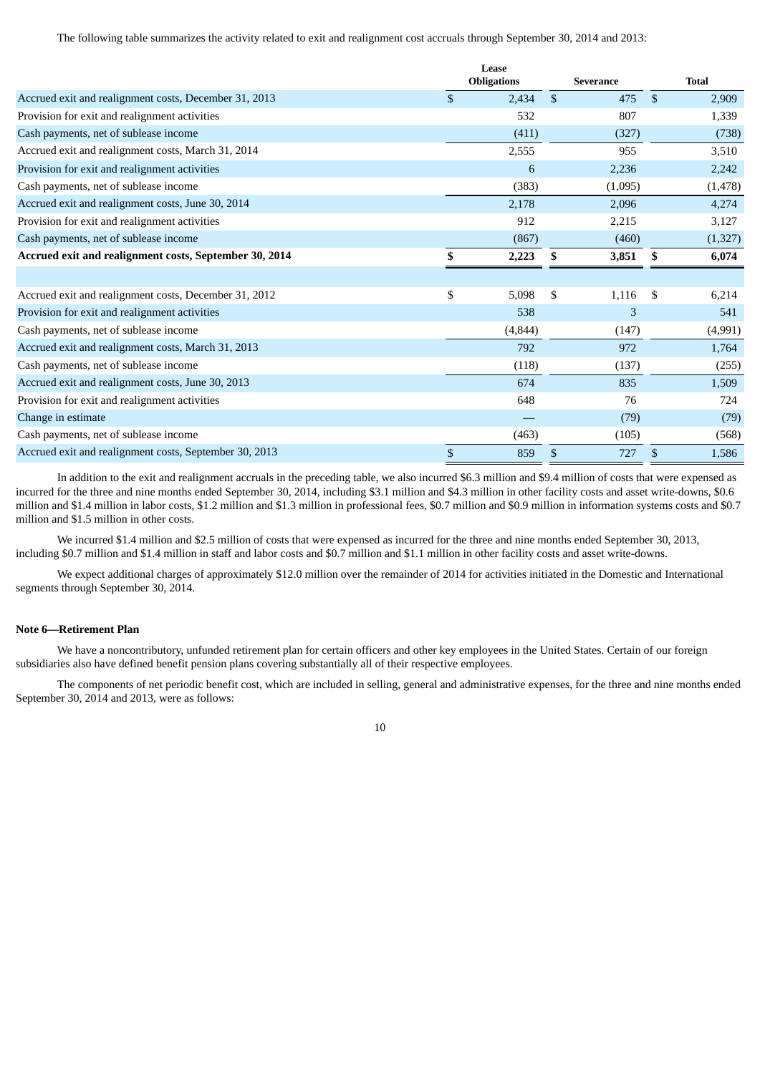The following table summarizes the activity related to exit and realignment cost accruals through September 30, 2014 and 2013:

| Accrued exit and realignment costs, December 31, 2013<br>$\mathbb{S}$<br>$\mathcal{S}$<br>2,434<br><sup>\$</sup><br>475<br>2,909<br>532<br>Provision for exit and realignment activities<br>807<br>1,339<br>Cash payments, net of sublease income<br>(411)<br>(327)<br>Accrued exit and realignment costs, March 31, 2014<br>955<br>3,510<br>2,555<br>Provision for exit and realignment activities<br>2,236<br>6<br>2,242<br>Cash payments, net of sublease income<br>(383)<br>(1,095)<br>Accrued exit and realignment costs, June 30, 2014<br>2,178<br>2,096<br>4,274<br>Provision for exit and realignment activities<br>912<br>2,215<br>3,127<br>Cash payments, net of sublease income<br>(867)<br>(460)<br>Accrued exit and realignment costs, September 30, 2014<br>\$<br>2,223<br>\$<br>3,851<br>\$<br>\$<br>\$<br>\$<br>Accrued exit and realignment costs, December 31, 2012<br>5,098<br>1,116<br>6,214<br>538<br>3<br>Provision for exit and realignment activities<br>541<br>Cash payments, net of sublease income<br>(4, 844)<br>(147)<br>Accrued exit and realignment costs, March 31, 2013<br>792<br>972<br>1,764<br>Cash payments, net of sublease income<br>(118)<br>(137)<br>Accrued exit and realignment costs, June 30, 2013<br>835<br>674<br>1,509<br>648<br>Provision for exit and realignment activities<br>76<br>724<br>Change in estimate<br>(79)<br>Cash payments, net of sublease income<br>(463)<br>(105)<br>\$<br>Accrued exit and realignment costs, September 30, 2013<br>\$<br>859<br>727<br>\$<br>1,586 |  | Lease<br><b>Obligations</b> | <b>Severance</b> | <b>Total</b> |
|-----------------------------------------------------------------------------------------------------------------------------------------------------------------------------------------------------------------------------------------------------------------------------------------------------------------------------------------------------------------------------------------------------------------------------------------------------------------------------------------------------------------------------------------------------------------------------------------------------------------------------------------------------------------------------------------------------------------------------------------------------------------------------------------------------------------------------------------------------------------------------------------------------------------------------------------------------------------------------------------------------------------------------------------------------------------------------------------------------------------------------------------------------------------------------------------------------------------------------------------------------------------------------------------------------------------------------------------------------------------------------------------------------------------------------------------------------------------------------------------------------------------------------------------|--|-----------------------------|------------------|--------------|
|                                                                                                                                                                                                                                                                                                                                                                                                                                                                                                                                                                                                                                                                                                                                                                                                                                                                                                                                                                                                                                                                                                                                                                                                                                                                                                                                                                                                                                                                                                                                         |  |                             |                  |              |
|                                                                                                                                                                                                                                                                                                                                                                                                                                                                                                                                                                                                                                                                                                                                                                                                                                                                                                                                                                                                                                                                                                                                                                                                                                                                                                                                                                                                                                                                                                                                         |  |                             |                  |              |
|                                                                                                                                                                                                                                                                                                                                                                                                                                                                                                                                                                                                                                                                                                                                                                                                                                                                                                                                                                                                                                                                                                                                                                                                                                                                                                                                                                                                                                                                                                                                         |  |                             |                  | (738)        |
|                                                                                                                                                                                                                                                                                                                                                                                                                                                                                                                                                                                                                                                                                                                                                                                                                                                                                                                                                                                                                                                                                                                                                                                                                                                                                                                                                                                                                                                                                                                                         |  |                             |                  |              |
|                                                                                                                                                                                                                                                                                                                                                                                                                                                                                                                                                                                                                                                                                                                                                                                                                                                                                                                                                                                                                                                                                                                                                                                                                                                                                                                                                                                                                                                                                                                                         |  |                             |                  |              |
|                                                                                                                                                                                                                                                                                                                                                                                                                                                                                                                                                                                                                                                                                                                                                                                                                                                                                                                                                                                                                                                                                                                                                                                                                                                                                                                                                                                                                                                                                                                                         |  |                             |                  | (1, 478)     |
|                                                                                                                                                                                                                                                                                                                                                                                                                                                                                                                                                                                                                                                                                                                                                                                                                                                                                                                                                                                                                                                                                                                                                                                                                                                                                                                                                                                                                                                                                                                                         |  |                             |                  |              |
|                                                                                                                                                                                                                                                                                                                                                                                                                                                                                                                                                                                                                                                                                                                                                                                                                                                                                                                                                                                                                                                                                                                                                                                                                                                                                                                                                                                                                                                                                                                                         |  |                             |                  |              |
|                                                                                                                                                                                                                                                                                                                                                                                                                                                                                                                                                                                                                                                                                                                                                                                                                                                                                                                                                                                                                                                                                                                                                                                                                                                                                                                                                                                                                                                                                                                                         |  |                             |                  | (1,327)      |
|                                                                                                                                                                                                                                                                                                                                                                                                                                                                                                                                                                                                                                                                                                                                                                                                                                                                                                                                                                                                                                                                                                                                                                                                                                                                                                                                                                                                                                                                                                                                         |  |                             |                  | 6,074        |
|                                                                                                                                                                                                                                                                                                                                                                                                                                                                                                                                                                                                                                                                                                                                                                                                                                                                                                                                                                                                                                                                                                                                                                                                                                                                                                                                                                                                                                                                                                                                         |  |                             |                  |              |
|                                                                                                                                                                                                                                                                                                                                                                                                                                                                                                                                                                                                                                                                                                                                                                                                                                                                                                                                                                                                                                                                                                                                                                                                                                                                                                                                                                                                                                                                                                                                         |  |                             |                  |              |
|                                                                                                                                                                                                                                                                                                                                                                                                                                                                                                                                                                                                                                                                                                                                                                                                                                                                                                                                                                                                                                                                                                                                                                                                                                                                                                                                                                                                                                                                                                                                         |  |                             |                  |              |
|                                                                                                                                                                                                                                                                                                                                                                                                                                                                                                                                                                                                                                                                                                                                                                                                                                                                                                                                                                                                                                                                                                                                                                                                                                                                                                                                                                                                                                                                                                                                         |  |                             |                  | (4,991)      |
|                                                                                                                                                                                                                                                                                                                                                                                                                                                                                                                                                                                                                                                                                                                                                                                                                                                                                                                                                                                                                                                                                                                                                                                                                                                                                                                                                                                                                                                                                                                                         |  |                             |                  |              |
|                                                                                                                                                                                                                                                                                                                                                                                                                                                                                                                                                                                                                                                                                                                                                                                                                                                                                                                                                                                                                                                                                                                                                                                                                                                                                                                                                                                                                                                                                                                                         |  |                             |                  | (255)        |
|                                                                                                                                                                                                                                                                                                                                                                                                                                                                                                                                                                                                                                                                                                                                                                                                                                                                                                                                                                                                                                                                                                                                                                                                                                                                                                                                                                                                                                                                                                                                         |  |                             |                  |              |
|                                                                                                                                                                                                                                                                                                                                                                                                                                                                                                                                                                                                                                                                                                                                                                                                                                                                                                                                                                                                                                                                                                                                                                                                                                                                                                                                                                                                                                                                                                                                         |  |                             |                  |              |
|                                                                                                                                                                                                                                                                                                                                                                                                                                                                                                                                                                                                                                                                                                                                                                                                                                                                                                                                                                                                                                                                                                                                                                                                                                                                                                                                                                                                                                                                                                                                         |  |                             |                  | (79)         |
|                                                                                                                                                                                                                                                                                                                                                                                                                                                                                                                                                                                                                                                                                                                                                                                                                                                                                                                                                                                                                                                                                                                                                                                                                                                                                                                                                                                                                                                                                                                                         |  |                             |                  | (568)        |
|                                                                                                                                                                                                                                                                                                                                                                                                                                                                                                                                                                                                                                                                                                                                                                                                                                                                                                                                                                                                                                                                                                                                                                                                                                                                                                                                                                                                                                                                                                                                         |  |                             |                  |              |

In addition to the exit and realignment accruals in the preceding table, we also incurred \$6.3 million and \$9.4 million of costs that were expensed as incurred for the three and nine months ended September 30, 2014, including \$3.1 million and \$4.3 million in other facility costs and asset write-downs, \$0.6 million and \$1.4 million in labor costs, \$1.2 million and \$1.3 million in professional fees, \$0.7 million and \$0.9 million in information systems costs and \$0.7 million and \$1.5 million in other costs.

We incurred \$1.4 million and \$2.5 million of costs that were expensed as incurred for the three and nine months ended September 30, 2013, including \$0.7 million and \$1.4 million in staff and labor costs and \$0.7 million and \$1.1 million in other facility costs and asset write-downs.

We expect additional charges of approximately \$12.0 million over the remainder of 2014 for activities initiated in the Domestic and International segments through September 30, 2014.

#### **Note 6—Retirement Plan**

We have a noncontributory, unfunded retirement plan for certain officers and other key employees in the United States. Certain of our foreign subsidiaries also have defined benefit pension plans covering substantially all of their respective employees.

The components of net periodic benefit cost, which are included in selling, general and administrative expenses, for the three and nine months ended September 30, 2014 and 2013, were as follows: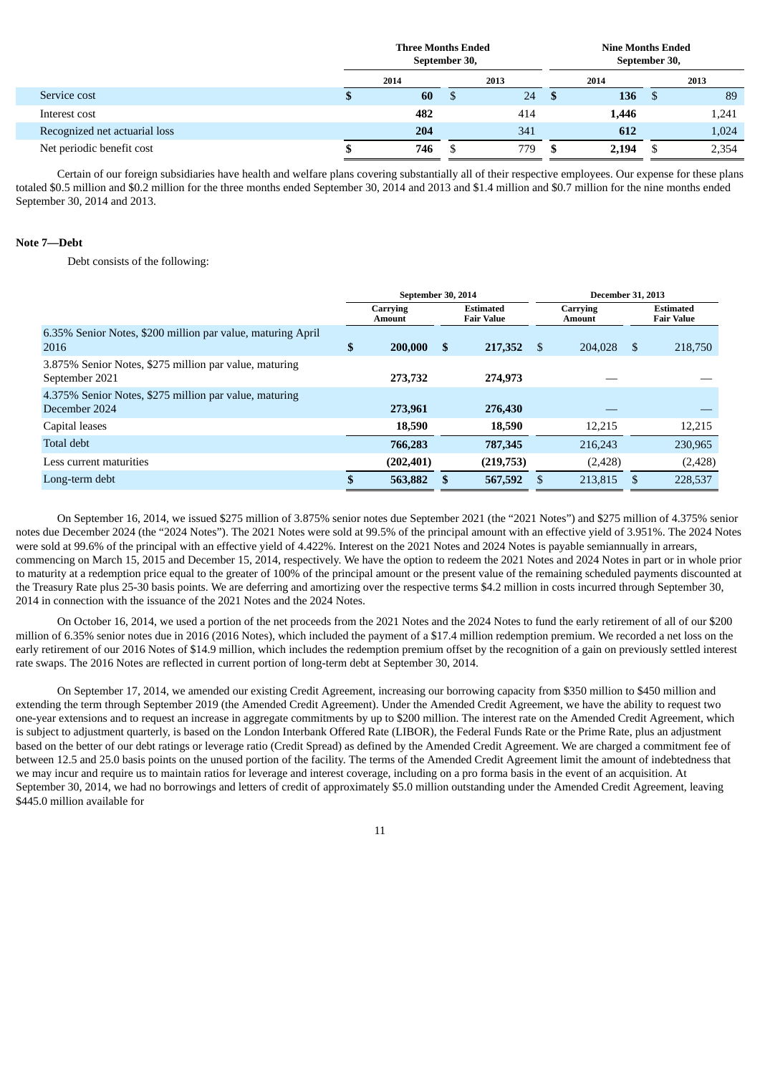|                               |   | <b>Three Months Ended</b><br>September 30, |   | <b>Nine Months Ended</b><br>September 30, |  |       |     |       |
|-------------------------------|---|--------------------------------------------|---|-------------------------------------------|--|-------|-----|-------|
|                               |   | 2014                                       |   | 2013                                      |  | 2014  |     | 2013  |
| Service cost                  | J | 60                                         | D | 24                                        |  | 136   | -\$ | 89    |
| Interest cost                 |   | 482                                        |   | 414                                       |  | 1,446 |     | 1,241 |
| Recognized net actuarial loss |   | 204                                        |   | 341                                       |  | 612   |     | 1,024 |
| Net periodic benefit cost     |   | 746                                        |   | 779                                       |  | 2,194 |     | 2,354 |

Certain of our foreign subsidiaries have health and welfare plans covering substantially all of their respective employees. Our expense for these plans totaled \$0.5 million and \$0.2 million for the three months ended September 30, 2014 and 2013 and \$1.4 million and \$0.7 million for the nine months ended September 30, 2014 and 2013.

## **Note 7—Debt**

Debt consists of the following:

|                                                                          |                    | September 30, 2014 |               |                                       | <b>December 31, 2013</b> |                    |    |                                |  |
|--------------------------------------------------------------------------|--------------------|--------------------|---------------|---------------------------------------|--------------------------|--------------------|----|--------------------------------|--|
|                                                                          | Carrying<br>Amount |                    |               | <b>Estimated</b><br><b>Fair Value</b> |                          | Carrying<br>Amount |    | Estimated<br><b>Fair Value</b> |  |
| 6.35% Senior Notes, \$200 million par value, maturing April<br>2016      | \$                 | 200,000            | <sup>\$</sup> | 217,352                               | <sup>S</sup>             | 204.028            | -S | 218,750                        |  |
| 3.875% Senior Notes, \$275 million par value, maturing<br>September 2021 |                    | 273,732            |               | 274,973                               |                          |                    |    |                                |  |
| 4.375% Senior Notes, \$275 million par value, maturing<br>December 2024  |                    | 273,961            |               | 276,430                               |                          |                    |    |                                |  |
| Capital leases                                                           |                    | 18,590             |               | 18,590                                |                          | 12,215             |    | 12,215                         |  |
| Total debt                                                               |                    | 766,283            |               | 787,345                               |                          | 216.243            |    | 230,965                        |  |
| Less current maturities                                                  |                    | (202, 401)         |               | (219,753)                             |                          | (2,428)            |    | (2, 428)                       |  |
| Long-term debt                                                           | \$                 | 563,882            |               | 567,592                               |                          | 213,815            | -S | 228,537                        |  |

On September 16, 2014, we issued \$275 million of 3.875% senior notes due September 2021 (the "2021 Notes") and \$275 million of 4.375% senior notes due December 2024 (the "2024 Notes"). The 2021 Notes were sold at 99.5% of the principal amount with an effective yield of 3.951%. The 2024 Notes were sold at 99.6% of the principal with an effective yield of 4.422%. Interest on the 2021 Notes and 2024 Notes is payable semiannually in arrears, commencing on March 15, 2015 and December 15, 2014, respectively. We have the option to redeem the 2021 Notes and 2024 Notes in part or in whole prior to maturity at a redemption price equal to the greater of 100% of the principal amount or the present value of the remaining scheduled payments discounted at the Treasury Rate plus 25-30 basis points. We are deferring and amortizing over the respective terms \$4.2 million in costs incurred through September 30, 2014 in connection with the issuance of the 2021 Notes and the 2024 Notes.

On October 16, 2014, we used a portion of the net proceeds from the 2021 Notes and the 2024 Notes to fund the early retirement of all of our \$200 million of 6.35% senior notes due in 2016 (2016 Notes), which included the payment of a \$17.4 million redemption premium. We recorded a net loss on the early retirement of our 2016 Notes of \$14.9 million, which includes the redemption premium offset by the recognition of a gain on previously settled interest rate swaps. The 2016 Notes are reflected in current portion of long-term debt at September 30, 2014.

On September 17, 2014, we amended our existing Credit Agreement, increasing our borrowing capacity from \$350 million to \$450 million and extending the term through September 2019 (the Amended Credit Agreement). Under the Amended Credit Agreement, we have the ability to request two one-year extensions and to request an increase in aggregate commitments by up to \$200 million. The interest rate on the Amended Credit Agreement, which is subject to adjustment quarterly, is based on the London Interbank Offered Rate (LIBOR), the Federal Funds Rate or the Prime Rate, plus an adjustment based on the better of our debt ratings or leverage ratio (Credit Spread) as defined by the Amended Credit Agreement. We are charged a commitment fee of between 12.5 and 25.0 basis points on the unused portion of the facility. The terms of the Amended Credit Agreement limit the amount of indebtedness that we may incur and require us to maintain ratios for leverage and interest coverage, including on a pro forma basis in the event of an acquisition. At September 30, 2014, we had no borrowings and letters of credit of approximately \$5.0 million outstanding under the Amended Credit Agreement, leaving \$445.0 million available for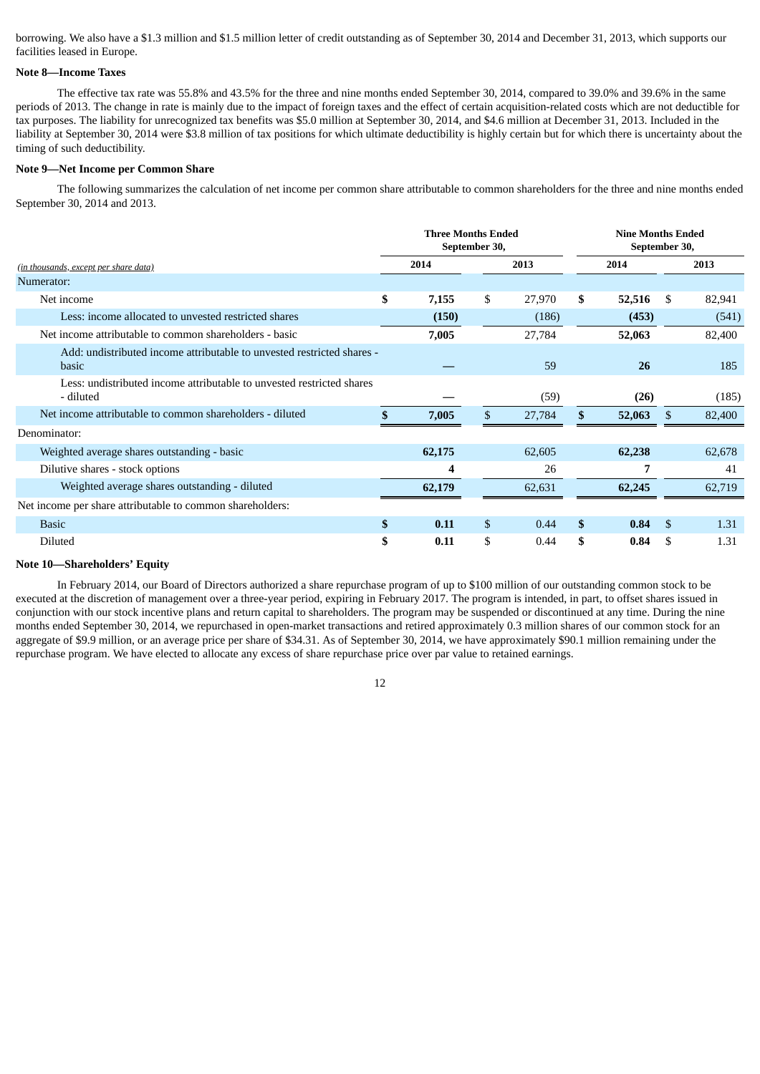borrowing. We also have a \$1.3 million and \$1.5 million letter of credit outstanding as of September 30, 2014 and December 31, 2013, which supports our facilities leased in Europe.

### **Note 8—Income Taxes**

The effective tax rate was 55.8% and 43.5% for the three and nine months ended September 30, 2014, compared to 39.0% and 39.6% in the same periods of 2013. The change in rate is mainly due to the impact of foreign taxes and the effect of certain acquisition-related costs which are not deductible for tax purposes. The liability for unrecognized tax benefits was \$5.0 million at September 30, 2014, and \$4.6 million at December 31, 2013. Included in the liability at September 30, 2014 were \$3.8 million of tax positions for which ultimate deductibility is highly certain but for which there is uncertainty about the timing of such deductibility.

#### **Note 9—Net Income per Common Share**

The following summarizes the calculation of net income per common share attributable to common shareholders for the three and nine months ended September 30, 2014 and 2013.

|                                                                                    | <b>Three Months Ended</b><br>September 30, |      |        |      |           | <b>Nine Months Ended</b><br>September 30, |        |  |  |
|------------------------------------------------------------------------------------|--------------------------------------------|------|--------|------|-----------|-------------------------------------------|--------|--|--|
| (in thousands, except per share data)                                              | 2014                                       | 2013 |        | 2014 |           |                                           | 2013   |  |  |
| Numerator:                                                                         |                                            |      |        |      |           |                                           |        |  |  |
| Net income                                                                         | \$<br>7,155                                | \$   | 27,970 | \$   | 52,516    | \$                                        | 82,941 |  |  |
| Less: income allocated to unvested restricted shares                               | (150)                                      |      | (186)  |      | (453)     |                                           | (541)  |  |  |
| Net income attributable to common shareholders - basic                             | 7,005                                      |      | 27,784 |      | 52,063    |                                           | 82,400 |  |  |
| Add: undistributed income attributable to unvested restricted shares -<br>basic    |                                            |      | 59     |      | <b>26</b> |                                           | 185    |  |  |
| Less: undistributed income attributable to unvested restricted shares<br>- diluted |                                            |      | (59)   |      | (26)      |                                           | (185)  |  |  |
| Net income attributable to common shareholders - diluted                           | 7,005                                      | \$   | 27,784 | \$   | 52,063    | \$                                        | 82,400 |  |  |
| Denominator:                                                                       |                                            |      |        |      |           |                                           |        |  |  |
| Weighted average shares outstanding - basic                                        | 62,175                                     |      | 62,605 |      | 62,238    |                                           | 62,678 |  |  |
| Dilutive shares - stock options                                                    | 4                                          |      | 26     |      |           |                                           | 41     |  |  |
| Weighted average shares outstanding - diluted                                      | 62,179                                     |      | 62,631 |      | 62,245    |                                           | 62,719 |  |  |
| Net income per share attributable to common shareholders:                          |                                            |      |        |      |           |                                           |        |  |  |
| <b>Basic</b>                                                                       | \$<br>0.11                                 | \$   | 0.44   | \$   | 0.84      | <sup>\$</sup>                             | 1.31   |  |  |
| <b>Diluted</b>                                                                     | \$<br>0.11                                 | \$   | 0.44   | \$   | 0.84      | \$                                        | 1.31   |  |  |

#### **Note 10—Shareholders' Equity**

In February 2014, our Board of Directors authorized a share repurchase program of up to \$100 million of our outstanding common stock to be executed at the discretion of management over a three-year period, expiring in February 2017. The program is intended, in part, to offset shares issued in conjunction with our stock incentive plans and return capital to shareholders. The program may be suspended or discontinued at any time. During the nine months ended September 30, 2014, we repurchased in open-market transactions and retired approximately 0.3 million shares of our common stock for an aggregate of \$9.9 million, or an average price per share of \$34.31. As of September 30, 2014, we have approximately \$90.1 million remaining under the repurchase program. We have elected to allocate any excess of share repurchase price over par value to retained earnings.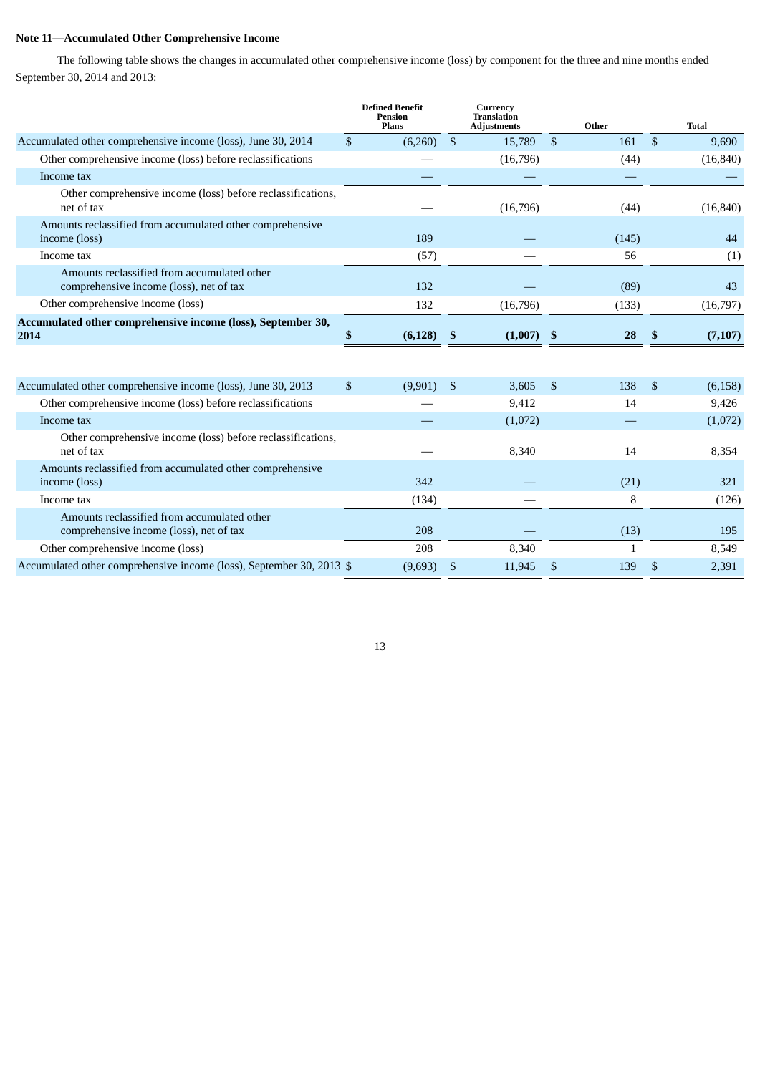# **Note 11—Accumulated Other Comprehensive Income**

The following table shows the changes in accumulated other comprehensive income (loss) by component for the three and nine months ended September 30, 2014 and 2013:

|                                                                                        |                | <b>Defined Benefit</b><br><b>Pension</b><br><b>Plans</b> | Currency<br><b>Translation</b><br><b>Adjustments</b> |                | Other        |                | <b>Total</b> |
|----------------------------------------------------------------------------------------|----------------|----------------------------------------------------------|------------------------------------------------------|----------------|--------------|----------------|--------------|
| Accumulated other comprehensive income (loss), June 30, 2014                           | $\mathbb{S}$   | (6,260)                                                  | \$<br>15,789                                         | $\mathfrak{S}$ | 161          | $\mathfrak{S}$ | 9,690        |
| Other comprehensive income (loss) before reclassifications                             |                |                                                          | (16,796)                                             |                | (44)         |                | (16, 840)    |
| Income tax                                                                             |                |                                                          |                                                      |                |              |                |              |
| Other comprehensive income (loss) before reclassifications,<br>net of tax              |                |                                                          | (16,796)                                             |                | (44)         |                | (16, 840)    |
| Amounts reclassified from accumulated other comprehensive<br>income (loss)             |                | 189                                                      |                                                      |                | (145)        |                | 44           |
| Income tax                                                                             |                | (57)                                                     |                                                      |                | 56           |                | (1)          |
| Amounts reclassified from accumulated other<br>comprehensive income (loss), net of tax |                | 132                                                      |                                                      |                | (89)         |                | 43           |
| Other comprehensive income (loss)                                                      |                | 132                                                      | (16,796)                                             |                | (133)        |                | (16,797)     |
| Accumulated other comprehensive income (loss), September 30,<br>2014                   | S              | (6, 128)                                                 | \$<br>(1,007)                                        | -\$            | 28           | S              | (7, 107)     |
|                                                                                        |                |                                                          |                                                      |                |              |                |              |
| Accumulated other comprehensive income (loss), June 30, 2013                           | $\mathfrak{S}$ | (9,901)                                                  | \$<br>3,605                                          | $\mathfrak{s}$ | 138          | <sup>\$</sup>  | (6, 158)     |
| Other comprehensive income (loss) before reclassifications                             |                |                                                          | 9,412                                                |                | 14           |                | 9,426        |
| Income tax                                                                             |                |                                                          | (1,072)                                              |                |              |                | (1,072)      |
| Other comprehensive income (loss) before reclassifications,<br>net of tax              |                |                                                          | 8,340                                                |                | 14           |                | 8,354        |
| Amounts reclassified from accumulated other comprehensive<br>income (loss)             |                | 342                                                      |                                                      |                | (21)         |                | 321          |
| Income tax                                                                             |                | (134)                                                    |                                                      |                | 8            |                | (126)        |
| Amounts reclassified from accumulated other<br>comprehensive income (loss), net of tax |                | 208                                                      |                                                      |                | (13)         |                | 195          |
| Other comprehensive income (loss)                                                      |                | 208                                                      | 8,340                                                |                | $\mathbf{1}$ |                | 8,549        |
| Accumulated other comprehensive income (loss), September 30, 2013 \$                   |                | (9,693)                                                  | \$<br>11,945                                         | \$             | 139          | \$             | 2,391        |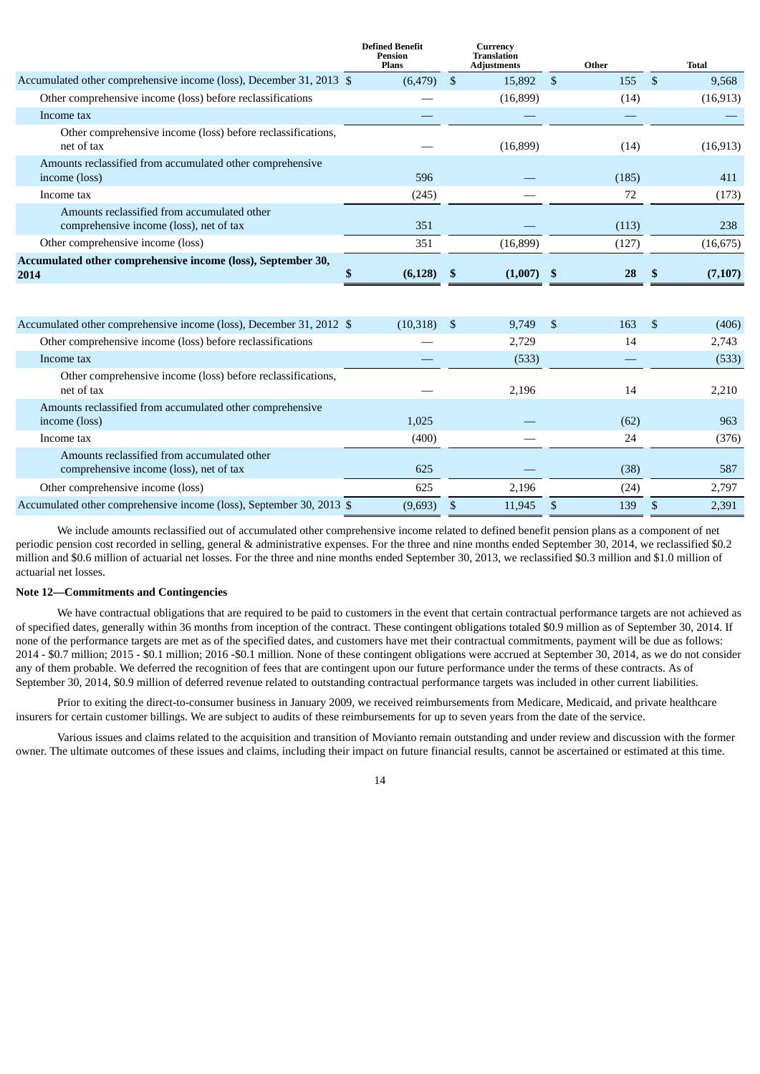|                                                                                        | <b>Defined Benefit</b><br><b>Pension</b><br>Plans |                | Currency<br><b>Translation</b><br><b>Adjustments</b> |                    | Other |                | <b>Total</b> |
|----------------------------------------------------------------------------------------|---------------------------------------------------|----------------|------------------------------------------------------|--------------------|-------|----------------|--------------|
| Accumulated other comprehensive income (loss), December 31, 2013 \$                    | (6, 479)                                          | $\mathfrak{s}$ | 15,892                                               | $\mathbf{\hat{S}}$ | 155   | $\mathfrak{S}$ | 9,568        |
| Other comprehensive income (loss) before reclassifications                             |                                                   |                | (16,899)                                             |                    | (14)  |                | (16, 913)    |
| Income tax                                                                             |                                                   |                |                                                      |                    |       |                |              |
| Other comprehensive income (loss) before reclassifications,<br>net of tax              |                                                   |                | (16,899)                                             |                    | (14)  |                | (16, 913)    |
| Amounts reclassified from accumulated other comprehensive<br>income (loss)             | 596                                               |                |                                                      |                    | (185) |                | 411          |
| Income tax                                                                             | (245)                                             |                |                                                      |                    | 72    |                | (173)        |
| Amounts reclassified from accumulated other<br>comprehensive income (loss), net of tax | 351                                               |                |                                                      |                    | (113) |                | 238          |
| Other comprehensive income (loss)                                                      | 351                                               |                | (16, 899)                                            |                    | (127) |                | (16, 675)    |
| Accumulated other comprehensive income (loss), September 30,<br>2014                   | \$<br>(6, 128)                                    | \$             | (1,007)                                              | -S                 | 28    | \$             | (7, 107)     |
|                                                                                        |                                                   |                |                                                      |                    |       |                |              |
| Accumulated other comprehensive income (loss), December 31, 2012 \$                    | (10,318)                                          | $\mathfrak{S}$ | 9,749                                                | $\mathfrak{s}$     | 163   | $\mathfrak{s}$ | (406)        |
| Other comprehensive income (loss) before reclassifications                             |                                                   |                | 2,729                                                |                    | 14    |                | 2,743        |
| Income tax                                                                             |                                                   |                | (533)                                                |                    |       |                | (533)        |
| Other comprehensive income (loss) before reclassifications,<br>net of tax              |                                                   |                | 2,196                                                |                    | 14    |                | 2,210        |
| Amounts reclassified from accumulated other comprehensive<br>income (loss)             | 1,025                                             |                |                                                      |                    | (62)  |                | 963          |
| Income tax                                                                             | (400)                                             |                |                                                      |                    | 24    |                | (376)        |
| Amounts reclassified from accumulated other<br>comprehensive income (loss), net of tax | 625                                               |                |                                                      |                    | (38)  |                | 587          |
| Other comprehensive income (loss)                                                      | 625                                               |                | 2,196                                                |                    | (24)  |                | 2,797        |
| Accumulated other comprehensive income (loss), September 30, 2013 \$                   | (9,693)                                           | \$             | 11,945                                               | \$                 | 139   | \$             | 2,391        |
|                                                                                        |                                                   |                |                                                      |                    |       |                |              |

We include amounts reclassified out of accumulated other comprehensive income related to defined benefit pension plans as a component of net periodic pension cost recorded in selling, general & administrative expenses. For the three and nine months ended September 30, 2014, we reclassified \$0.2 million and \$0.6 million of actuarial net losses. For the three and nine months ended September 30, 2013, we reclassified \$0.3 million and \$1.0 million of actuarial net losses.

#### **Note 12—Commitments and Contingencies**

We have contractual obligations that are required to be paid to customers in the event that certain contractual performance targets are not achieved as of specified dates, generally within 36 months from inception of the contract. These contingent obligations totaled \$0.9 million as of September 30, 2014. If none of the performance targets are met as of the specified dates, and customers have met their contractual commitments, payment will be due as follows: 2014 - \$0.7 million; 2015 - \$0.1 million; 2016 -\$0.1 million. None of these contingent obligations were accrued at September 30, 2014, as we do not consider any of them probable. We deferred the recognition of fees that are contingent upon our future performance under the terms of these contracts. As of September 30, 2014, \$0.9 million of deferred revenue related to outstanding contractual performance targets was included in other current liabilities.

Prior to exiting the direct-to-consumer business in January 2009, we received reimbursements from Medicare, Medicaid, and private healthcare insurers for certain customer billings. We are subject to audits of these reimbursements for up to seven years from the date of the service.

Various issues and claims related to the acquisition and transition of Movianto remain outstanding and under review and discussion with the former owner. The ultimate outcomes of these issues and claims, including their impact on future financial results, cannot be ascertained or estimated at this time.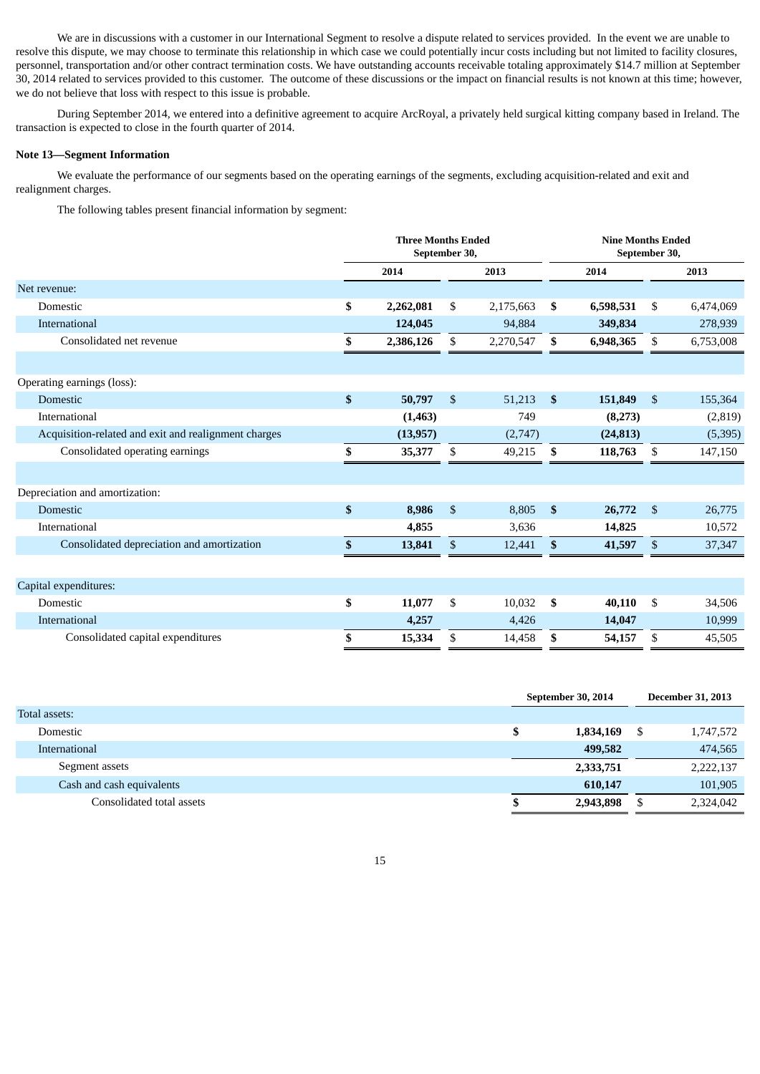We are in discussions with a customer in our International Segment to resolve a dispute related to services provided. In the event we are unable to resolve this dispute, we may choose to terminate this relationship in which case we could potentially incur costs including but not limited to facility closures, personnel, transportation and/or other contract termination costs. We have outstanding accounts receivable totaling approximately \$14.7 million at September 30, 2014 related to services provided to this customer. The outcome of these discussions or the impact on financial results is not known at this time; however, we do not believe that loss with respect to this issue is probable.

During September 2014, we entered into a definitive agreement to acquire ArcRoyal, a privately held surgical kitting company based in Ireland. The transaction is expected to close in the fourth quarter of 2014.

#### **Note 13—Segment Information**

We evaluate the performance of our segments based on the operating earnings of the segments, excluding acquisition-related and exit and realignment charges.

The following tables present financial information by segment:

|                                                      |                    | <b>Three Months Ended</b><br>September 30, |              |           | <b>Nine Months Ended</b><br>September 30, |           |                |           |
|------------------------------------------------------|--------------------|--------------------------------------------|--------------|-----------|-------------------------------------------|-----------|----------------|-----------|
|                                                      |                    | 2014                                       |              | 2013      |                                           | 2014      |                | 2013      |
| Net revenue:                                         |                    |                                            |              |           |                                           |           |                |           |
| Domestic                                             | \$                 | 2,262,081                                  | \$           | 2,175,663 | \$                                        | 6,598,531 | \$             | 6,474,069 |
| International                                        |                    | 124,045                                    |              | 94,884    |                                           | 349,834   |                | 278,939   |
| Consolidated net revenue                             | \$                 | 2,386,126                                  | \$           | 2,270,547 | \$                                        | 6,948,365 | \$             | 6,753,008 |
|                                                      |                    |                                            |              |           |                                           |           |                |           |
| Operating earnings (loss):                           |                    |                                            |              |           |                                           |           |                |           |
| Domestic                                             | \$                 | 50,797                                     | \$           | 51,213    | $\mathbf{s}$                              | 151,849   | $\mathfrak{F}$ | 155,364   |
| International                                        |                    | (1,463)                                    |              | 749       |                                           | (8,273)   |                | (2,819)   |
| Acquisition-related and exit and realignment charges |                    | (13, 957)                                  |              | (2,747)   |                                           | (24, 813) |                | (5, 395)  |
| Consolidated operating earnings                      | \$                 | 35,377                                     | \$           | 49,215    | \$                                        | 118,763   | \$             | 147,150   |
|                                                      |                    |                                            |              |           |                                           |           |                |           |
| Depreciation and amortization:                       |                    |                                            |              |           |                                           |           |                |           |
| Domestic                                             | \$                 | 8,986                                      | \$           | 8,805     | $\boldsymbol{\mathsf{s}}$                 | 26,772    | -\$            | 26,775    |
| International                                        |                    | 4,855                                      |              | 3,636     |                                           | 14,825    |                | 10,572    |
| Consolidated depreciation and amortization           | $\pmb{\mathbb{S}}$ | 13,841                                     | $\mathbb{S}$ | 12,441    | $\mathbf{s}$                              | 41,597    | $\mathfrak{F}$ | 37,347    |
|                                                      |                    |                                            |              |           |                                           |           |                |           |
| Capital expenditures:                                |                    |                                            |              |           |                                           |           |                |           |
| Domestic                                             | \$                 | 11,077                                     | \$           | 10,032    | \$                                        | 40,110    | \$             | 34,506    |
| International                                        |                    | 4,257                                      |              | 4,426     |                                           | 14,047    |                | 10,999    |
| Consolidated capital expenditures                    | \$                 | 15,334                                     | \$           | 14,458    | \$                                        | 54,157    | \$             | 45,505    |

|                           | September 30, 2014 |    | <b>December 31, 2013</b> |
|---------------------------|--------------------|----|--------------------------|
| Total assets:             |                    |    |                          |
| Domestic                  | \$<br>1,834,169    | S  | 1,747,572                |
| International             | 499,582            |    | 474,565                  |
| Segment assets            | 2,333,751          |    | 2,222,137                |
| Cash and cash equivalents | 610,147            |    | 101,905                  |
| Consolidated total assets | 2,943,898          | \$ | 2,324,042                |
|                           |                    |    |                          |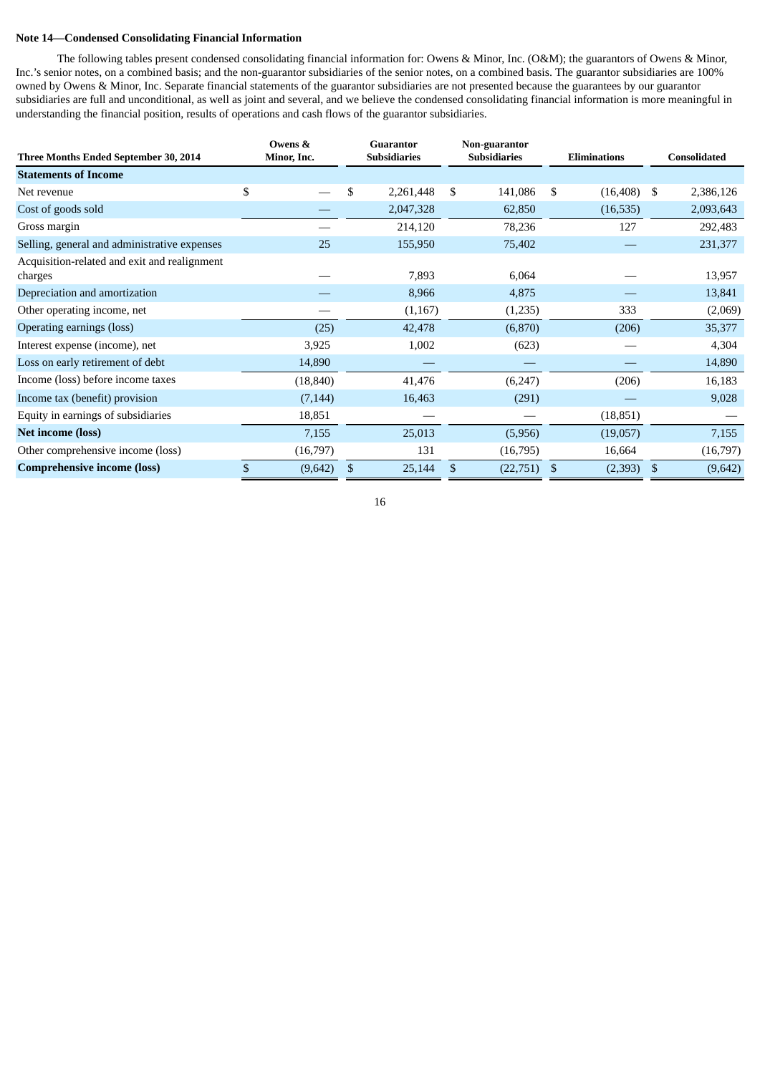## **Note 14—Condensed Consolidating Financial Information**

The following tables present condensed consolidating financial information for: Owens & Minor, Inc. (O&M); the guarantors of Owens & Minor, Inc.'s senior notes, on a combined basis; and the non-guarantor subsidiaries of the senior notes, on a combined basis. The guarantor subsidiaries are 100% owned by Owens & Minor, Inc. Separate financial statements of the guarantor subsidiaries are not presented because the guarantees by our guarantor subsidiaries are full and unconditional, as well as joint and several, and we believe the condensed consolidating financial information is more meaningful in understanding the financial position, results of operations and cash flows of the guarantor subsidiaries.

| Three Months Ended September 30, 2014                   | Owens &<br>Minor, Inc. | Guarantor<br><b>Subsidiaries</b> | Non-guarantor<br><b>Subsidiaries</b> |    | <b>Eliminations</b> |      | <b>Consolidated</b> |
|---------------------------------------------------------|------------------------|----------------------------------|--------------------------------------|----|---------------------|------|---------------------|
| <b>Statements of Income</b>                             |                        |                                  |                                      |    |                     |      |                     |
| Net revenue                                             | \$                     | \$<br>2,261,448                  | \$<br>141,086                        | \$ | $(16, 408)$ \$      |      | 2,386,126           |
| Cost of goods sold                                      |                        | 2,047,328                        | 62,850                               |    | (16, 535)           |      | 2,093,643           |
| Gross margin                                            |                        | 214,120                          | 78,236                               |    | 127                 |      | 292,483             |
| Selling, general and administrative expenses            | 25                     | 155,950                          | 75,402                               |    |                     |      | 231,377             |
| Acquisition-related and exit and realignment<br>charges |                        | 7,893                            | 6,064                                |    |                     |      | 13,957              |
| Depreciation and amortization                           |                        | 8,966                            | 4,875                                |    |                     |      | 13,841              |
| Other operating income, net                             |                        | (1,167)                          | (1,235)                              |    | 333                 |      | (2,069)             |
| Operating earnings (loss)                               | (25)                   | 42,478                           | (6,870)                              |    | (206)               |      | 35,377              |
| Interest expense (income), net                          | 3,925                  | 1,002                            | (623)                                |    |                     |      | 4,304               |
| Loss on early retirement of debt                        | 14,890                 |                                  |                                      |    |                     |      | 14,890              |
| Income (loss) before income taxes                       | (18, 840)              | 41,476                           | (6,247)                              |    | (206)               |      | 16,183              |
| Income tax (benefit) provision                          | (7, 144)               | 16,463                           | (291)                                |    |                     |      | 9,028               |
| Equity in earnings of subsidiaries                      | 18,851                 |                                  |                                      |    | (18, 851)           |      |                     |
| <b>Net income (loss)</b>                                | 7,155                  | 25,013                           | (5,956)                              |    | (19,057)            |      | 7,155               |
| Other comprehensive income (loss)                       | (16,797)               | 131                              | (16,795)                             |    | 16,664              |      | (16,797)            |
| <b>Comprehensive income (loss)</b>                      | \$<br>(9,642)          | \$<br>25,144                     | \$<br>(22, 751)                      | \$ | (2,393)             | - \$ | (9,642)             |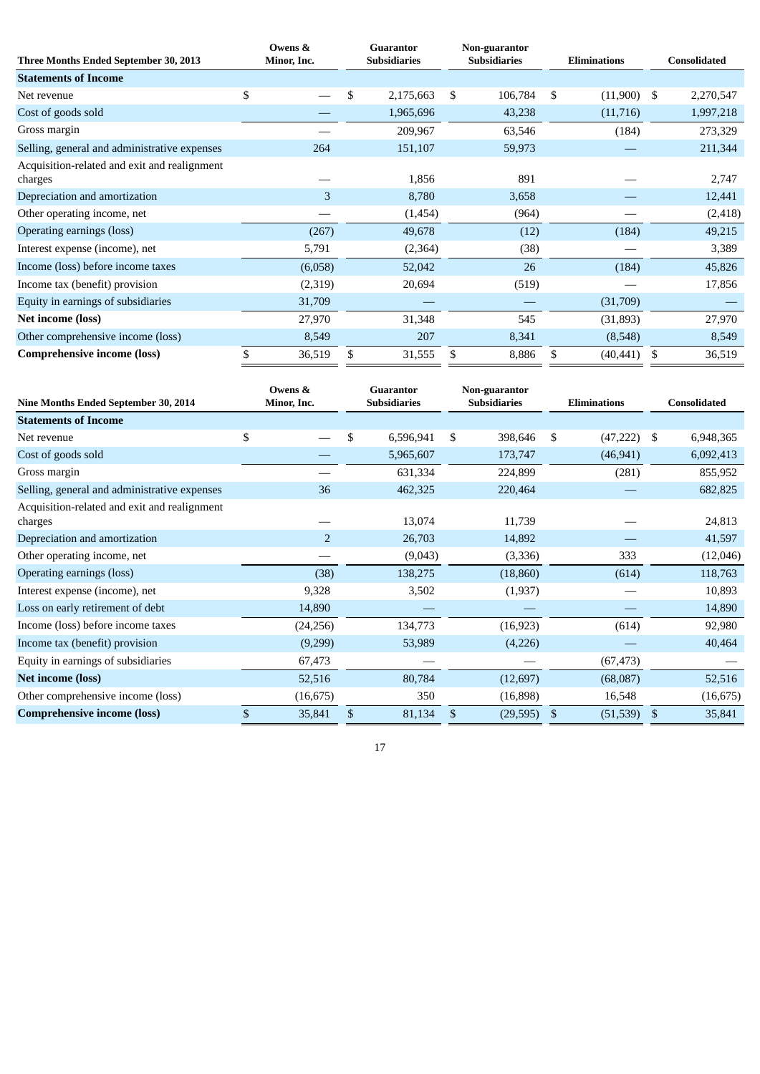| Three Months Ended September 30, 2013                   | Owens &<br>Minor, Inc. | Guarantor<br><b>Subsidiaries</b> |    | Non-guarantor<br>Subsidiaries | <b>Eliminations</b> | <b>Consolidated</b> |
|---------------------------------------------------------|------------------------|----------------------------------|----|-------------------------------|---------------------|---------------------|
| <b>Statements of Income</b>                             |                        |                                  |    |                               |                     |                     |
| Net revenue                                             | \$                     | \$<br>2,175,663                  | \$ | 106,784                       | \$<br>$(11,900)$ \$ | 2,270,547           |
| Cost of goods sold                                      |                        | 1,965,696                        |    | 43,238                        | (11,716)            | 1,997,218           |
| Gross margin                                            |                        | 209,967                          |    | 63,546                        | (184)               | 273,329             |
| Selling, general and administrative expenses            | 264                    | 151,107                          |    | 59,973                        |                     | 211,344             |
| Acquisition-related and exit and realignment<br>charges |                        | 1,856                            |    | 891                           |                     | 2,747               |
| Depreciation and amortization                           | 3                      | 8,780                            |    | 3,658                         |                     | 12,441              |
| Other operating income, net                             |                        | (1,454)                          |    | (964)                         |                     | (2, 418)            |
| Operating earnings (loss)                               | (267)                  | 49,678                           |    | (12)                          | (184)               | 49,215              |
| Interest expense (income), net                          | 5,791                  | (2,364)                          |    | (38)                          |                     | 3,389               |
| Income (loss) before income taxes                       | (6,058)                | 52,042                           |    | 26                            | (184)               | 45,826              |
| Income tax (benefit) provision                          | (2,319)                | 20,694                           |    | (519)                         |                     | 17,856              |
| Equity in earnings of subsidiaries                      | 31,709                 |                                  |    |                               | (31,709)            |                     |
| <b>Net income (loss)</b>                                | 27,970                 | 31,348                           |    | 545                           | (31,893)            | 27,970              |
| Other comprehensive income (loss)                       | 8,549                  | 207                              |    | 8,341                         | (8,548)             | 8,549               |
| <b>Comprehensive income (loss)</b>                      | \$<br>36,519           | \$<br>31,555                     | S  | 8,886                         | \$<br>(40, 441)     | \$<br>36,519        |

| Nine Months Ended September 30, 2014                    | Owens &<br>Minor, Inc. | Guarantor<br><b>Subsidiaries</b> | Non-guarantor<br><b>Subsidiaries</b> | <b>Eliminations</b> |           |      | <b>Consolidated</b> |
|---------------------------------------------------------|------------------------|----------------------------------|--------------------------------------|---------------------|-----------|------|---------------------|
| <b>Statements of Income</b>                             |                        |                                  |                                      |                     |           |      |                     |
| Net revenue                                             | \$                     | \$<br>6,596,941                  | \$<br>398,646                        | \$                  | (47, 222) | -S   | 6,948,365           |
| Cost of goods sold                                      |                        | 5,965,607                        | 173,747                              |                     | (46, 941) |      | 6,092,413           |
| Gross margin                                            |                        | 631,334                          | 224,899                              |                     | (281)     |      | 855,952             |
| Selling, general and administrative expenses            | 36                     | 462,325                          | 220,464                              |                     |           |      | 682,825             |
| Acquisition-related and exit and realignment<br>charges |                        | 13,074                           | 11,739                               |                     |           |      | 24,813              |
| Depreciation and amortization                           | $\overline{2}$         | 26,703                           | 14,892                               |                     |           |      | 41,597              |
| Other operating income, net                             |                        | (9,043)                          | (3,336)                              |                     | 333       |      | (12,046)            |
| Operating earnings (loss)                               | (38)                   | 138,275                          | (18, 860)                            |                     | (614)     |      | 118,763             |
| Interest expense (income), net                          | 9,328                  | 3,502                            | (1,937)                              |                     |           |      | 10,893              |
| Loss on early retirement of debt                        | 14,890                 |                                  |                                      |                     |           |      | 14,890              |
| Income (loss) before income taxes                       | (24, 256)              | 134,773                          | (16, 923)                            |                     | (614)     |      | 92,980              |
| Income tax (benefit) provision                          | (9,299)                | 53,989                           | (4,226)                              |                     |           |      | 40,464              |
| Equity in earnings of subsidiaries                      | 67,473                 |                                  |                                      |                     | (67, 473) |      |                     |
| <b>Net income (loss)</b>                                | 52,516                 | 80,784                           | (12,697)                             |                     | (68,087)  |      | 52,516              |
| Other comprehensive income (loss)                       | (16, 675)              | 350                              | (16,898)                             |                     | 16,548    |      | (16, 675)           |
| <b>Comprehensive income (loss)</b>                      | \$<br>35,841           | \$<br>81,134                     | \$<br>(29, 595)                      | \$                  | (51, 539) | - \$ | 35,841              |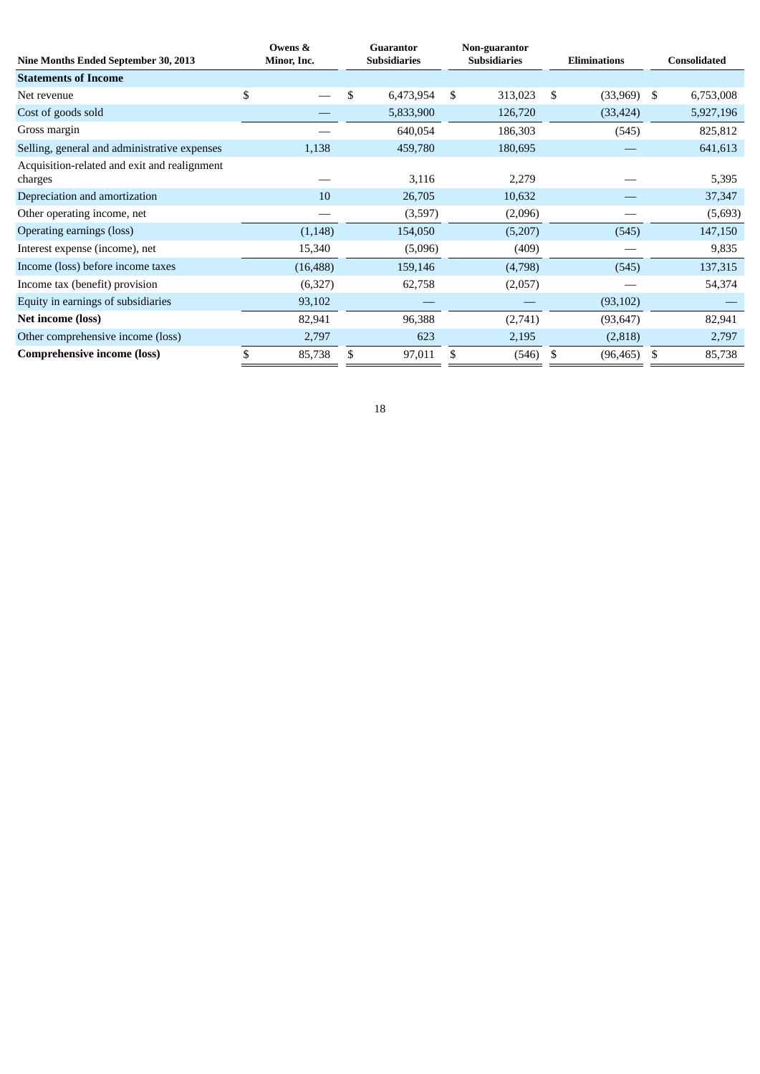| <b>Nine Months Ended September 30, 2013</b>             | Owens &<br>Minor, Inc. | Guarantor<br><b>Subsidiaries</b> | Non-guarantor<br><b>Subsidiaries</b> |         | <b>Eliminations</b> |           |     | <b>Consolidated</b> |
|---------------------------------------------------------|------------------------|----------------------------------|--------------------------------------|---------|---------------------|-----------|-----|---------------------|
| <b>Statements of Income</b>                             |                        |                                  |                                      |         |                     |           |     |                     |
| Net revenue                                             | \$                     | \$<br>6,473,954                  | S                                    | 313,023 | \$                  | (33,969)  | -\$ | 6,753,008           |
| Cost of goods sold                                      |                        | 5,833,900                        |                                      | 126,720 |                     | (33, 424) |     | 5,927,196           |
| Gross margin                                            |                        | 640,054                          |                                      | 186,303 |                     | (545)     |     | 825,812             |
| Selling, general and administrative expenses            | 1,138                  | 459,780                          |                                      | 180,695 |                     |           |     | 641,613             |
| Acquisition-related and exit and realignment<br>charges |                        | 3,116                            |                                      | 2,279   |                     |           |     | 5,395               |
| Depreciation and amortization                           | 10                     | 26,705                           |                                      | 10,632  |                     |           |     | 37,347              |
| Other operating income, net                             |                        | (3,597)                          |                                      | (2,096) |                     |           |     | (5,693)             |
| Operating earnings (loss)                               | (1, 148)               | 154,050                          |                                      | (5,207) |                     | (545)     |     | 147,150             |
| Interest expense (income), net                          | 15,340                 | (5,096)                          |                                      | (409)   |                     |           |     | 9,835               |
| Income (loss) before income taxes                       | (16, 488)              | 159,146                          |                                      | (4,798) |                     | (545)     |     | 137,315             |
| Income tax (benefit) provision                          | (6,327)                | 62,758                           |                                      | (2,057) |                     |           |     | 54,374              |
| Equity in earnings of subsidiaries                      | 93,102                 |                                  |                                      |         |                     | (93, 102) |     |                     |
| <b>Net income (loss)</b>                                | 82,941                 | 96,388                           |                                      | (2,741) |                     | (93, 647) |     | 82,941              |
| Other comprehensive income (loss)                       | 2,797                  | 623                              |                                      | 2,195   |                     | (2,818)   |     | 2,797               |
| Comprehensive income (loss)                             | \$<br>85,738           | \$<br>97,011                     |                                      | (546)   | \$                  | (96, 465) | \$  | 85,738              |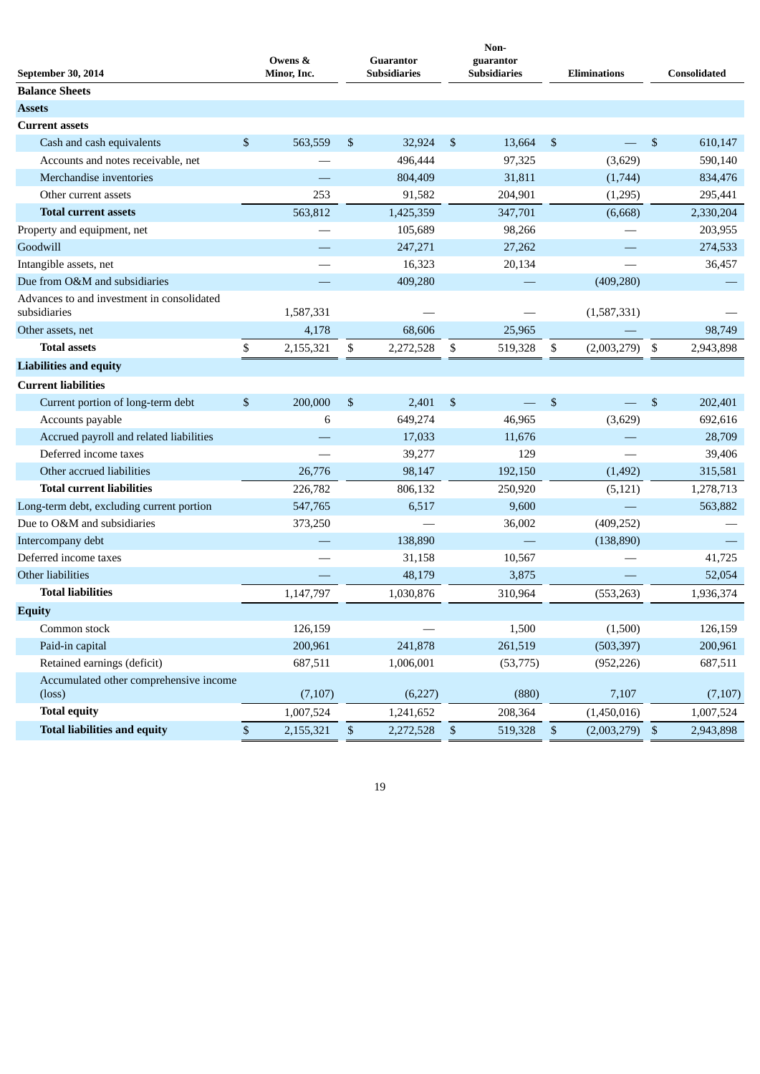| September 30, 2014                                         | Owens &<br>Minor, Inc. |              | <b>Guarantor</b><br>Subsidiaries | Non-<br>guarantor<br><b>Subsidiaries</b> | <b>Eliminations</b>    |                | Consolidated |
|------------------------------------------------------------|------------------------|--------------|----------------------------------|------------------------------------------|------------------------|----------------|--------------|
| <b>Balance Sheets</b>                                      |                        |              |                                  |                                          |                        |                |              |
| <b>Assets</b>                                              |                        |              |                                  |                                          |                        |                |              |
| <b>Current assets</b>                                      |                        |              |                                  |                                          |                        |                |              |
| Cash and cash equivalents                                  | \$<br>563,559          | \$           | 32,924                           | \$<br>13,664                             | \$                     | \$             | 610,147      |
| Accounts and notes receivable, net                         |                        |              | 496,444                          | 97,325                                   | (3,629)                |                | 590,140      |
| Merchandise inventories                                    |                        |              | 804,409                          | 31,811                                   | (1,744)                |                | 834,476      |
| Other current assets                                       | 253                    |              | 91,582                           | 204,901                                  | (1,295)                |                | 295,441      |
| <b>Total current assets</b>                                | 563,812                |              | 1,425,359                        | 347,701                                  | (6,668)                |                | 2,330,204    |
| Property and equipment, net                                |                        |              | 105,689                          | 98,266                                   |                        |                | 203,955      |
| Goodwill                                                   |                        |              | 247,271                          | 27,262                                   |                        |                | 274,533      |
| Intangible assets, net                                     |                        |              | 16,323                           | 20,134                                   |                        |                | 36,457       |
| Due from O&M and subsidiaries                              |                        |              | 409,280                          |                                          | (409, 280)             |                |              |
| Advances to and investment in consolidated<br>subsidiaries | 1,587,331              |              |                                  |                                          | (1,587,331)            |                |              |
| Other assets, net                                          | 4,178                  |              | 68,606                           | 25,965                                   |                        |                | 98,749       |
| <b>Total assets</b>                                        | \$<br>2,155,321        | \$           | 2,272,528                        | \$<br>519,328                            | \$<br>(2,003,279)      | \$             | 2,943,898    |
| <b>Liabilities and equity</b>                              |                        |              |                                  |                                          |                        |                |              |
| <b>Current liabilities</b>                                 |                        |              |                                  |                                          |                        |                |              |
| Current portion of long-term debt                          | \$<br>200,000          | \$           | 2,401                            | \$                                       | \$                     | $\mathfrak{s}$ | 202,401      |
| Accounts payable                                           | 6                      |              | 649,274                          | 46,965                                   | (3,629)                |                | 692,616      |
| Accrued payroll and related liabilities                    |                        |              | 17,033                           | 11,676                                   |                        |                | 28,709       |
| Deferred income taxes                                      |                        |              | 39,277                           | 129                                      |                        |                | 39,406       |
| Other accrued liabilities                                  | 26,776                 |              | 98,147                           | 192,150                                  | (1, 492)               |                | 315,581      |
| <b>Total current liabilities</b>                           | 226,782                |              | 806,132                          | 250,920                                  | (5, 121)               |                | 1,278,713    |
| Long-term debt, excluding current portion                  | 547,765                |              | 6,517                            | 9,600                                    |                        |                | 563,882      |
| Due to O&M and subsidiaries                                | 373,250                |              |                                  | 36,002                                   | (409, 252)             |                |              |
| Intercompany debt                                          |                        |              | 138,890                          |                                          | (138, 890)             |                |              |
| Deferred income taxes                                      |                        |              | 31,158                           | 10,567                                   |                        |                | 41,725       |
| Other liabilities                                          |                        |              | 48,179                           | 3,875                                    |                        |                | 52,054       |
| <b>Total liabilities</b>                                   | 1,147,797              |              | 1,030,876                        | 310,964                                  | (553, 263)             |                | 1,936,374    |
| <b>Equity</b>                                              |                        |              |                                  |                                          |                        |                |              |
| Common stock                                               | 126,159                |              |                                  | 1,500                                    | (1,500)                |                | 126,159      |
| Paid-in capital                                            | 200,961                |              | 241,878                          | 261,519                                  | (503, 397)             |                | 200,961      |
| Retained earnings (deficit)                                | 687,511                |              | 1,006,001                        | (53, 775)                                | (952, 226)             |                | 687,511      |
| Accumulated other comprehensive income<br>$(\text{loss})$  | (7, 107)               |              | (6,227)                          | (880)                                    | 7,107                  |                | (7, 107)     |
| <b>Total equity</b>                                        | 1,007,524              |              | 1,241,652                        | 208,364                                  | (1,450,016)            |                | 1,007,524    |
| <b>Total liabilities and equity</b>                        | \$<br>2,155,321        | $\mathbb{S}$ | 2,272,528                        | \$<br>519,328                            | \$<br>$(2,003,279)$ \$ |                | 2,943,898    |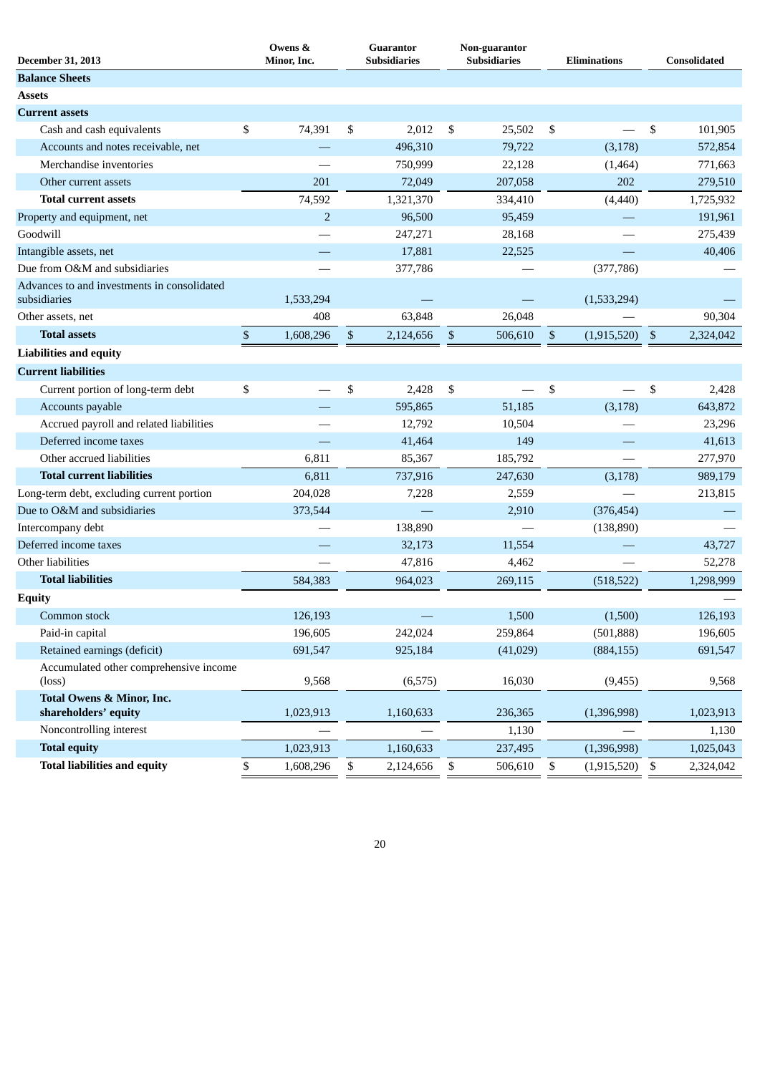| December 31, 2013                                            | Owens &<br>Minor, Inc. |               | <b>Guarantor</b><br><b>Subsidiaries</b> | Non-guarantor<br><b>Subsidiaries</b> | <b>Eliminations</b> |             | <b>Consolidated</b> |           |
|--------------------------------------------------------------|------------------------|---------------|-----------------------------------------|--------------------------------------|---------------------|-------------|---------------------|-----------|
| <b>Balance Sheets</b>                                        |                        |               |                                         |                                      |                     |             |                     |           |
| Assets                                                       |                        |               |                                         |                                      |                     |             |                     |           |
| <b>Current assets</b>                                        |                        |               |                                         |                                      |                     |             |                     |           |
| Cash and cash equivalents                                    | \$<br>74,391           | \$            | 2,012                                   | \$<br>25,502                         | \$                  |             | \$                  | 101,905   |
| Accounts and notes receivable, net                           |                        |               | 496,310                                 | 79,722                               |                     | (3, 178)    |                     | 572,854   |
| Merchandise inventories                                      |                        |               | 750,999                                 | 22,128                               |                     | (1,464)     |                     | 771,663   |
| Other current assets                                         | 201                    |               | 72,049                                  | 207,058                              |                     | 202         |                     | 279,510   |
| <b>Total current assets</b>                                  | 74,592                 |               | 1,321,370                               | 334,410                              |                     | (4, 440)    |                     | 1,725,932 |
| Property and equipment, net                                  | $\overline{2}$         |               | 96,500                                  | 95,459                               |                     |             |                     | 191,961   |
| Goodwill                                                     |                        |               | 247,271                                 | 28,168                               |                     |             |                     | 275,439   |
| Intangible assets, net                                       |                        |               | 17,881                                  | 22,525                               |                     |             |                     | 40,406    |
| Due from O&M and subsidiaries                                |                        |               | 377,786                                 |                                      |                     | (377,786)   |                     |           |
| Advances to and investments in consolidated                  |                        |               |                                         |                                      |                     |             |                     |           |
| subsidiaries                                                 | 1,533,294              |               |                                         |                                      |                     | (1,533,294) |                     |           |
| Other assets, net                                            | 408                    |               | 63,848                                  | 26,048                               |                     |             |                     | 90,304    |
| <b>Total assets</b>                                          | \$<br>1,608,296        | \$            | 2,124,656                               | \$<br>506,610                        | \$                  | (1,915,520) | \$                  | 2,324,042 |
| <b>Liabilities and equity</b>                                |                        |               |                                         |                                      |                     |             |                     |           |
| <b>Current liabilities</b>                                   |                        |               |                                         |                                      |                     |             |                     |           |
| Current portion of long-term debt                            | \$                     | \$            | 2,428                                   | \$                                   | \$                  |             | \$                  | 2,428     |
| Accounts payable                                             |                        |               | 595,865                                 | 51,185                               |                     | (3, 178)    |                     | 643,872   |
| Accrued payroll and related liabilities                      |                        |               | 12,792                                  | 10,504                               |                     |             |                     | 23,296    |
| Deferred income taxes                                        |                        |               | 41,464                                  | 149                                  |                     |             |                     | 41,613    |
| Other accrued liabilities                                    | 6,811                  |               | 85,367                                  | 185,792                              |                     |             |                     | 277,970   |
| <b>Total current liabilities</b>                             | 6,811                  |               | 737,916                                 | 247,630                              |                     | (3, 178)    |                     | 989,179   |
| Long-term debt, excluding current portion                    | 204,028                |               | 7,228                                   | 2,559                                |                     |             |                     | 213,815   |
| Due to O&M and subsidiaries                                  | 373,544                |               |                                         | 2,910                                |                     | (376, 454)  |                     |           |
| Intercompany debt                                            |                        |               | 138,890                                 |                                      |                     | (138, 890)  |                     |           |
| Deferred income taxes                                        |                        |               | 32,173                                  | 11,554                               |                     |             |                     | 43,727    |
| Other liabilities                                            |                        |               | 47,816                                  | 4,462                                |                     |             |                     | 52,278    |
| <b>Total liabilities</b>                                     | 584,383                |               | 964,023                                 | 269,115                              |                     | (518, 522)  |                     | 1,298,999 |
| <b>Equity</b>                                                |                        |               |                                         |                                      |                     |             |                     |           |
| Common stock                                                 | 126,193                |               |                                         | 1,500                                |                     | (1,500)     |                     | 126,193   |
| Paid-in capital                                              | 196,605                |               | 242,024                                 | 259,864                              |                     | (501, 888)  |                     | 196,605   |
| Retained earnings (deficit)                                  | 691,547                |               | 925,184                                 | (41,029)                             |                     | (884, 155)  |                     | 691,547   |
| Accumulated other comprehensive income<br>(loss)             | 9,568                  |               | (6, 575)                                | 16,030                               |                     | (9, 455)    |                     | 9,568     |
| <b>Total Owens &amp; Minor, Inc.</b><br>shareholders' equity | 1,023,913              |               | 1,160,633                               | 236,365                              |                     | (1,396,998) |                     | 1,023,913 |
| Noncontrolling interest                                      |                        |               |                                         | 1,130                                |                     |             |                     | 1,130     |
| <b>Total equity</b>                                          | 1,023,913              |               | 1,160,633                               | 237,495                              |                     | (1,396,998) |                     | 1,025,043 |
| <b>Total liabilities and equity</b>                          | \$<br>1,608,296        | $\mathfrak s$ | 2,124,656                               | \$<br>506,610                        | \$                  | (1,915,520) | \$                  | 2,324,042 |
|                                                              |                        |               |                                         |                                      |                     |             |                     |           |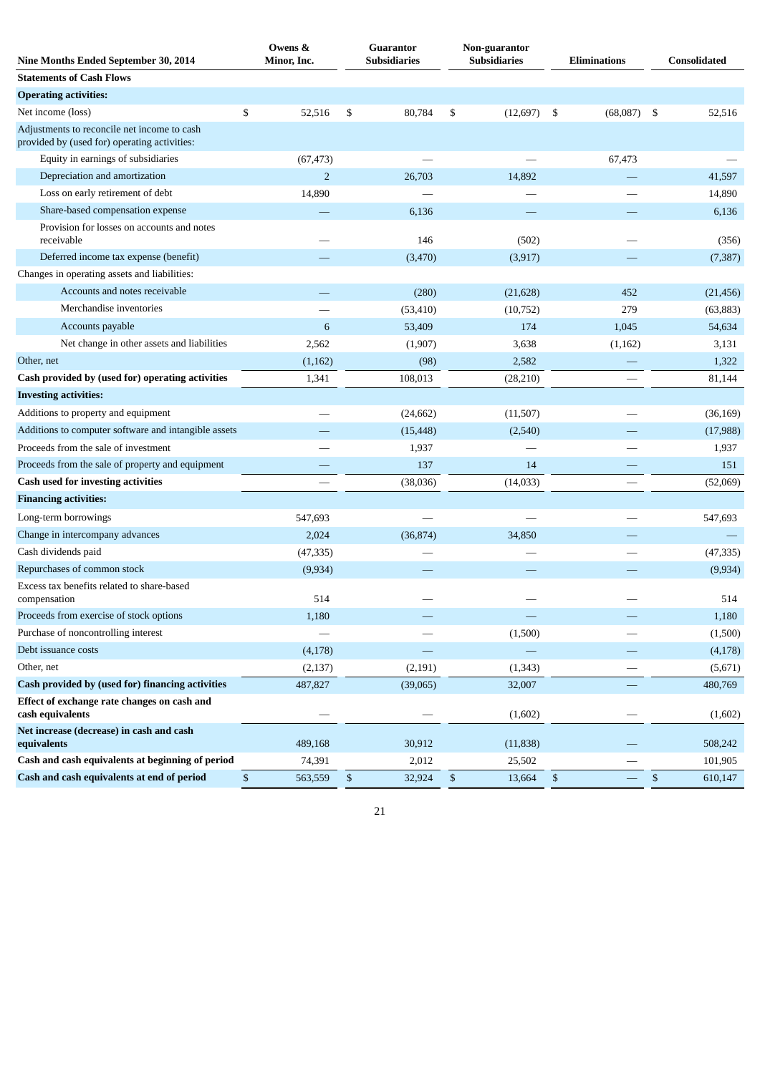| <b>Statements of Cash Flows</b><br><b>Operating activities:</b><br>Net income (loss)<br>\$<br>52,516<br>\$<br>80,784<br>\$<br>(12, 697)<br>\$<br>$(68,087)$ \$<br>52,516<br>Adjustments to reconcile net income to cash<br>provided by (used for) operating activities:<br>Equity in earnings of subsidiaries<br>67,473<br>(67, 473)<br>Depreciation and amortization<br>26,703<br>14,892<br>2<br>41,597<br>Loss on early retirement of debt<br>14,890<br>14,890<br>Share-based compensation expense<br>6,136<br>6,136<br>Provision for losses on accounts and notes<br>receivable<br>146<br>(502)<br>(356)<br>Deferred income tax expense (benefit)<br>(3,470)<br>(3,917)<br>(7, 387)<br>Changes in operating assets and liabilities:<br>Accounts and notes receivable<br>452<br>(280)<br>(21, 628)<br>(21, 456)<br>Merchandise inventories<br>279<br>(53, 410)<br>(10,752)<br>(63, 883)<br>Accounts payable<br>174<br>6<br>53,409<br>1,045<br>54,634<br>Net change in other assets and liabilities<br>2,562<br>3,638<br>3,131<br>(1,907)<br>(1, 162)<br>Other, net<br>(1, 162)<br>(98)<br>2,582<br>1,322<br>Cash provided by (used for) operating activities<br>1,341<br>108,013<br>(28, 210)<br>81,144<br><b>Investing activities:</b><br>Additions to property and equipment<br>(11,507)<br>(36, 169)<br>(24, 662)<br>Additions to computer software and intangible assets<br>(15, 448)<br>(2,540)<br>(17,988)<br>Proceeds from the sale of investment<br>1,937<br>1,937<br>Proceeds from the sale of property and equipment<br>137<br>151<br>14<br><b>Cash used for investing activities</b><br>(38,036)<br>(14, 033)<br>(52,069)<br><b>Financing activities:</b><br>Long-term borrowings<br>547,693<br>547,693<br>Change in intercompany advances<br>2,024<br>(36, 874)<br>34,850<br>Cash dividends paid<br>(47, 335)<br>(47, 335)<br>Repurchases of common stock<br>(9,934)<br>(9,934)<br>Excess tax benefits related to share-based<br>514<br>514<br>compensation<br>Proceeds from exercise of stock options<br>1,180<br>1,180<br>Purchase of noncontrolling interest<br>(1,500)<br>(1,500)<br>Debt issuance costs<br>(4, 178)<br>(4,178)<br>Other, net<br>(2, 137)<br>(2, 191)<br>(1, 343)<br>(5,671)<br>Cash provided by (used for) financing activities<br>487,827<br>(39,065)<br>32,007<br>480,769<br>Effect of exchange rate changes on cash and<br>cash equivalents<br>(1,602)<br>(1,602)<br>Net increase (decrease) in cash and cash<br>equivalents<br>489,168<br>30,912<br>(11, 838)<br>508,242<br>Cash and cash equivalents at beginning of period<br>74,391<br>2,012<br>25,502<br>101,905 | Nine Months Ended September 30, 2014       |               | Owens &<br>Minor, Inc. | <b>Guarantor</b><br><b>Subsidiaries</b> | Non-guarantor<br><b>Subsidiaries</b> |      | <b>Eliminations</b> |              | Consolidated |
|-------------------------------------------------------------------------------------------------------------------------------------------------------------------------------------------------------------------------------------------------------------------------------------------------------------------------------------------------------------------------------------------------------------------------------------------------------------------------------------------------------------------------------------------------------------------------------------------------------------------------------------------------------------------------------------------------------------------------------------------------------------------------------------------------------------------------------------------------------------------------------------------------------------------------------------------------------------------------------------------------------------------------------------------------------------------------------------------------------------------------------------------------------------------------------------------------------------------------------------------------------------------------------------------------------------------------------------------------------------------------------------------------------------------------------------------------------------------------------------------------------------------------------------------------------------------------------------------------------------------------------------------------------------------------------------------------------------------------------------------------------------------------------------------------------------------------------------------------------------------------------------------------------------------------------------------------------------------------------------------------------------------------------------------------------------------------------------------------------------------------------------------------------------------------------------------------------------------------------------------------------------------------------------------------------------------------------------------------------------------------------------------------------------------------------------------------------------------------------------------------------------------------------------------------------------------------------------------------------------|--------------------------------------------|---------------|------------------------|-----------------------------------------|--------------------------------------|------|---------------------|--------------|--------------|
|                                                                                                                                                                                                                                                                                                                                                                                                                                                                                                                                                                                                                                                                                                                                                                                                                                                                                                                                                                                                                                                                                                                                                                                                                                                                                                                                                                                                                                                                                                                                                                                                                                                                                                                                                                                                                                                                                                                                                                                                                                                                                                                                                                                                                                                                                                                                                                                                                                                                                                                                                                                                             |                                            |               |                        |                                         |                                      |      |                     |              |              |
|                                                                                                                                                                                                                                                                                                                                                                                                                                                                                                                                                                                                                                                                                                                                                                                                                                                                                                                                                                                                                                                                                                                                                                                                                                                                                                                                                                                                                                                                                                                                                                                                                                                                                                                                                                                                                                                                                                                                                                                                                                                                                                                                                                                                                                                                                                                                                                                                                                                                                                                                                                                                             |                                            |               |                        |                                         |                                      |      |                     |              |              |
|                                                                                                                                                                                                                                                                                                                                                                                                                                                                                                                                                                                                                                                                                                                                                                                                                                                                                                                                                                                                                                                                                                                                                                                                                                                                                                                                                                                                                                                                                                                                                                                                                                                                                                                                                                                                                                                                                                                                                                                                                                                                                                                                                                                                                                                                                                                                                                                                                                                                                                                                                                                                             |                                            |               |                        |                                         |                                      |      |                     |              |              |
|                                                                                                                                                                                                                                                                                                                                                                                                                                                                                                                                                                                                                                                                                                                                                                                                                                                                                                                                                                                                                                                                                                                                                                                                                                                                                                                                                                                                                                                                                                                                                                                                                                                                                                                                                                                                                                                                                                                                                                                                                                                                                                                                                                                                                                                                                                                                                                                                                                                                                                                                                                                                             |                                            |               |                        |                                         |                                      |      |                     |              |              |
|                                                                                                                                                                                                                                                                                                                                                                                                                                                                                                                                                                                                                                                                                                                                                                                                                                                                                                                                                                                                                                                                                                                                                                                                                                                                                                                                                                                                                                                                                                                                                                                                                                                                                                                                                                                                                                                                                                                                                                                                                                                                                                                                                                                                                                                                                                                                                                                                                                                                                                                                                                                                             |                                            |               |                        |                                         |                                      |      |                     |              |              |
|                                                                                                                                                                                                                                                                                                                                                                                                                                                                                                                                                                                                                                                                                                                                                                                                                                                                                                                                                                                                                                                                                                                                                                                                                                                                                                                                                                                                                                                                                                                                                                                                                                                                                                                                                                                                                                                                                                                                                                                                                                                                                                                                                                                                                                                                                                                                                                                                                                                                                                                                                                                                             |                                            |               |                        |                                         |                                      |      |                     |              |              |
|                                                                                                                                                                                                                                                                                                                                                                                                                                                                                                                                                                                                                                                                                                                                                                                                                                                                                                                                                                                                                                                                                                                                                                                                                                                                                                                                                                                                                                                                                                                                                                                                                                                                                                                                                                                                                                                                                                                                                                                                                                                                                                                                                                                                                                                                                                                                                                                                                                                                                                                                                                                                             |                                            |               |                        |                                         |                                      |      |                     |              |              |
|                                                                                                                                                                                                                                                                                                                                                                                                                                                                                                                                                                                                                                                                                                                                                                                                                                                                                                                                                                                                                                                                                                                                                                                                                                                                                                                                                                                                                                                                                                                                                                                                                                                                                                                                                                                                                                                                                                                                                                                                                                                                                                                                                                                                                                                                                                                                                                                                                                                                                                                                                                                                             |                                            |               |                        |                                         |                                      |      |                     |              |              |
|                                                                                                                                                                                                                                                                                                                                                                                                                                                                                                                                                                                                                                                                                                                                                                                                                                                                                                                                                                                                                                                                                                                                                                                                                                                                                                                                                                                                                                                                                                                                                                                                                                                                                                                                                                                                                                                                                                                                                                                                                                                                                                                                                                                                                                                                                                                                                                                                                                                                                                                                                                                                             |                                            |               |                        |                                         |                                      |      |                     |              |              |
|                                                                                                                                                                                                                                                                                                                                                                                                                                                                                                                                                                                                                                                                                                                                                                                                                                                                                                                                                                                                                                                                                                                                                                                                                                                                                                                                                                                                                                                                                                                                                                                                                                                                                                                                                                                                                                                                                                                                                                                                                                                                                                                                                                                                                                                                                                                                                                                                                                                                                                                                                                                                             |                                            |               |                        |                                         |                                      |      |                     |              |              |
|                                                                                                                                                                                                                                                                                                                                                                                                                                                                                                                                                                                                                                                                                                                                                                                                                                                                                                                                                                                                                                                                                                                                                                                                                                                                                                                                                                                                                                                                                                                                                                                                                                                                                                                                                                                                                                                                                                                                                                                                                                                                                                                                                                                                                                                                                                                                                                                                                                                                                                                                                                                                             |                                            |               |                        |                                         |                                      |      |                     |              |              |
|                                                                                                                                                                                                                                                                                                                                                                                                                                                                                                                                                                                                                                                                                                                                                                                                                                                                                                                                                                                                                                                                                                                                                                                                                                                                                                                                                                                                                                                                                                                                                                                                                                                                                                                                                                                                                                                                                                                                                                                                                                                                                                                                                                                                                                                                                                                                                                                                                                                                                                                                                                                                             |                                            |               |                        |                                         |                                      |      |                     |              |              |
|                                                                                                                                                                                                                                                                                                                                                                                                                                                                                                                                                                                                                                                                                                                                                                                                                                                                                                                                                                                                                                                                                                                                                                                                                                                                                                                                                                                                                                                                                                                                                                                                                                                                                                                                                                                                                                                                                                                                                                                                                                                                                                                                                                                                                                                                                                                                                                                                                                                                                                                                                                                                             |                                            |               |                        |                                         |                                      |      |                     |              |              |
|                                                                                                                                                                                                                                                                                                                                                                                                                                                                                                                                                                                                                                                                                                                                                                                                                                                                                                                                                                                                                                                                                                                                                                                                                                                                                                                                                                                                                                                                                                                                                                                                                                                                                                                                                                                                                                                                                                                                                                                                                                                                                                                                                                                                                                                                                                                                                                                                                                                                                                                                                                                                             |                                            |               |                        |                                         |                                      |      |                     |              |              |
|                                                                                                                                                                                                                                                                                                                                                                                                                                                                                                                                                                                                                                                                                                                                                                                                                                                                                                                                                                                                                                                                                                                                                                                                                                                                                                                                                                                                                                                                                                                                                                                                                                                                                                                                                                                                                                                                                                                                                                                                                                                                                                                                                                                                                                                                                                                                                                                                                                                                                                                                                                                                             |                                            |               |                        |                                         |                                      |      |                     |              |              |
|                                                                                                                                                                                                                                                                                                                                                                                                                                                                                                                                                                                                                                                                                                                                                                                                                                                                                                                                                                                                                                                                                                                                                                                                                                                                                                                                                                                                                                                                                                                                                                                                                                                                                                                                                                                                                                                                                                                                                                                                                                                                                                                                                                                                                                                                                                                                                                                                                                                                                                                                                                                                             |                                            |               |                        |                                         |                                      |      |                     |              |              |
|                                                                                                                                                                                                                                                                                                                                                                                                                                                                                                                                                                                                                                                                                                                                                                                                                                                                                                                                                                                                                                                                                                                                                                                                                                                                                                                                                                                                                                                                                                                                                                                                                                                                                                                                                                                                                                                                                                                                                                                                                                                                                                                                                                                                                                                                                                                                                                                                                                                                                                                                                                                                             |                                            |               |                        |                                         |                                      |      |                     |              |              |
|                                                                                                                                                                                                                                                                                                                                                                                                                                                                                                                                                                                                                                                                                                                                                                                                                                                                                                                                                                                                                                                                                                                                                                                                                                                                                                                                                                                                                                                                                                                                                                                                                                                                                                                                                                                                                                                                                                                                                                                                                                                                                                                                                                                                                                                                                                                                                                                                                                                                                                                                                                                                             |                                            |               |                        |                                         |                                      |      |                     |              |              |
|                                                                                                                                                                                                                                                                                                                                                                                                                                                                                                                                                                                                                                                                                                                                                                                                                                                                                                                                                                                                                                                                                                                                                                                                                                                                                                                                                                                                                                                                                                                                                                                                                                                                                                                                                                                                                                                                                                                                                                                                                                                                                                                                                                                                                                                                                                                                                                                                                                                                                                                                                                                                             |                                            |               |                        |                                         |                                      |      |                     |              |              |
|                                                                                                                                                                                                                                                                                                                                                                                                                                                                                                                                                                                                                                                                                                                                                                                                                                                                                                                                                                                                                                                                                                                                                                                                                                                                                                                                                                                                                                                                                                                                                                                                                                                                                                                                                                                                                                                                                                                                                                                                                                                                                                                                                                                                                                                                                                                                                                                                                                                                                                                                                                                                             |                                            |               |                        |                                         |                                      |      |                     |              |              |
|                                                                                                                                                                                                                                                                                                                                                                                                                                                                                                                                                                                                                                                                                                                                                                                                                                                                                                                                                                                                                                                                                                                                                                                                                                                                                                                                                                                                                                                                                                                                                                                                                                                                                                                                                                                                                                                                                                                                                                                                                                                                                                                                                                                                                                                                                                                                                                                                                                                                                                                                                                                                             |                                            |               |                        |                                         |                                      |      |                     |              |              |
|                                                                                                                                                                                                                                                                                                                                                                                                                                                                                                                                                                                                                                                                                                                                                                                                                                                                                                                                                                                                                                                                                                                                                                                                                                                                                                                                                                                                                                                                                                                                                                                                                                                                                                                                                                                                                                                                                                                                                                                                                                                                                                                                                                                                                                                                                                                                                                                                                                                                                                                                                                                                             |                                            |               |                        |                                         |                                      |      |                     |              |              |
|                                                                                                                                                                                                                                                                                                                                                                                                                                                                                                                                                                                                                                                                                                                                                                                                                                                                                                                                                                                                                                                                                                                                                                                                                                                                                                                                                                                                                                                                                                                                                                                                                                                                                                                                                                                                                                                                                                                                                                                                                                                                                                                                                                                                                                                                                                                                                                                                                                                                                                                                                                                                             |                                            |               |                        |                                         |                                      |      |                     |              |              |
|                                                                                                                                                                                                                                                                                                                                                                                                                                                                                                                                                                                                                                                                                                                                                                                                                                                                                                                                                                                                                                                                                                                                                                                                                                                                                                                                                                                                                                                                                                                                                                                                                                                                                                                                                                                                                                                                                                                                                                                                                                                                                                                                                                                                                                                                                                                                                                                                                                                                                                                                                                                                             |                                            |               |                        |                                         |                                      |      |                     |              |              |
|                                                                                                                                                                                                                                                                                                                                                                                                                                                                                                                                                                                                                                                                                                                                                                                                                                                                                                                                                                                                                                                                                                                                                                                                                                                                                                                                                                                                                                                                                                                                                                                                                                                                                                                                                                                                                                                                                                                                                                                                                                                                                                                                                                                                                                                                                                                                                                                                                                                                                                                                                                                                             |                                            |               |                        |                                         |                                      |      |                     |              |              |
|                                                                                                                                                                                                                                                                                                                                                                                                                                                                                                                                                                                                                                                                                                                                                                                                                                                                                                                                                                                                                                                                                                                                                                                                                                                                                                                                                                                                                                                                                                                                                                                                                                                                                                                                                                                                                                                                                                                                                                                                                                                                                                                                                                                                                                                                                                                                                                                                                                                                                                                                                                                                             |                                            |               |                        |                                         |                                      |      |                     |              |              |
|                                                                                                                                                                                                                                                                                                                                                                                                                                                                                                                                                                                                                                                                                                                                                                                                                                                                                                                                                                                                                                                                                                                                                                                                                                                                                                                                                                                                                                                                                                                                                                                                                                                                                                                                                                                                                                                                                                                                                                                                                                                                                                                                                                                                                                                                                                                                                                                                                                                                                                                                                                                                             |                                            |               |                        |                                         |                                      |      |                     |              |              |
|                                                                                                                                                                                                                                                                                                                                                                                                                                                                                                                                                                                                                                                                                                                                                                                                                                                                                                                                                                                                                                                                                                                                                                                                                                                                                                                                                                                                                                                                                                                                                                                                                                                                                                                                                                                                                                                                                                                                                                                                                                                                                                                                                                                                                                                                                                                                                                                                                                                                                                                                                                                                             |                                            |               |                        |                                         |                                      |      |                     |              |              |
|                                                                                                                                                                                                                                                                                                                                                                                                                                                                                                                                                                                                                                                                                                                                                                                                                                                                                                                                                                                                                                                                                                                                                                                                                                                                                                                                                                                                                                                                                                                                                                                                                                                                                                                                                                                                                                                                                                                                                                                                                                                                                                                                                                                                                                                                                                                                                                                                                                                                                                                                                                                                             |                                            |               |                        |                                         |                                      |      |                     |              |              |
|                                                                                                                                                                                                                                                                                                                                                                                                                                                                                                                                                                                                                                                                                                                                                                                                                                                                                                                                                                                                                                                                                                                                                                                                                                                                                                                                                                                                                                                                                                                                                                                                                                                                                                                                                                                                                                                                                                                                                                                                                                                                                                                                                                                                                                                                                                                                                                                                                                                                                                                                                                                                             |                                            |               |                        |                                         |                                      |      |                     |              |              |
|                                                                                                                                                                                                                                                                                                                                                                                                                                                                                                                                                                                                                                                                                                                                                                                                                                                                                                                                                                                                                                                                                                                                                                                                                                                                                                                                                                                                                                                                                                                                                                                                                                                                                                                                                                                                                                                                                                                                                                                                                                                                                                                                                                                                                                                                                                                                                                                                                                                                                                                                                                                                             |                                            |               |                        |                                         |                                      |      |                     |              |              |
|                                                                                                                                                                                                                                                                                                                                                                                                                                                                                                                                                                                                                                                                                                                                                                                                                                                                                                                                                                                                                                                                                                                                                                                                                                                                                                                                                                                                                                                                                                                                                                                                                                                                                                                                                                                                                                                                                                                                                                                                                                                                                                                                                                                                                                                                                                                                                                                                                                                                                                                                                                                                             |                                            |               |                        |                                         |                                      |      |                     |              |              |
|                                                                                                                                                                                                                                                                                                                                                                                                                                                                                                                                                                                                                                                                                                                                                                                                                                                                                                                                                                                                                                                                                                                                                                                                                                                                                                                                                                                                                                                                                                                                                                                                                                                                                                                                                                                                                                                                                                                                                                                                                                                                                                                                                                                                                                                                                                                                                                                                                                                                                                                                                                                                             |                                            |               |                        |                                         |                                      |      |                     |              |              |
|                                                                                                                                                                                                                                                                                                                                                                                                                                                                                                                                                                                                                                                                                                                                                                                                                                                                                                                                                                                                                                                                                                                                                                                                                                                                                                                                                                                                                                                                                                                                                                                                                                                                                                                                                                                                                                                                                                                                                                                                                                                                                                                                                                                                                                                                                                                                                                                                                                                                                                                                                                                                             |                                            |               |                        |                                         |                                      |      |                     |              |              |
|                                                                                                                                                                                                                                                                                                                                                                                                                                                                                                                                                                                                                                                                                                                                                                                                                                                                                                                                                                                                                                                                                                                                                                                                                                                                                                                                                                                                                                                                                                                                                                                                                                                                                                                                                                                                                                                                                                                                                                                                                                                                                                                                                                                                                                                                                                                                                                                                                                                                                                                                                                                                             |                                            |               |                        |                                         |                                      |      |                     |              |              |
|                                                                                                                                                                                                                                                                                                                                                                                                                                                                                                                                                                                                                                                                                                                                                                                                                                                                                                                                                                                                                                                                                                                                                                                                                                                                                                                                                                                                                                                                                                                                                                                                                                                                                                                                                                                                                                                                                                                                                                                                                                                                                                                                                                                                                                                                                                                                                                                                                                                                                                                                                                                                             |                                            |               |                        |                                         |                                      |      |                     |              |              |
|                                                                                                                                                                                                                                                                                                                                                                                                                                                                                                                                                                                                                                                                                                                                                                                                                                                                                                                                                                                                                                                                                                                                                                                                                                                                                                                                                                                                                                                                                                                                                                                                                                                                                                                                                                                                                                                                                                                                                                                                                                                                                                                                                                                                                                                                                                                                                                                                                                                                                                                                                                                                             |                                            |               |                        |                                         |                                      |      |                     |              |              |
|                                                                                                                                                                                                                                                                                                                                                                                                                                                                                                                                                                                                                                                                                                                                                                                                                                                                                                                                                                                                                                                                                                                                                                                                                                                                                                                                                                                                                                                                                                                                                                                                                                                                                                                                                                                                                                                                                                                                                                                                                                                                                                                                                                                                                                                                                                                                                                                                                                                                                                                                                                                                             |                                            |               |                        |                                         |                                      |      |                     |              |              |
|                                                                                                                                                                                                                                                                                                                                                                                                                                                                                                                                                                                                                                                                                                                                                                                                                                                                                                                                                                                                                                                                                                                                                                                                                                                                                                                                                                                                                                                                                                                                                                                                                                                                                                                                                                                                                                                                                                                                                                                                                                                                                                                                                                                                                                                                                                                                                                                                                                                                                                                                                                                                             | Cash and cash equivalents at end of period | ${\mathbb S}$ | 563,559                | \$<br>32,924                            | \$<br>13,664                         | $\$$ |                     | $\mathbb{S}$ | 610,147      |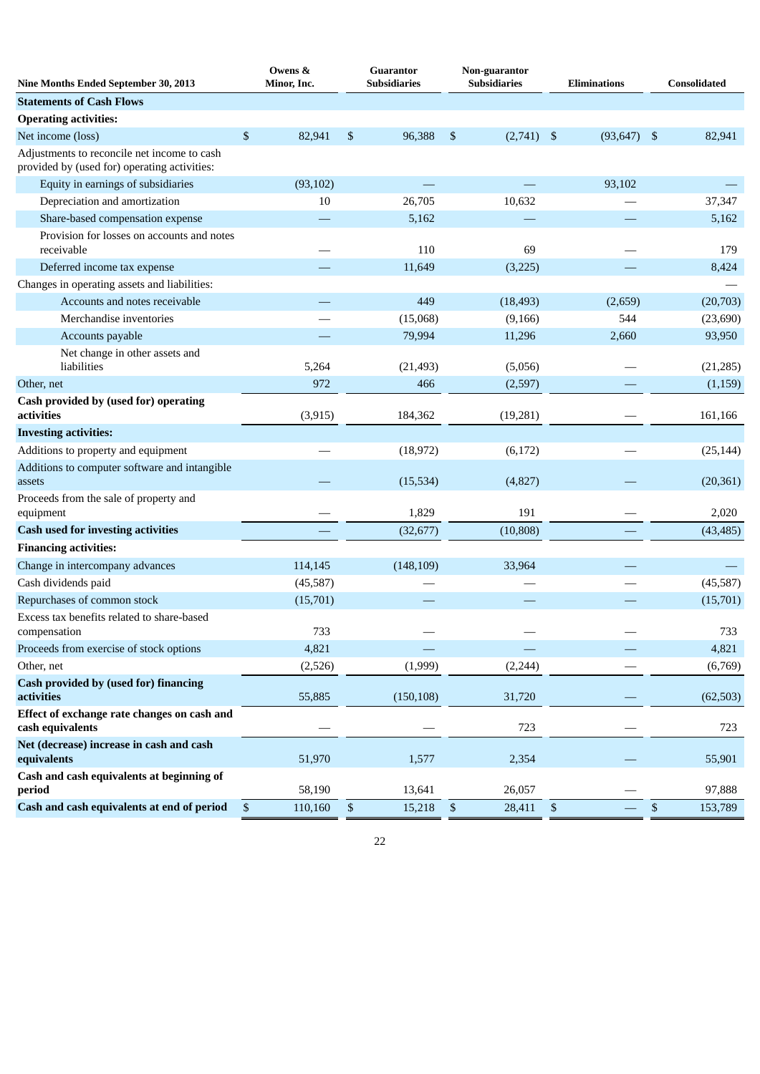| Nine Months Ended September 30, 2013                                                        |              | Owens &<br>Minor, Inc. |              | <b>Guarantor</b><br><b>Subsidiaries</b> | Non-guarantor<br><b>Subsidiaries</b><br><b>Eliminations</b> |           |                           | <b>Consolidated</b> |      |           |
|---------------------------------------------------------------------------------------------|--------------|------------------------|--------------|-----------------------------------------|-------------------------------------------------------------|-----------|---------------------------|---------------------|------|-----------|
| <b>Statements of Cash Flows</b>                                                             |              |                        |              |                                         |                                                             |           |                           |                     |      |           |
| <b>Operating activities:</b>                                                                |              |                        |              |                                         |                                                             |           |                           |                     |      |           |
| Net income (loss)                                                                           | \$           | 82,941                 | \$           | 96,388                                  | \$                                                          | (2,741)   | $\boldsymbol{\mathsf{S}}$ | (93, 647)           | - \$ | 82,941    |
| Adjustments to reconcile net income to cash<br>provided by (used for) operating activities: |              |                        |              |                                         |                                                             |           |                           |                     |      |           |
| Equity in earnings of subsidiaries                                                          |              | (93, 102)              |              |                                         |                                                             |           |                           | 93,102              |      |           |
| Depreciation and amortization                                                               |              | 10                     |              | 26,705                                  |                                                             | 10,632    |                           |                     |      | 37,347    |
| Share-based compensation expense                                                            |              |                        |              | 5,162                                   |                                                             |           |                           |                     |      | 5,162     |
| Provision for losses on accounts and notes<br>receivable                                    |              |                        |              | 110                                     |                                                             | 69        |                           |                     |      | 179       |
| Deferred income tax expense                                                                 |              |                        |              | 11,649                                  |                                                             | (3,225)   |                           |                     |      | 8,424     |
| Changes in operating assets and liabilities:                                                |              |                        |              |                                         |                                                             |           |                           |                     |      |           |
| Accounts and notes receivable                                                               |              |                        |              | 449                                     |                                                             | (18, 493) |                           | (2,659)             |      | (20, 703) |
| Merchandise inventories                                                                     |              |                        |              | (15,068)                                |                                                             | (9, 166)  |                           | 544                 |      | (23, 690) |
| Accounts payable                                                                            |              |                        |              | 79,994                                  |                                                             | 11,296    |                           | 2,660               |      | 93,950    |
| Net change in other assets and<br>liabilities                                               |              | 5,264                  |              | (21, 493)                               |                                                             | (5,056)   |                           |                     |      | (21, 285) |
| Other, net                                                                                  |              | 972                    |              | 466                                     |                                                             | (2,597)   |                           |                     |      | (1, 159)  |
| Cash provided by (used for) operating<br>activities                                         |              | (3, 915)               |              | 184,362                                 |                                                             | (19, 281) |                           |                     |      | 161,166   |
| <b>Investing activities:</b>                                                                |              |                        |              |                                         |                                                             |           |                           |                     |      |           |
| Additions to property and equipment                                                         |              |                        |              | (18, 972)                               |                                                             | (6,172)   |                           |                     |      | (25, 144) |
| Additions to computer software and intangible                                               |              |                        |              |                                         |                                                             |           |                           |                     |      |           |
| assets                                                                                      |              |                        |              | (15, 534)                               |                                                             | (4,827)   |                           |                     |      | (20, 361) |
| Proceeds from the sale of property and<br>equipment                                         |              |                        |              | 1,829                                   |                                                             | 191       |                           |                     |      | 2,020     |
| <b>Cash used for investing activities</b>                                                   |              |                        |              | (32,677)                                |                                                             | (10, 808) |                           |                     |      | (43, 485) |
| <b>Financing activities:</b>                                                                |              |                        |              |                                         |                                                             |           |                           |                     |      |           |
| Change in intercompany advances                                                             |              | 114,145                |              | (148, 109)                              |                                                             | 33,964    |                           |                     |      |           |
| Cash dividends paid                                                                         |              | (45, 587)              |              |                                         |                                                             |           |                           |                     |      | (45, 587) |
| Repurchases of common stock                                                                 |              | (15,701)               |              |                                         |                                                             |           |                           |                     |      | (15,701)  |
| Excess tax benefits related to share-based<br>compensation                                  |              | 733                    |              |                                         |                                                             |           |                           |                     |      | 733       |
| Proceeds from exercise of stock options                                                     |              | 4,821                  |              |                                         |                                                             |           |                           |                     |      | 4,821     |
| Other, net                                                                                  |              | (2,526)                |              | (1,999)                                 |                                                             | (2, 244)  |                           |                     |      | (6,769)   |
| Cash provided by (used for) financing<br>activities                                         |              | 55,885                 |              | (150, 108)                              |                                                             | 31,720    |                           |                     |      | (62, 503) |
| Effect of exchange rate changes on cash and<br>cash equivalents                             |              |                        |              |                                         |                                                             | 723       |                           |                     |      | 723       |
| Net (decrease) increase in cash and cash<br>equivalents                                     |              | 51,970                 |              | 1,577                                   |                                                             | 2,354     |                           |                     |      | 55,901    |
| Cash and cash equivalents at beginning of<br>period                                         |              | 58,190                 |              | 13,641                                  |                                                             | 26,057    |                           |                     |      | 97,888    |
| Cash and cash equivalents at end of period                                                  | $\mathbb{S}$ | 110,160                | $\mathbb{S}$ | 15,218                                  | $\$$                                                        | 28,411    | $\mathbb{S}$              |                     | $\$$ | 153,789   |
|                                                                                             |              |                        |              |                                         |                                                             |           |                           |                     |      |           |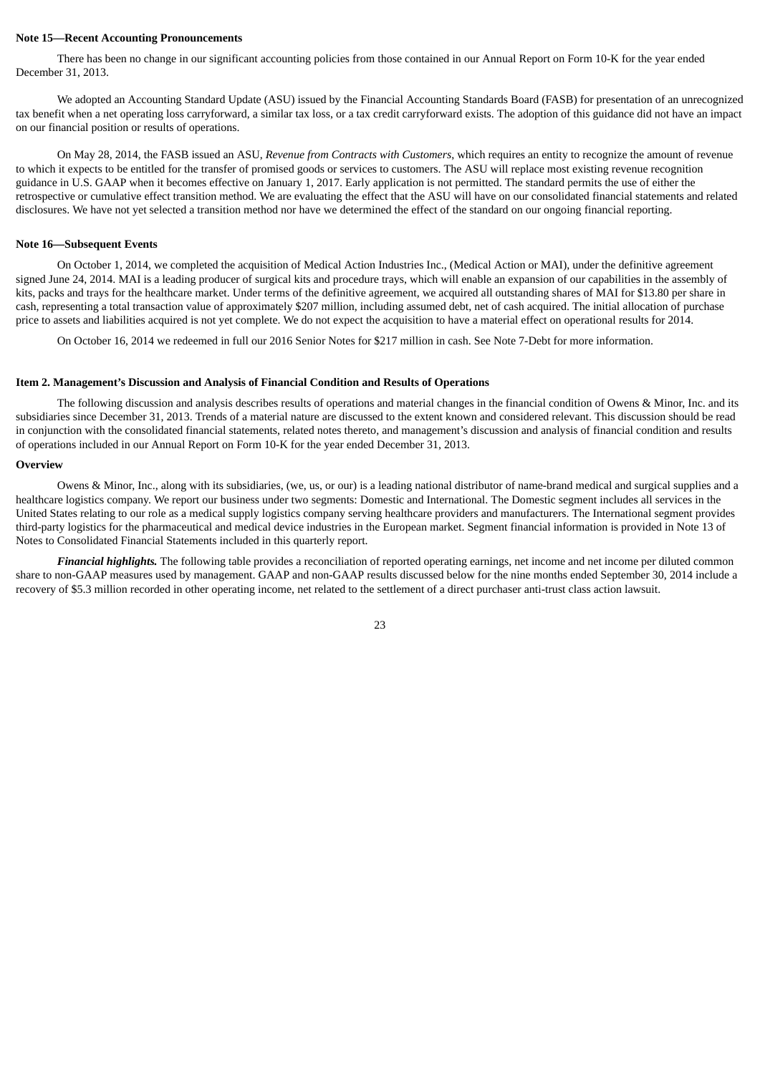#### **Note 15—Recent Accounting Pronouncements**

There has been no change in our significant accounting policies from those contained in our Annual Report on Form 10-K for the year ended December 31, 2013.

We adopted an Accounting Standard Update (ASU) issued by the Financial Accounting Standards Board (FASB) for presentation of an unrecognized tax benefit when a net operating loss carryforward, a similar tax loss, or a tax credit carryforward exists. The adoption of this guidance did not have an impact on our financial position or results of operations.

On May 28, 2014, the FASB issued an ASU, *Revenue from Contracts with Customers*, which requires an entity to recognize the amount of revenue to which it expects to be entitled for the transfer of promised goods or services to customers. The ASU will replace most existing revenue recognition guidance in U.S. GAAP when it becomes effective on January 1, 2017. Early application is not permitted. The standard permits the use of either the retrospective or cumulative effect transition method. We are evaluating the effect that the ASU will have on our consolidated financial statements and related disclosures. We have not yet selected a transition method nor have we determined the effect of the standard on our ongoing financial reporting.

#### **Note 16—Subsequent Events**

On October 1, 2014, we completed the acquisition of Medical Action Industries Inc., (Medical Action or MAI), under the definitive agreement signed June 24, 2014. MAI is a leading producer of surgical kits and procedure trays, which will enable an expansion of our capabilities in the assembly of kits, packs and trays for the healthcare market. Under terms of the definitive agreement, we acquired all outstanding shares of MAI for \$13.80 per share in cash, representing a total transaction value of approximately \$207 million, including assumed debt, net of cash acquired. The initial allocation of purchase price to assets and liabilities acquired is not yet complete. We do not expect the acquisition to have a material effect on operational results for 2014.

On October 16, 2014 we redeemed in full our 2016 Senior Notes for \$217 million in cash. See Note 7-Debt for more information.

#### <span id="page-22-0"></span>**Item 2. Management's Discussion and Analysis of Financial Condition and Results of Operations**

The following discussion and analysis describes results of operations and material changes in the financial condition of Owens & Minor, Inc. and its subsidiaries since December 31, 2013. Trends of a material nature are discussed to the extent known and considered relevant. This discussion should be read in conjunction with the consolidated financial statements, related notes thereto, and management's discussion and analysis of financial condition and results of operations included in our Annual Report on Form 10-K for the year ended December 31, 2013.

#### **Overview**

Owens & Minor, Inc., along with its subsidiaries, (we, us, or our) is a leading national distributor of name-brand medical and surgical supplies and a healthcare logistics company. We report our business under two segments: Domestic and International. The Domestic segment includes all services in the United States relating to our role as a medical supply logistics company serving healthcare providers and manufacturers. The International segment provides third-party logistics for the pharmaceutical and medical device industries in the European market. Segment financial information is provided in Note 13 of Notes to Consolidated Financial Statements included in this quarterly report.

*Financial highlights.* The following table provides a reconciliation of reported operating earnings, net income and net income per diluted common share to non-GAAP measures used by management. GAAP and non-GAAP results discussed below for the nine months ended September 30, 2014 include a recovery of \$5.3 million recorded in other operating income, net related to the settlement of a direct purchaser anti-trust class action lawsuit.

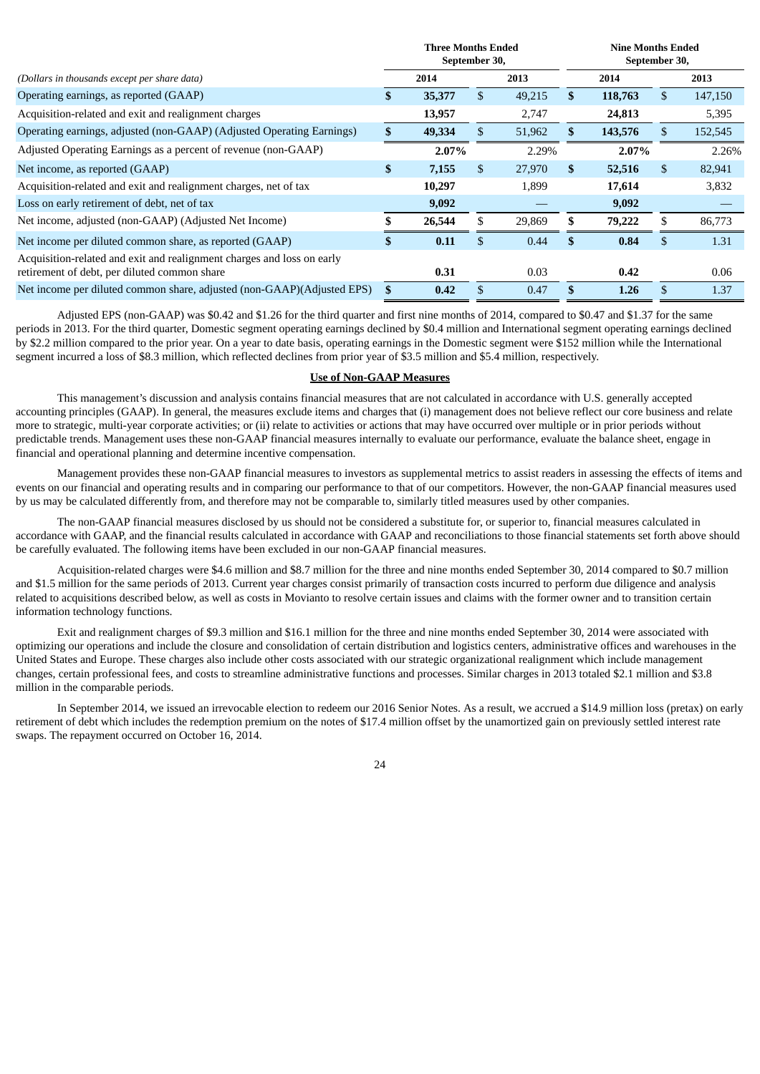|                                                                                                                        | <b>Three Months Ended</b><br>September 30, |        |      |        |    | <b>Nine Months Ended</b><br>September 30, |    |         |  |  |
|------------------------------------------------------------------------------------------------------------------------|--------------------------------------------|--------|------|--------|----|-------------------------------------------|----|---------|--|--|
| (Dollars in thousands except per share data)                                                                           |                                            | 2014   | 2013 |        |    | 2014                                      |    | 2013    |  |  |
| Operating earnings, as reported (GAAP)                                                                                 | \$.                                        | 35,377 | \$   | 49,215 |    | 118,763                                   | \$ | 147,150 |  |  |
| Acquisition-related and exit and realignment charges                                                                   |                                            | 13,957 |      | 2,747  |    | 24,813                                    |    | 5,395   |  |  |
| Operating earnings, adjusted (non-GAAP) (Adjusted Operating Earnings)                                                  |                                            | 49,334 |      | 51,962 |    | 143,576                                   |    | 152,545 |  |  |
| Adjusted Operating Earnings as a percent of revenue (non-GAAP)                                                         |                                            | 2.07%  |      | 2.29%  |    | 2.07%                                     |    | 2.26%   |  |  |
| Net income, as reported (GAAP)                                                                                         | \$                                         | 7,155  | \$   | 27,970 | \$ | 52,516                                    | \$ | 82,941  |  |  |
| Acquisition-related and exit and realignment charges, net of tax                                                       |                                            | 10,297 |      | 1,899  |    | 17,614                                    |    | 3,832   |  |  |
| Loss on early retirement of debt, net of tax                                                                           |                                            | 9,092  |      |        |    | 9,092                                     |    |         |  |  |
| Net income, adjusted (non-GAAP) (Adjusted Net Income)                                                                  |                                            | 26,544 |      | 29,869 |    | 79,222                                    | S  | 86,773  |  |  |
| Net income per diluted common share, as reported (GAAP)                                                                | S.                                         | 0.11   | S.   | 0.44   |    | 0.84                                      | S  | 1.31    |  |  |
| Acquisition-related and exit and realignment charges and loss on early<br>retirement of debt, per diluted common share |                                            | 0.31   |      | 0.03   |    | 0.42                                      |    | 0.06    |  |  |
| Net income per diluted common share, adjusted (non-GAAP)(Adjusted EPS)                                                 | <sup>\$</sup>                              | 0.42   |      | 0.47   |    | 1.26                                      | \$ | 1.37    |  |  |

Adjusted EPS (non-GAAP) was \$0.42 and \$1.26 for the third quarter and first nine months of 2014, compared to \$0.47 and \$1.37 for the same periods in 2013. For the third quarter, Domestic segment operating earnings declined by \$0.4 million and International segment operating earnings declined by \$2.2 million compared to the prior year. On a year to date basis, operating earnings in the Domestic segment were \$152 million while the International segment incurred a loss of \$8.3 million, which reflected declines from prior year of \$3.5 million and \$5.4 million, respectively.

#### **Use of Non-GAAP Measures**

This management's discussion and analysis contains financial measures that are not calculated in accordance with U.S. generally accepted accounting principles (GAAP). In general, the measures exclude items and charges that (i) management does not believe reflect our core business and relate more to strategic, multi-year corporate activities; or (ii) relate to activities or actions that may have occurred over multiple or in prior periods without predictable trends. Management uses these non-GAAP financial measures internally to evaluate our performance, evaluate the balance sheet, engage in financial and operational planning and determine incentive compensation.

Management provides these non-GAAP financial measures to investors as supplemental metrics to assist readers in assessing the effects of items and events on our financial and operating results and in comparing our performance to that of our competitors. However, the non-GAAP financial measures used by us may be calculated differently from, and therefore may not be comparable to, similarly titled measures used by other companies.

The non-GAAP financial measures disclosed by us should not be considered a substitute for, or superior to, financial measures calculated in accordance with GAAP, and the financial results calculated in accordance with GAAP and reconciliations to those financial statements set forth above should be carefully evaluated. The following items have been excluded in our non-GAAP financial measures.

Acquisition-related charges were \$4.6 million and \$8.7 million for the three and nine months ended September 30, 2014 compared to \$0.7 million and \$1.5 million for the same periods of 2013. Current year charges consist primarily of transaction costs incurred to perform due diligence and analysis related to acquisitions described below, as well as costs in Movianto to resolve certain issues and claims with the former owner and to transition certain information technology functions.

Exit and realignment charges of \$9.3 million and \$16.1 million for the three and nine months ended September 30, 2014 were associated with optimizing our operations and include the closure and consolidation of certain distribution and logistics centers, administrative offices and warehouses in the United States and Europe. These charges also include other costs associated with our strategic organizational realignment which include management changes, certain professional fees, and costs to streamline administrative functions and processes. Similar charges in 2013 totaled \$2.1 million and \$3.8 million in the comparable periods.

In September 2014, we issued an irrevocable election to redeem our 2016 Senior Notes. As a result, we accrued a \$14.9 million loss (pretax) on early retirement of debt which includes the redemption premium on the notes of \$17.4 million offset by the unamortized gain on previously settled interest rate swaps. The repayment occurred on October 16, 2014.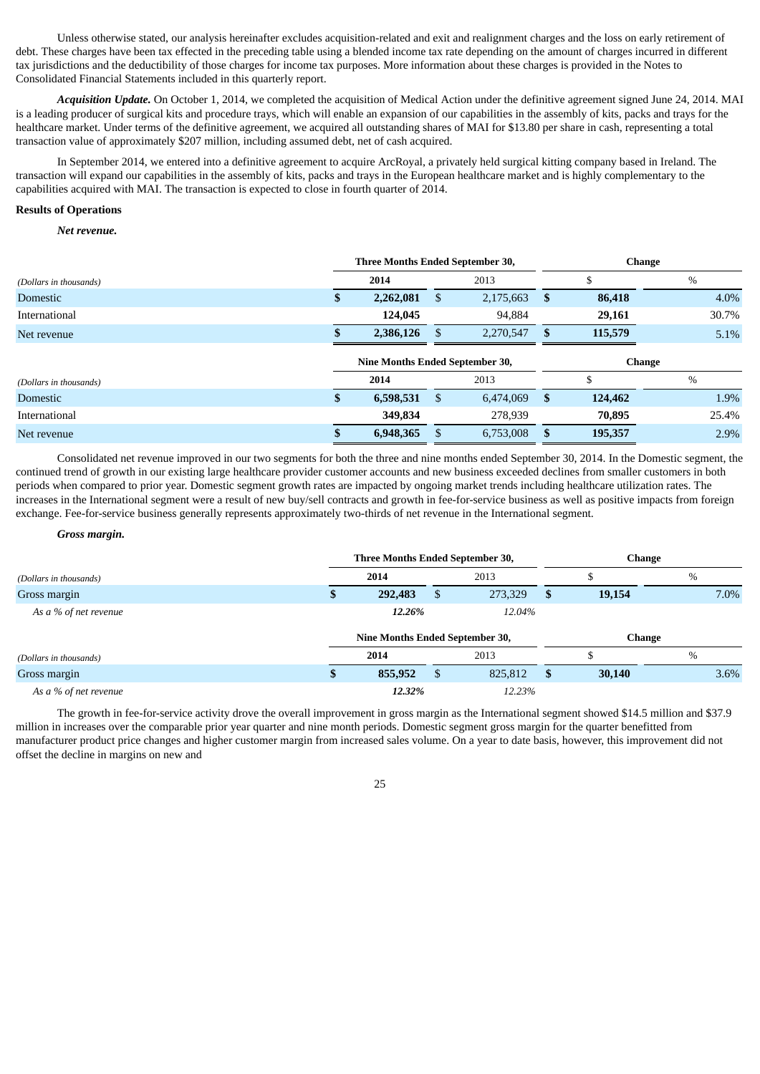Unless otherwise stated, our analysis hereinafter excludes acquisition-related and exit and realignment charges and the loss on early retirement of debt. These charges have been tax effected in the preceding table using a blended income tax rate depending on the amount of charges incurred in different tax jurisdictions and the deductibility of those charges for income tax purposes. More information about these charges is provided in the Notes to Consolidated Financial Statements included in this quarterly report.

*Acquisition Update.* On October 1, 2014, we completed the acquisition of Medical Action under the definitive agreement signed June 24, 2014. MAI is a leading producer of surgical kits and procedure trays, which will enable an expansion of our capabilities in the assembly of kits, packs and trays for the healthcare market. Under terms of the definitive agreement, we acquired all outstanding shares of MAI for \$13.80 per share in cash, representing a total transaction value of approximately \$207 million, including assumed debt, net of cash acquired.

In September 2014, we entered into a definitive agreement to acquire ArcRoyal, a privately held surgical kitting company based in Ireland. The transaction will expand our capabilities in the assembly of kits, packs and trays in the European healthcare market and is highly complementary to the capabilities acquired with MAI. The transaction is expected to close in fourth quarter of 2014.

#### **Results of Operations**

*Net revenue.*

|                        |   |           |   | Three Months Ended September 30, | <b>Change</b> |         |       |  |  |
|------------------------|---|-----------|---|----------------------------------|---------------|---------|-------|--|--|
| (Dollars in thousands) |   | 2014      |   | 2013                             |               |         | $\%$  |  |  |
| Domestic               | æ | 2,262,081 | S | 2,175,663                        | -S            | 86,418  | 4.0%  |  |  |
| International          |   | 124,045   |   | 94,884                           |               | 29,161  | 30.7% |  |  |
| Net revenue            |   | 2,386,126 | S | 2,270,547                        | -S            | 115,579 | 5.1%  |  |  |
|                        |   |           |   | Nine Months Ended September 30,  |               | Change  |       |  |  |
| (Dollars in thousands) |   | 2014      |   | 2013                             |               |         | $\%$  |  |  |
| Domestic               | S | 6,598,531 | S | 6,474,069                        | -S            | 124,462 | 1.9%  |  |  |
| International          |   | 349,834   |   | 278,939                          |               | 70,895  | 25.4% |  |  |
| Net revenue            |   | 6,948,365 | S | 6,753,008                        | S             | 195,357 | 2.9%  |  |  |

Consolidated net revenue improved in our two segments for both the three and nine months ended September 30, 2014. In the Domestic segment, the continued trend of growth in our existing large healthcare provider customer accounts and new business exceeded declines from smaller customers in both periods when compared to prior year. Domestic segment growth rates are impacted by ongoing market trends including healthcare utilization rates. The increases in the International segment were a result of new buy/sell contracts and growth in fee-for-service business as well as positive impacts from foreign exchange. Fee-for-service business generally represents approximately two-thirds of net revenue in the International segment.

#### *Gross margin.*

|                        |  |      | Three Months Ended September 30, |              | <b>Change</b> |      |        |         |  |
|------------------------|--|------|----------------------------------|--------------|---------------|------|--------|---------|--|
| (Dollars in thousands) |  | 2014 |                                  |              | 2013          |      |        | $\%$    |  |
| Gross margin           |  | Ф    | 292,483                          | <sup>3</sup> | 273,329       | -S   | 19,154 | 7.0%    |  |
| As a % of net revenue  |  |      | 12.26%                           |              | 12.04%        |      |        |         |  |
|                        |  |      | Nine Months Ended September 30,  |              | Change        |      |        |         |  |
| (Dollars in thousands) |  | 2014 |                                  |              | 2013          |      |        | $\%$    |  |
| Gross margin           |  | Φ    | 855,952                          | S            | 825,812       | - \$ | 30,140 | $3.6\%$ |  |
| As a % of net revenue  |  |      | 12.32%                           |              | 12.23%        |      |        |         |  |

The growth in fee-for-service activity drove the overall improvement in gross margin as the International segment showed \$14.5 million and \$37.9 million in increases over the comparable prior year quarter and nine month periods. Domestic segment gross margin for the quarter benefitted from manufacturer product price changes and higher customer margin from increased sales volume. On a year to date basis, however, this improvement did not offset the decline in margins on new and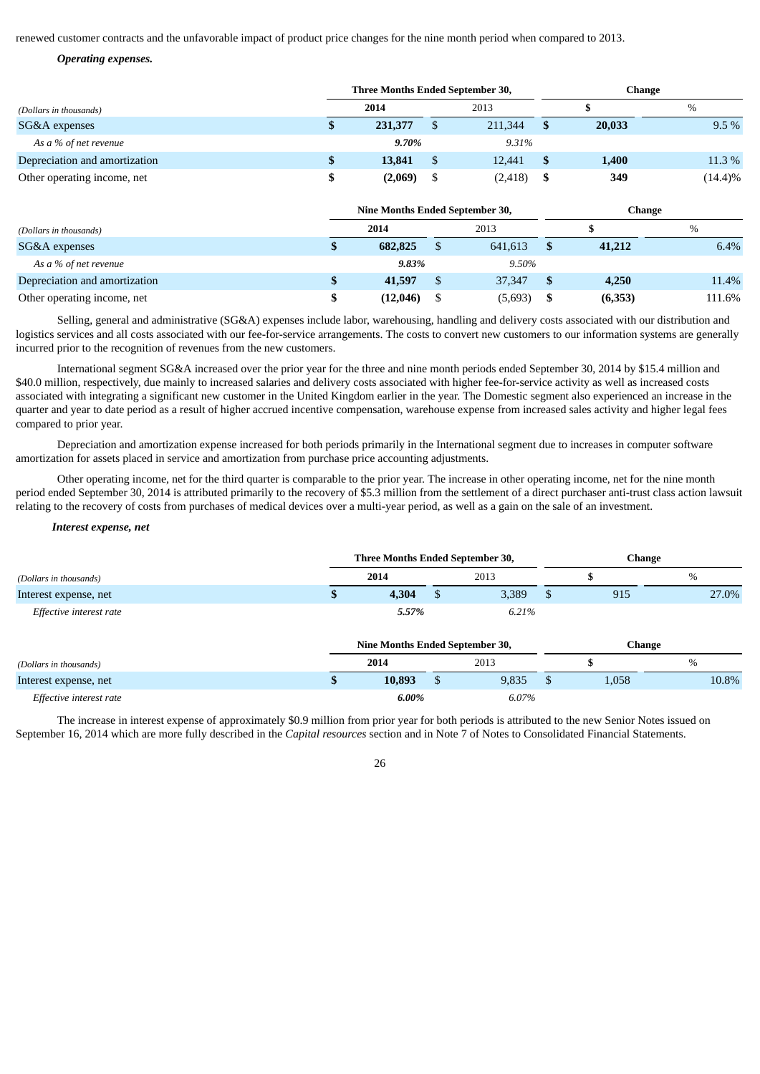renewed customer contracts and the unfavorable impact of product price changes for the nine month period when compared to 2013.

#### *Operating expenses.*

|                               | Three Months Ended September 30, |          | Change |            |  |  |
|-------------------------------|----------------------------------|----------|--------|------------|--|--|
| (Dollars in thousands)        | 2014                             | 2013     |        | $\%$       |  |  |
| SG&A expenses                 | 231,377                          | 211,344  | 20,033 | $9.5\%$    |  |  |
| As a % of net revenue         | 9.70%                            | 9.31%    |        |            |  |  |
| Depreciation and amortization | 13,841                           | 12,441   | 1,400  | 11.3 %     |  |  |
| Other operating income, net   | (2,069)                          | (2, 418) | 349    | $(14.4)\%$ |  |  |

|                               |   | <b>Nine Months Ended September 30,</b> |         | Change  |        |  |  |
|-------------------------------|---|----------------------------------------|---------|---------|--------|--|--|
| (Dollars in thousands)        |   | 2014                                   | 2013    |         | $\%$   |  |  |
| SG&A expenses                 | w | 682,825                                | 641,613 | 41,212  | 6.4%   |  |  |
| As a % of net revenue         |   | 9.83%                                  | 9.50%   |         |        |  |  |
| Depreciation and amortization |   | 41,597                                 | 37,347  | 4,250   | 11.4%  |  |  |
| Other operating income, net   |   | (12,046)                               | (5,693) | (6,353) | 111.6% |  |  |

Selling, general and administrative (SG&A) expenses include labor, warehousing, handling and delivery costs associated with our distribution and logistics services and all costs associated with our fee-for-service arrangements. The costs to convert new customers to our information systems are generally incurred prior to the recognition of revenues from the new customers.

International segment SG&A increased over the prior year for the three and nine month periods ended September 30, 2014 by \$15.4 million and \$40.0 million, respectively, due mainly to increased salaries and delivery costs associated with higher fee-for-service activity as well as increased costs associated with integrating a significant new customer in the United Kingdom earlier in the year. The Domestic segment also experienced an increase in the quarter and year to date period as a result of higher accrued incentive compensation, warehouse expense from increased sales activity and higher legal fees compared to prior year.

Depreciation and amortization expense increased for both periods primarily in the International segment due to increases in computer software amortization for assets placed in service and amortization from purchase price accounting adjustments.

Other operating income, net for the third quarter is comparable to the prior year. The increase in other operating income, net for the nine month period ended September 30, 2014 is attributed primarily to the recovery of \$5.3 million from the settlement of a direct purchaser anti-trust class action lawsuit relating to the recovery of costs from purchases of medical devices over a multi-year period, as well as a gain on the sale of an investment.

### *Interest expense, net*

|                         |                                 | Three Months Ended September 30, |    |       | Change |        |       |  |  |  |
|-------------------------|---------------------------------|----------------------------------|----|-------|--------|--------|-------|--|--|--|
| (Dollars in thousands)  |                                 | 2014                             |    | 2013  |        |        | $\%$  |  |  |  |
| Interest expense, net   |                                 | 4,304                            | -S | 3,389 | - \$   | 915    | 27.0% |  |  |  |
| Effective interest rate |                                 | 5.57%                            |    | 6.21% |        |        |       |  |  |  |
|                         | Nine Months Ended September 30, |                                  |    |       |        | Change |       |  |  |  |
| (Dollars in thousands)  |                                 | 2014                             |    | 2013  |        |        | $\%$  |  |  |  |
| Interest expense, net   |                                 | 10,893                           | S. | 9,835 | - \$   | 1,058  | 10.8% |  |  |  |
| Effective interest rate |                                 | 6.00%                            |    | 6.07% |        |        |       |  |  |  |

The increase in interest expense of approximately \$0.9 million from prior year for both periods is attributed to the new Senior Notes issued on September 16, 2014 which are more fully described in the *Capital resources* section and in Note 7 of Notes to Consolidated Financial Statements.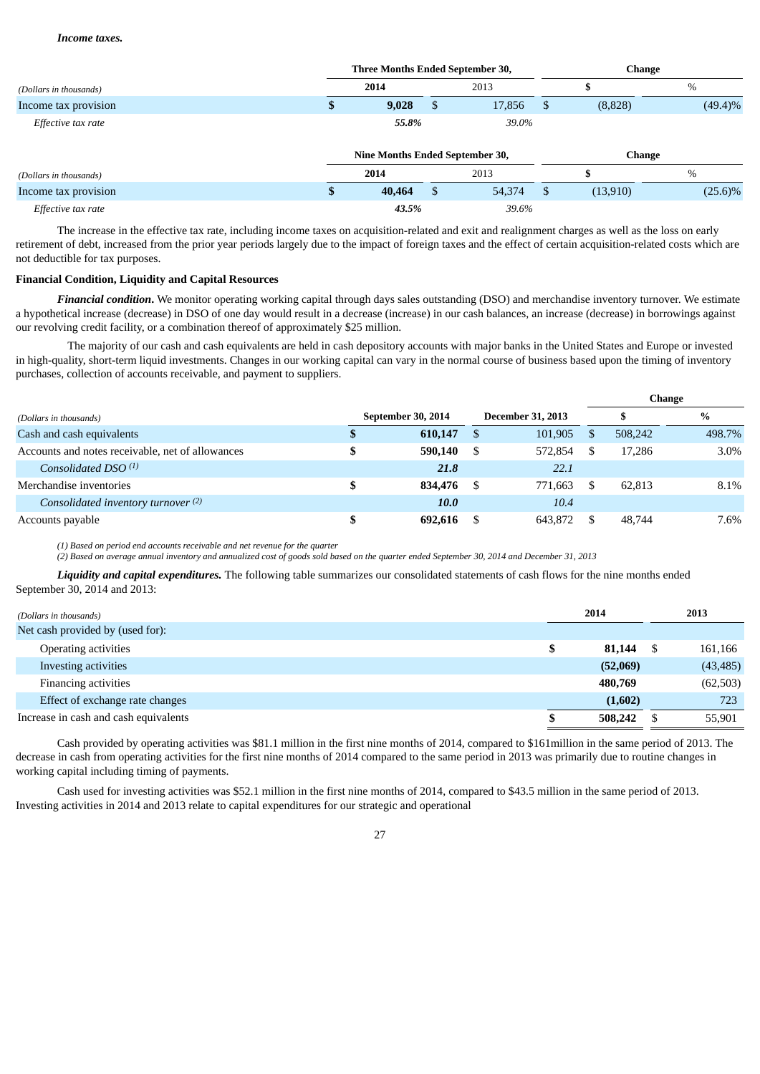#### *Income taxes.*

|                        |  |  | Three Months Ended September 30, |              |        | Change |          |            |  |
|------------------------|--|--|----------------------------------|--------------|--------|--------|----------|------------|--|
| (Dollars in thousands) |  |  | 2014                             |              | 2013   |        |          | $\%$       |  |
| Income tax provision   |  |  | 9,028                            | <sup>S</sup> | 17,856 | - \$   | (8,828)  | $(49.4)\%$ |  |
| Effective tax rate     |  |  | 55.8%                            |              | 39.0%  |        |          |            |  |
|                        |  |  | Nine Months Ended September 30,  |              |        | Change |          |            |  |
| (Dollars in thousands) |  |  | 2014                             |              | 2013   |        |          | $\%$       |  |
| Income tax provision   |  |  | 40,464                           | \$           | 54,374 | \$     | (13,910) | $(25.6)\%$ |  |
| Effective tax rate     |  |  | 43.5%                            |              | 39.6%  |        |          |            |  |

The increase in the effective tax rate, including income taxes on acquisition-related and exit and realignment charges as well as the loss on early retirement of debt, increased from the prior year periods largely due to the impact of foreign taxes and the effect of certain acquisition-related costs which are not deductible for tax purposes.

#### **Financial Condition, Liquidity and Capital Resources**

*Financial condition***.** We monitor operating working capital through days sales outstanding (DSO) and merchandise inventory turnover. We estimate a hypothetical increase (decrease) in DSO of one day would result in a decrease (increase) in our cash balances, an increase (decrease) in borrowings against our revolving credit facility, or a combination thereof of approximately \$25 million.

The majority of our cash and cash equivalents are held in cash depository accounts with major banks in the United States and Europe or invested in high-quality, short-term liquid investments. Changes in our working capital can vary in the normal course of business based upon the timing of inventory purchases, collection of accounts receivable, and payment to suppliers.

|                                                  |   |                    |    |                          |         | <b>Change</b> |  |
|--------------------------------------------------|---|--------------------|----|--------------------------|---------|---------------|--|
| (Dollars in thousands)                           |   | September 30, 2014 |    | <b>December 31, 2013</b> |         | $\frac{0}{0}$ |  |
| Cash and cash equivalents                        | Φ | 610,147            | -S | 101,905                  | 508,242 | 498.7%        |  |
| Accounts and notes receivable, net of allowances | w | 590,140            | S  | 572.854                  | 17.286  | 3.0%          |  |
| Consolidated DSO <sup>(1)</sup>                  |   | 21.8               |    | 22.1                     |         |               |  |
| Merchandise inventories                          |   | 834,476            |    | 771.663                  | 62.813  | 8.1%          |  |
| Consolidated inventory turnover (2)              |   | <b>10.0</b>        |    | 10.4                     |         |               |  |
| Accounts payable                                 |   | 692,616            |    | 643,872                  | 48,744  | 7.6%          |  |

*(1) Based on period end accounts receivable and net revenue for the quarter*

(2) Based on average annual inventory and annualized cost of goods sold based on the quarter ended September 30, 2014 and December 31, 2013

*Liquidity and capital expenditures.* The following table summarizes our consolidated statements of cash flows for the nine months ended September 30, 2014 and 2013:

| (Dollars in thousands)                | 2014         | 2013      |
|---------------------------------------|--------------|-----------|
| Net cash provided by (used for):      |              |           |
| Operating activities                  | \$<br>81,144 | 161,166   |
| Investing activities                  | (52,069)     | (43, 485) |
| <b>Financing activities</b>           | 480,769      | (62, 503) |
| Effect of exchange rate changes       | (1,602)      | 723       |
| Increase in cash and cash equivalents | 508,242      | 55,901    |

Cash provided by operating activities was \$81.1 million in the first nine months of 2014, compared to \$161million in the same period of 2013. The decrease in cash from operating activities for the first nine months of 2014 compared to the same period in 2013 was primarily due to routine changes in working capital including timing of payments.

Cash used for investing activities was \$52.1 million in the first nine months of 2014, compared to \$43.5 million in the same period of 2013. Investing activities in 2014 and 2013 relate to capital expenditures for our strategic and operational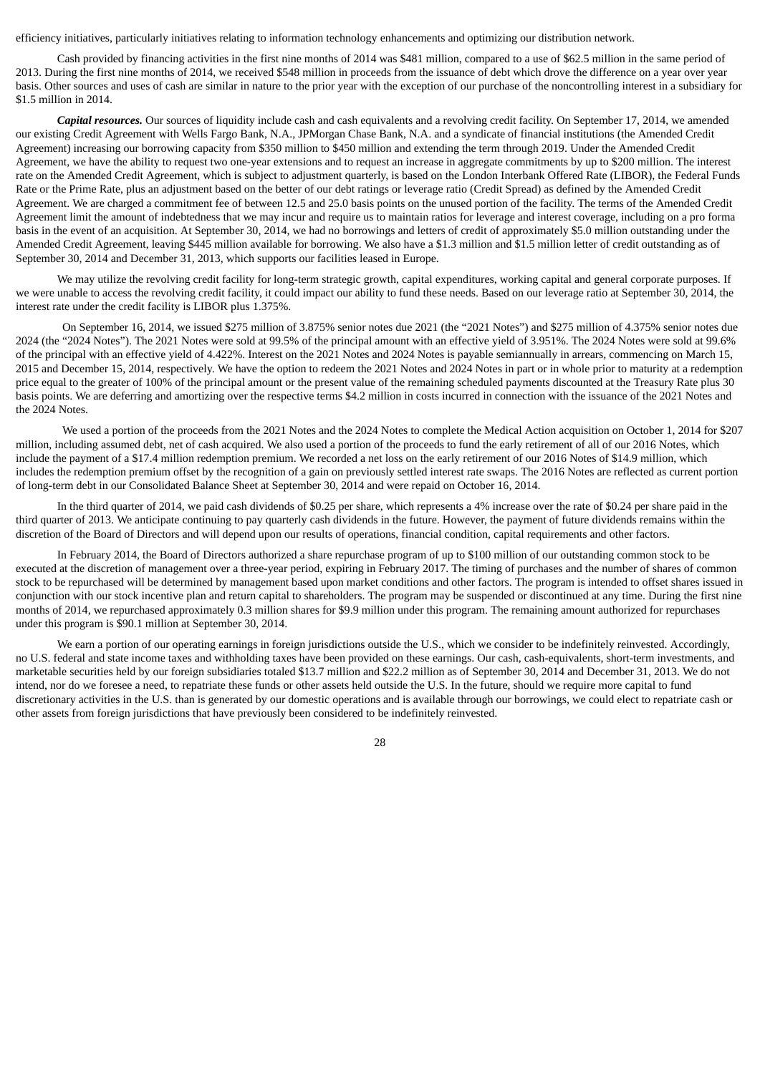efficiency initiatives, particularly initiatives relating to information technology enhancements and optimizing our distribution network.

Cash provided by financing activities in the first nine months of 2014 was \$481 million, compared to a use of \$62.5 million in the same period of 2013. During the first nine months of 2014, we received \$548 million in proceeds from the issuance of debt which drove the difference on a year over year basis. Other sources and uses of cash are similar in nature to the prior year with the exception of our purchase of the noncontrolling interest in a subsidiary for \$1.5 million in 2014.

*Capital resources.* Our sources of liquidity include cash and cash equivalents and a revolving credit facility. On September 17, 2014, we amended our existing Credit Agreement with Wells Fargo Bank, N.A., JPMorgan Chase Bank, N.A. and a syndicate of financial institutions (the Amended Credit Agreement) increasing our borrowing capacity from \$350 million to \$450 million and extending the term through 2019. Under the Amended Credit Agreement, we have the ability to request two one-year extensions and to request an increase in aggregate commitments by up to \$200 million. The interest rate on the Amended Credit Agreement, which is subject to adjustment quarterly, is based on the London Interbank Offered Rate (LIBOR), the Federal Funds Rate or the Prime Rate, plus an adjustment based on the better of our debt ratings or leverage ratio (Credit Spread) as defined by the Amended Credit Agreement. We are charged a commitment fee of between 12.5 and 25.0 basis points on the unused portion of the facility. The terms of the Amended Credit Agreement limit the amount of indebtedness that we may incur and require us to maintain ratios for leverage and interest coverage, including on a pro forma basis in the event of an acquisition. At September 30, 2014, we had no borrowings and letters of credit of approximately \$5.0 million outstanding under the Amended Credit Agreement, leaving \$445 million available for borrowing. We also have a \$1.3 million and \$1.5 million letter of credit outstanding as of September 30, 2014 and December 31, 2013, which supports our facilities leased in Europe.

We may utilize the revolving credit facility for long-term strategic growth, capital expenditures, working capital and general corporate purposes. If we were unable to access the revolving credit facility, it could impact our ability to fund these needs. Based on our leverage ratio at September 30, 2014, the interest rate under the credit facility is LIBOR plus 1.375%.

On September 16, 2014, we issued \$275 million of 3.875% senior notes due 2021 (the "2021 Notes") and \$275 million of 4.375% senior notes due 2024 (the "2024 Notes"). The 2021 Notes were sold at 99.5% of the principal amount with an effective yield of 3.951%. The 2024 Notes were sold at 99.6% of the principal with an effective yield of 4.422%. Interest on the 2021 Notes and 2024 Notes is payable semiannually in arrears, commencing on March 15, 2015 and December 15, 2014, respectively. We have the option to redeem the 2021 Notes and 2024 Notes in part or in whole prior to maturity at a redemption price equal to the greater of 100% of the principal amount or the present value of the remaining scheduled payments discounted at the Treasury Rate plus 30 basis points. We are deferring and amortizing over the respective terms \$4.2 million in costs incurred in connection with the issuance of the 2021 Notes and the 2024 Notes.

We used a portion of the proceeds from the 2021 Notes and the 2024 Notes to complete the Medical Action acquisition on October 1, 2014 for \$207 million, including assumed debt, net of cash acquired. We also used a portion of the proceeds to fund the early retirement of all of our 2016 Notes, which include the payment of a \$17.4 million redemption premium. We recorded a net loss on the early retirement of our 2016 Notes of \$14.9 million, which includes the redemption premium offset by the recognition of a gain on previously settled interest rate swaps. The 2016 Notes are reflected as current portion of long-term debt in our Consolidated Balance Sheet at September 30, 2014 and were repaid on October 16, 2014.

In the third quarter of 2014, we paid cash dividends of \$0.25 per share, which represents a 4% increase over the rate of \$0.24 per share paid in the third quarter of 2013. We anticipate continuing to pay quarterly cash dividends in the future. However, the payment of future dividends remains within the discretion of the Board of Directors and will depend upon our results of operations, financial condition, capital requirements and other factors.

In February 2014, the Board of Directors authorized a share repurchase program of up to \$100 million of our outstanding common stock to be executed at the discretion of management over a three-year period, expiring in February 2017. The timing of purchases and the number of shares of common stock to be repurchased will be determined by management based upon market conditions and other factors. The program is intended to offset shares issued in conjunction with our stock incentive plan and return capital to shareholders. The program may be suspended or discontinued at any time. During the first nine months of 2014, we repurchased approximately 0.3 million shares for \$9.9 million under this program. The remaining amount authorized for repurchases under this program is \$90.1 million at September 30, 2014.

We earn a portion of our operating earnings in foreign jurisdictions outside the U.S., which we consider to be indefinitely reinvested. Accordingly, no U.S. federal and state income taxes and withholding taxes have been provided on these earnings. Our cash, cash-equivalents, short-term investments, and marketable securities held by our foreign subsidiaries totaled \$13.7 million and \$22.2 million as of September 30, 2014 and December 31, 2013. We do not intend, nor do we foresee a need, to repatriate these funds or other assets held outside the U.S. In the future, should we require more capital to fund discretionary activities in the U.S. than is generated by our domestic operations and is available through our borrowings, we could elect to repatriate cash or other assets from foreign jurisdictions that have previously been considered to be indefinitely reinvested.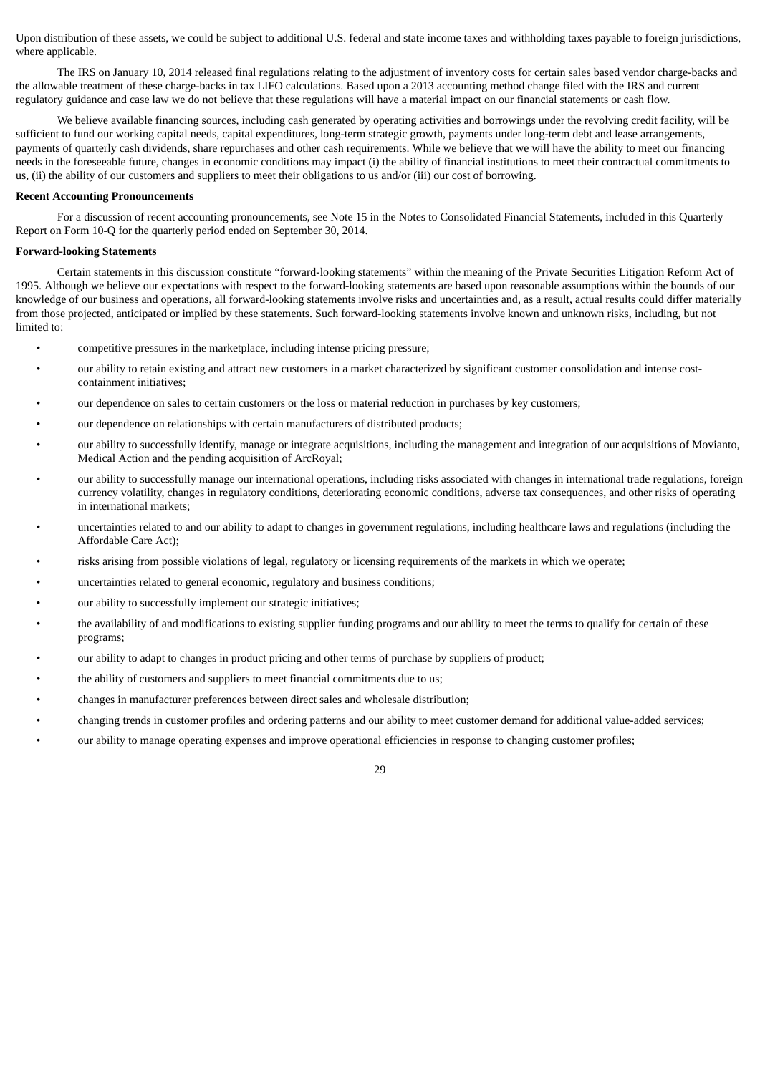Upon distribution of these assets, we could be subject to additional U.S. federal and state income taxes and withholding taxes payable to foreign jurisdictions, where applicable.

The IRS on January 10, 2014 released final regulations relating to the adjustment of inventory costs for certain sales based vendor charge-backs and the allowable treatment of these charge-backs in tax LIFO calculations. Based upon a 2013 accounting method change filed with the IRS and current regulatory guidance and case law we do not believe that these regulations will have a material impact on our financial statements or cash flow.

We believe available financing sources, including cash generated by operating activities and borrowings under the revolving credit facility, will be sufficient to fund our working capital needs, capital expenditures, long-term strategic growth, payments under long-term debt and lease arrangements, payments of quarterly cash dividends, share repurchases and other cash requirements. While we believe that we will have the ability to meet our financing needs in the foreseeable future, changes in economic conditions may impact (i) the ability of financial institutions to meet their contractual commitments to us, (ii) the ability of our customers and suppliers to meet their obligations to us and/or (iii) our cost of borrowing.

#### **Recent Accounting Pronouncements**

For a discussion of recent accounting pronouncements, see Note 15 in the Notes to Consolidated Financial Statements, included in this Quarterly Report on Form 10-Q for the quarterly period ended on September 30, 2014.

#### **Forward-looking Statements**

Certain statements in this discussion constitute "forward-looking statements" within the meaning of the Private Securities Litigation Reform Act of 1995. Although we believe our expectations with respect to the forward-looking statements are based upon reasonable assumptions within the bounds of our knowledge of our business and operations, all forward-looking statements involve risks and uncertainties and, as a result, actual results could differ materially from those projected, anticipated or implied by these statements. Such forward-looking statements involve known and unknown risks, including, but not limited to:

- competitive pressures in the marketplace, including intense pricing pressure;
- our ability to retain existing and attract new customers in a market characterized by significant customer consolidation and intense costcontainment initiatives;
- our dependence on sales to certain customers or the loss or material reduction in purchases by key customers;
- our dependence on relationships with certain manufacturers of distributed products;
- our ability to successfully identify, manage or integrate acquisitions, including the management and integration of our acquisitions of Movianto, Medical Action and the pending acquisition of ArcRoyal;
- our ability to successfully manage our international operations, including risks associated with changes in international trade regulations, foreign currency volatility, changes in regulatory conditions, deteriorating economic conditions, adverse tax consequences, and other risks of operating in international markets;
- uncertainties related to and our ability to adapt to changes in government regulations, including healthcare laws and regulations (including the Affordable Care Act);
- risks arising from possible violations of legal, regulatory or licensing requirements of the markets in which we operate;
- uncertainties related to general economic, regulatory and business conditions;
- our ability to successfully implement our strategic initiatives;
- the availability of and modifications to existing supplier funding programs and our ability to meet the terms to qualify for certain of these programs;
- our ability to adapt to changes in product pricing and other terms of purchase by suppliers of product;
- the ability of customers and suppliers to meet financial commitments due to us;
- changes in manufacturer preferences between direct sales and wholesale distribution;
- changing trends in customer profiles and ordering patterns and our ability to meet customer demand for additional value-added services;
- our ability to manage operating expenses and improve operational efficiencies in response to changing customer profiles;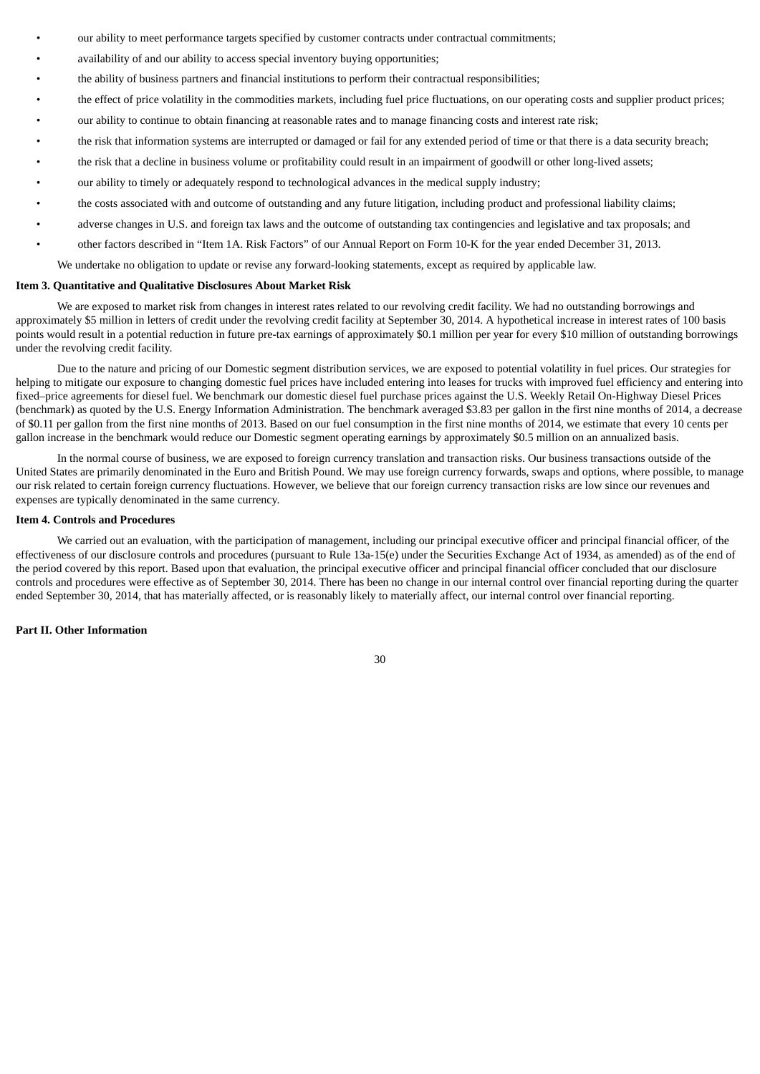- our ability to meet performance targets specified by customer contracts under contractual commitments;
- availability of and our ability to access special inventory buying opportunities;
- the ability of business partners and financial institutions to perform their contractual responsibilities;
- the effect of price volatility in the commodities markets, including fuel price fluctuations, on our operating costs and supplier product prices;
- our ability to continue to obtain financing at reasonable rates and to manage financing costs and interest rate risk;
- the risk that information systems are interrupted or damaged or fail for any extended period of time or that there is a data security breach;
- the risk that a decline in business volume or profitability could result in an impairment of goodwill or other long-lived assets;
- our ability to timely or adequately respond to technological advances in the medical supply industry;
- the costs associated with and outcome of outstanding and any future litigation, including product and professional liability claims;
- adverse changes in U.S. and foreign tax laws and the outcome of outstanding tax contingencies and legislative and tax proposals; and
- other factors described in "Item 1A. Risk Factors" of our Annual Report on Form 10-K for the year ended December 31, 2013.
- We undertake no obligation to update or revise any forward-looking statements, except as required by applicable law.

#### <span id="page-29-0"></span>**Item 3. Quantitative and Qualitative Disclosures About Market Risk**

We are exposed to market risk from changes in interest rates related to our revolving credit facility. We had no outstanding borrowings and approximately \$5 million in letters of credit under the revolving credit facility at September 30, 2014. A hypothetical increase in interest rates of 100 basis points would result in a potential reduction in future pre-tax earnings of approximately \$0.1 million per year for every \$10 million of outstanding borrowings under the revolving credit facility.

Due to the nature and pricing of our Domestic segment distribution services, we are exposed to potential volatility in fuel prices. Our strategies for helping to mitigate our exposure to changing domestic fuel prices have included entering into leases for trucks with improved fuel efficiency and entering into fixed–price agreements for diesel fuel. We benchmark our domestic diesel fuel purchase prices against the U.S. Weekly Retail On-Highway Diesel Prices (benchmark) as quoted by the U.S. Energy Information Administration. The benchmark averaged \$3.83 per gallon in the first nine months of 2014, a decrease of \$0.11 per gallon from the first nine months of 2013. Based on our fuel consumption in the first nine months of 2014, we estimate that every 10 cents per gallon increase in the benchmark would reduce our Domestic segment operating earnings by approximately \$0.5 million on an annualized basis.

In the normal course of business, we are exposed to foreign currency translation and transaction risks. Our business transactions outside of the United States are primarily denominated in the Euro and British Pound. We may use foreign currency forwards, swaps and options, where possible, to manage our risk related to certain foreign currency fluctuations. However, we believe that our foreign currency transaction risks are low since our revenues and expenses are typically denominated in the same currency.

#### <span id="page-29-1"></span>**Item 4. Controls and Procedures**

We carried out an evaluation, with the participation of management, including our principal executive officer and principal financial officer, of the effectiveness of our disclosure controls and procedures (pursuant to Rule 13a-15(e) under the Securities Exchange Act of 1934, as amended) as of the end of the period covered by this report. Based upon that evaluation, the principal executive officer and principal financial officer concluded that our disclosure controls and procedures were effective as of September 30, 2014. There has been no change in our internal control over financial reporting during the quarter ended September 30, 2014, that has materially affected, or is reasonably likely to materially affect, our internal control over financial reporting.

30

#### <span id="page-29-3"></span><span id="page-29-2"></span>**Part II. Other Information**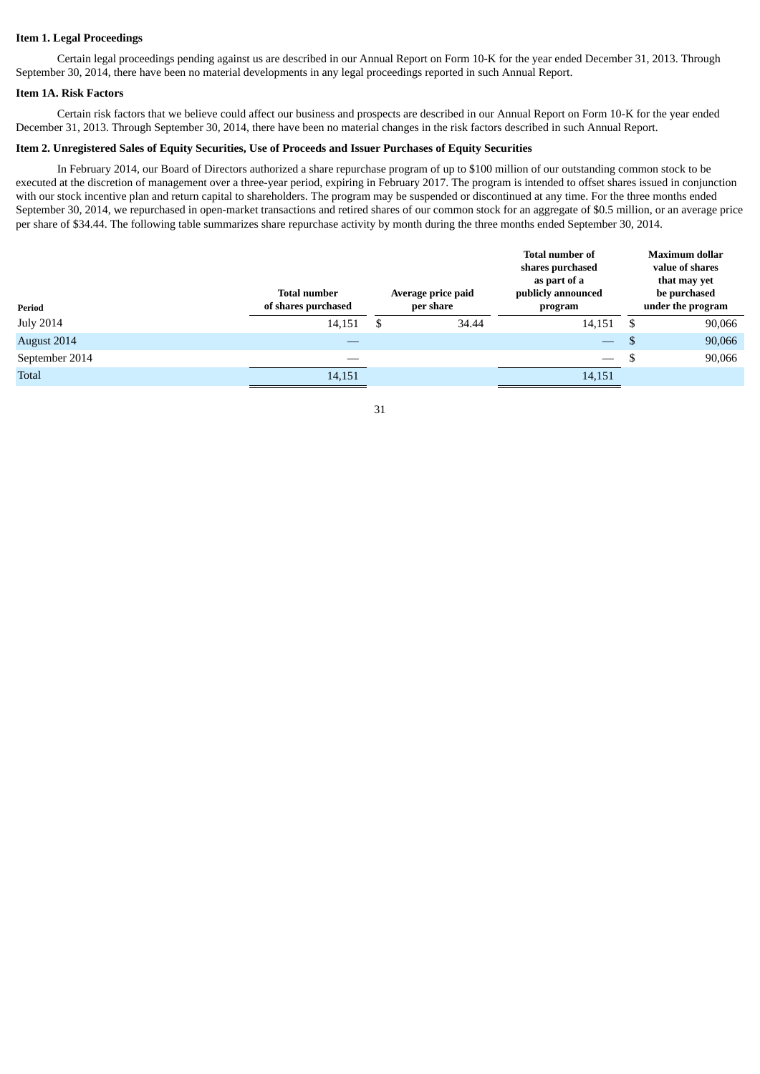#### **Item 1. Legal Proceedings**

Certain legal proceedings pending against us are described in our Annual Report on Form 10-K for the year ended December 31, 2013. Through September 30, 2014, there have been no material developments in any legal proceedings reported in such Annual Report.

# <span id="page-30-0"></span>**Item 1A. Risk Factors**

Certain risk factors that we believe could affect our business and prospects are described in our Annual Report on Form 10-K for the year ended December 31, 2013. Through September 30, 2014, there have been no material changes in the risk factors described in such Annual Report.

# <span id="page-30-1"></span>**Item 2. Unregistered Sales of Equity Securities, Use of Proceeds and Issuer Purchases of Equity Securities**

In February 2014, our Board of Directors authorized a share repurchase program of up to \$100 million of our outstanding common stock to be executed at the discretion of management over a three-year period, expiring in February 2017. The program is intended to offset shares issued in conjunction with our stock incentive plan and return capital to shareholders. The program may be suspended or discontinued at any time. For the three months ended September 30, 2014, we repurchased in open-market transactions and retired shares of our common stock for an aggregate of \$0.5 million, or an average price per share of \$34.44. The following table summarizes share repurchase activity by month during the three months ended September 30, 2014.

<span id="page-30-2"></span>

| Period         | <b>Total number</b><br>of shares purchased |      | Average price paid<br>per share | <b>Total number of</b><br>shares purchased<br>as part of a<br>publicly announced<br>program |      | <b>Maximum dollar</b><br>value of shares<br>that may yet<br>be purchased<br>under the program |
|----------------|--------------------------------------------|------|---------------------------------|---------------------------------------------------------------------------------------------|------|-----------------------------------------------------------------------------------------------|
| July 2014      | 14,151                                     | - \$ | 34.44                           | 14,151                                                                                      | - \$ | 90,066                                                                                        |
| August 2014    |                                            |      |                                 | $\equiv$                                                                                    | -\$  | 90,066                                                                                        |
| September 2014 |                                            |      |                                 | $\overline{\phantom{0}}$                                                                    | -\$  | 90,066                                                                                        |
| <b>Total</b>   | 14,151                                     |      |                                 | 14,151                                                                                      |      |                                                                                               |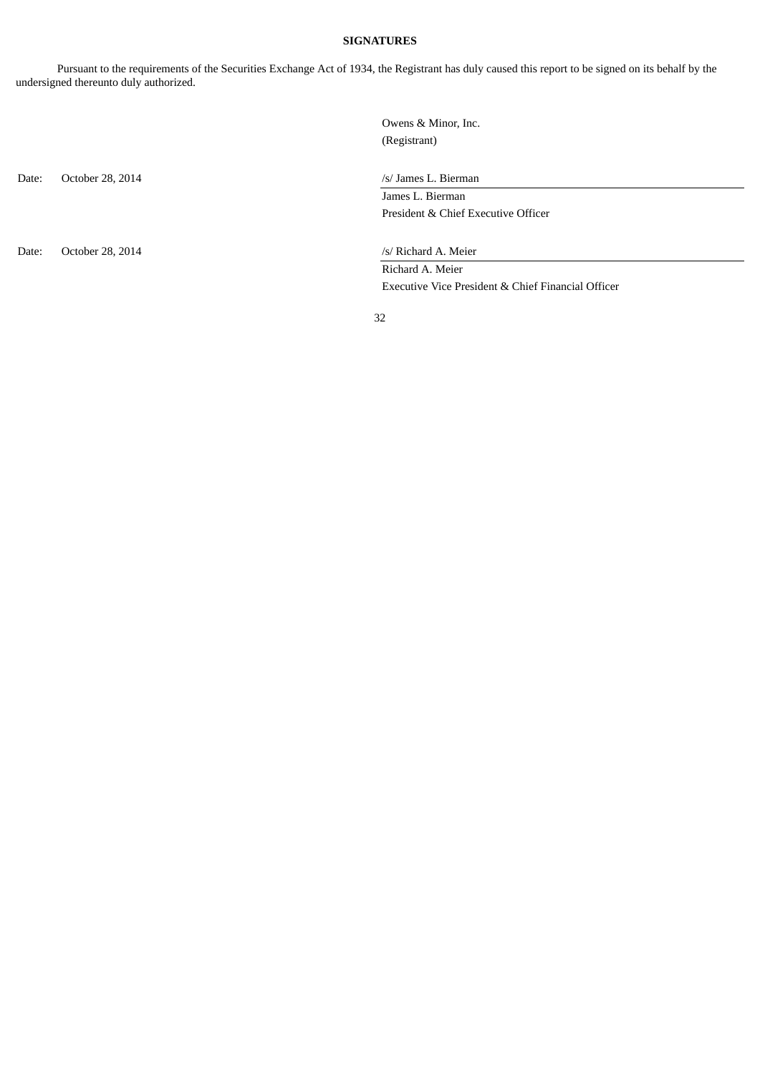# **SIGNATURES**

Pursuant to the requirements of the Securities Exchange Act of 1934, the Registrant has duly caused this report to be signed on its behalf by the undersigned thereunto duly authorized.

Date: October 28, 2014 /s/ James L. Bierman

<span id="page-31-0"></span>Date: October 28, 2014 */s/ Richard A. Meier* 

Owens & Minor, Inc. (Registrant)

James L. Bierman President & Chief Executive Officer

Richard A. Meier Executive Vice President & Chief Financial Officer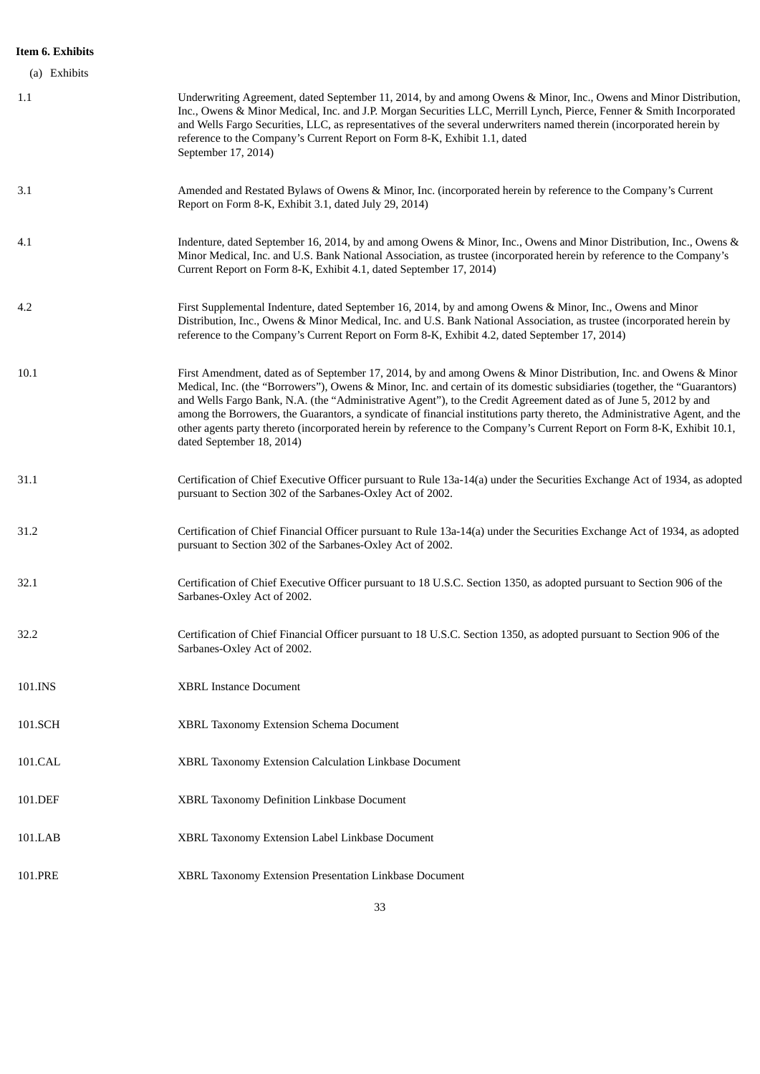# **Item 6. Exhibits**

| (a) Exhibits |                                                                                                                                                                                                                                                                                                                                                                                                                                                                                                                                                                                                                                                          |
|--------------|----------------------------------------------------------------------------------------------------------------------------------------------------------------------------------------------------------------------------------------------------------------------------------------------------------------------------------------------------------------------------------------------------------------------------------------------------------------------------------------------------------------------------------------------------------------------------------------------------------------------------------------------------------|
| 1.1          | Underwriting Agreement, dated September 11, 2014, by and among Owens & Minor, Inc., Owens and Minor Distribution,<br>Inc., Owens & Minor Medical, Inc. and J.P. Morgan Securities LLC, Merrill Lynch, Pierce, Fenner & Smith Incorporated<br>and Wells Fargo Securities, LLC, as representatives of the several underwriters named therein (incorporated herein by<br>reference to the Company's Current Report on Form 8-K, Exhibit 1.1, dated<br>September 17, 2014)                                                                                                                                                                                   |
| 3.1          | Amended and Restated Bylaws of Owens & Minor, Inc. (incorporated herein by reference to the Company's Current<br>Report on Form 8-K, Exhibit 3.1, dated July 29, 2014)                                                                                                                                                                                                                                                                                                                                                                                                                                                                                   |
| 4.1          | Indenture, dated September 16, 2014, by and among Owens & Minor, Inc., Owens and Minor Distribution, Inc., Owens &<br>Minor Medical, Inc. and U.S. Bank National Association, as trustee (incorporated herein by reference to the Company's<br>Current Report on Form 8-K, Exhibit 4.1, dated September 17, 2014)                                                                                                                                                                                                                                                                                                                                        |
| 4.2          | First Supplemental Indenture, dated September 16, 2014, by and among Owens & Minor, Inc., Owens and Minor<br>Distribution, Inc., Owens & Minor Medical, Inc. and U.S. Bank National Association, as trustee (incorporated herein by<br>reference to the Company's Current Report on Form 8-K, Exhibit 4.2, dated September 17, 2014)                                                                                                                                                                                                                                                                                                                     |
| 10.1         | First Amendment, dated as of September 17, 2014, by and among Owens & Minor Distribution, Inc. and Owens & Minor<br>Medical, Inc. (the "Borrowers"), Owens & Minor, Inc. and certain of its domestic subsidiaries (together, the "Guarantors)<br>and Wells Fargo Bank, N.A. (the "Administrative Agent"), to the Credit Agreement dated as of June 5, 2012 by and<br>among the Borrowers, the Guarantors, a syndicate of financial institutions party thereto, the Administrative Agent, and the<br>other agents party thereto (incorporated herein by reference to the Company's Current Report on Form 8-K, Exhibit 10.1,<br>dated September 18, 2014) |
| 31.1         | Certification of Chief Executive Officer pursuant to Rule 13a-14(a) under the Securities Exchange Act of 1934, as adopted<br>pursuant to Section 302 of the Sarbanes-Oxley Act of 2002.                                                                                                                                                                                                                                                                                                                                                                                                                                                                  |
| 31.2         | Certification of Chief Financial Officer pursuant to Rule 13a-14(a) under the Securities Exchange Act of 1934, as adopted<br>pursuant to Section 302 of the Sarbanes-Oxley Act of 2002.                                                                                                                                                                                                                                                                                                                                                                                                                                                                  |
| 32.1         | Certification of Chief Executive Officer pursuant to 18 U.S.C. Section 1350, as adopted pursuant to Section 906 of the<br>Sarbanes-Oxley Act of 2002.                                                                                                                                                                                                                                                                                                                                                                                                                                                                                                    |
| 32.2         | Certification of Chief Financial Officer pursuant to 18 U.S.C. Section 1350, as adopted pursuant to Section 906 of the<br>Sarbanes-Oxley Act of 2002.                                                                                                                                                                                                                                                                                                                                                                                                                                                                                                    |
| 101.INS      | <b>XBRL Instance Document</b>                                                                                                                                                                                                                                                                                                                                                                                                                                                                                                                                                                                                                            |
| 101.SCH      | XBRL Taxonomy Extension Schema Document                                                                                                                                                                                                                                                                                                                                                                                                                                                                                                                                                                                                                  |
| 101.CAL      | XBRL Taxonomy Extension Calculation Linkbase Document                                                                                                                                                                                                                                                                                                                                                                                                                                                                                                                                                                                                    |
| 101.DEF      | XBRL Taxonomy Definition Linkbase Document                                                                                                                                                                                                                                                                                                                                                                                                                                                                                                                                                                                                               |
| 101.LAB      | XBRL Taxonomy Extension Label Linkbase Document                                                                                                                                                                                                                                                                                                                                                                                                                                                                                                                                                                                                          |
| 101.PRE      | XBRL Taxonomy Extension Presentation Linkbase Document                                                                                                                                                                                                                                                                                                                                                                                                                                                                                                                                                                                                   |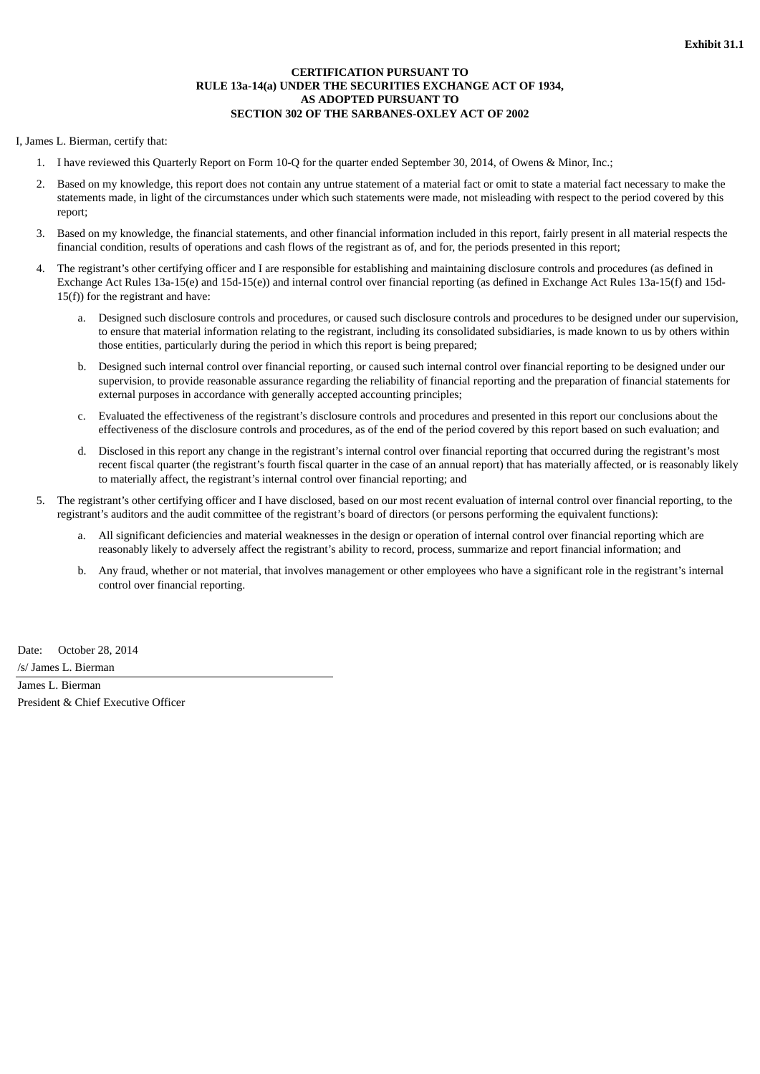# **CERTIFICATION PURSUANT TO RULE 13a-14(a) UNDER THE SECURITIES EXCHANGE ACT OF 1934, AS ADOPTED PURSUANT TO SECTION 302 OF THE SARBANES-OXLEY ACT OF 2002**

## I, James L. Bierman, certify that:

- 1. I have reviewed this Quarterly Report on Form 10-Q for the quarter ended September 30, 2014, of Owens & Minor, Inc.;
- 2. Based on my knowledge, this report does not contain any untrue statement of a material fact or omit to state a material fact necessary to make the statements made, in light of the circumstances under which such statements were made, not misleading with respect to the period covered by this report;
- 3. Based on my knowledge, the financial statements, and other financial information included in this report, fairly present in all material respects the financial condition, results of operations and cash flows of the registrant as of, and for, the periods presented in this report;
- 4. The registrant's other certifying officer and I are responsible for establishing and maintaining disclosure controls and procedures (as defined in Exchange Act Rules 13a-15(e) and 15d-15(e)) and internal control over financial reporting (as defined in Exchange Act Rules 13a-15(f) and 15d- $15(f)$ ) for the registrant and have:
	- a. Designed such disclosure controls and procedures, or caused such disclosure controls and procedures to be designed under our supervision, to ensure that material information relating to the registrant, including its consolidated subsidiaries, is made known to us by others within those entities, particularly during the period in which this report is being prepared;
	- b. Designed such internal control over financial reporting, or caused such internal control over financial reporting to be designed under our supervision, to provide reasonable assurance regarding the reliability of financial reporting and the preparation of financial statements for external purposes in accordance with generally accepted accounting principles;
	- c. Evaluated the effectiveness of the registrant's disclosure controls and procedures and presented in this report our conclusions about the effectiveness of the disclosure controls and procedures, as of the end of the period covered by this report based on such evaluation; and
	- d. Disclosed in this report any change in the registrant's internal control over financial reporting that occurred during the registrant's most recent fiscal quarter (the registrant's fourth fiscal quarter in the case of an annual report) that has materially affected, or is reasonably likely to materially affect, the registrant's internal control over financial reporting; and
- 5. The registrant's other certifying officer and I have disclosed, based on our most recent evaluation of internal control over financial reporting, to the registrant's auditors and the audit committee of the registrant's board of directors (or persons performing the equivalent functions):
	- a. All significant deficiencies and material weaknesses in the design or operation of internal control over financial reporting which are reasonably likely to adversely affect the registrant's ability to record, process, summarize and report financial information; and
	- b. Any fraud, whether or not material, that involves management or other employees who have a significant role in the registrant's internal control over financial reporting.

Date: October 28, 2014

/s/ James L. Bierman James L. Bierman President & Chief Executive Officer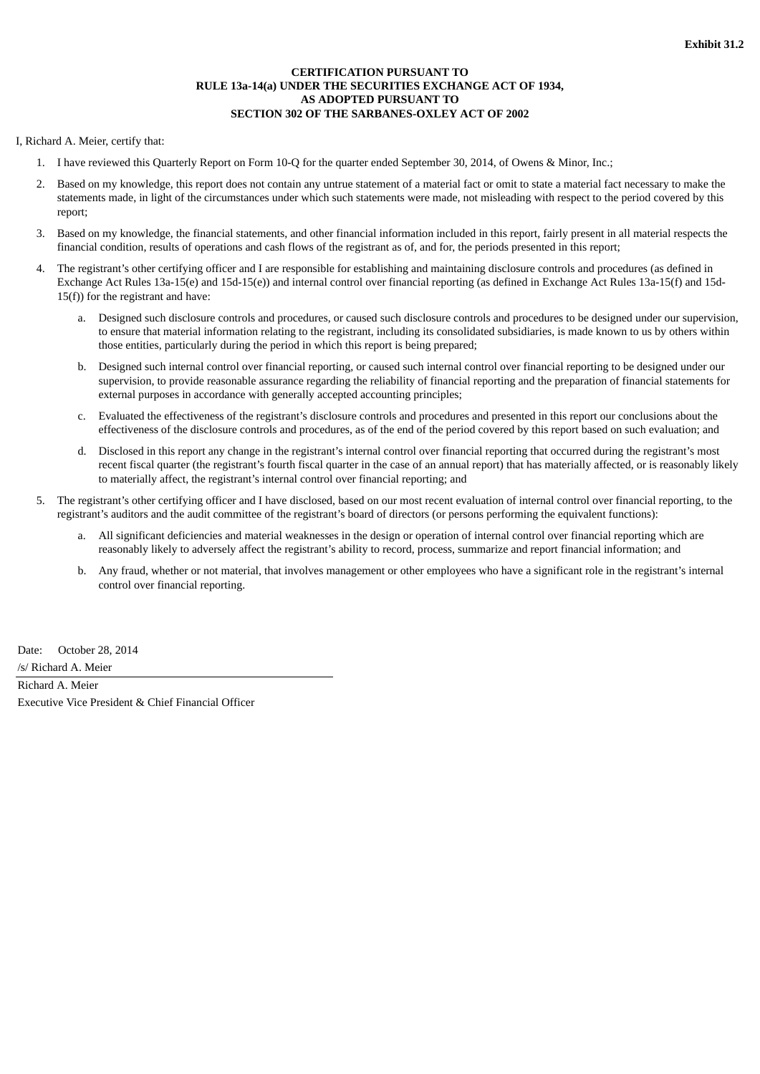# **CERTIFICATION PURSUANT TO RULE 13a-14(a) UNDER THE SECURITIES EXCHANGE ACT OF 1934, AS ADOPTED PURSUANT TO SECTION 302 OF THE SARBANES-OXLEY ACT OF 2002**

## I, Richard A. Meier, certify that:

- 1. I have reviewed this Quarterly Report on Form 10-Q for the quarter ended September 30, 2014, of Owens & Minor, Inc.;
- 2. Based on my knowledge, this report does not contain any untrue statement of a material fact or omit to state a material fact necessary to make the statements made, in light of the circumstances under which such statements were made, not misleading with respect to the period covered by this report;
- 3. Based on my knowledge, the financial statements, and other financial information included in this report, fairly present in all material respects the financial condition, results of operations and cash flows of the registrant as of, and for, the periods presented in this report;
- 4. The registrant's other certifying officer and I are responsible for establishing and maintaining disclosure controls and procedures (as defined in Exchange Act Rules 13a-15(e) and 15d-15(e)) and internal control over financial reporting (as defined in Exchange Act Rules 13a-15(f) and 15d- $15(f)$ ) for the registrant and have:
	- a. Designed such disclosure controls and procedures, or caused such disclosure controls and procedures to be designed under our supervision, to ensure that material information relating to the registrant, including its consolidated subsidiaries, is made known to us by others within those entities, particularly during the period in which this report is being prepared;
	- b. Designed such internal control over financial reporting, or caused such internal control over financial reporting to be designed under our supervision, to provide reasonable assurance regarding the reliability of financial reporting and the preparation of financial statements for external purposes in accordance with generally accepted accounting principles;
	- c. Evaluated the effectiveness of the registrant's disclosure controls and procedures and presented in this report our conclusions about the effectiveness of the disclosure controls and procedures, as of the end of the period covered by this report based on such evaluation; and
	- d. Disclosed in this report any change in the registrant's internal control over financial reporting that occurred during the registrant's most recent fiscal quarter (the registrant's fourth fiscal quarter in the case of an annual report) that has materially affected, or is reasonably likely to materially affect, the registrant's internal control over financial reporting; and
- 5. The registrant's other certifying officer and I have disclosed, based on our most recent evaluation of internal control over financial reporting, to the registrant's auditors and the audit committee of the registrant's board of directors (or persons performing the equivalent functions):
	- a. All significant deficiencies and material weaknesses in the design or operation of internal control over financial reporting which are reasonably likely to adversely affect the registrant's ability to record, process, summarize and report financial information; and
	- b. Any fraud, whether or not material, that involves management or other employees who have a significant role in the registrant's internal control over financial reporting.

Date: October 28, 2014 /s/ Richard A. Meier

Richard A. Meier Executive Vice President & Chief Financial Officer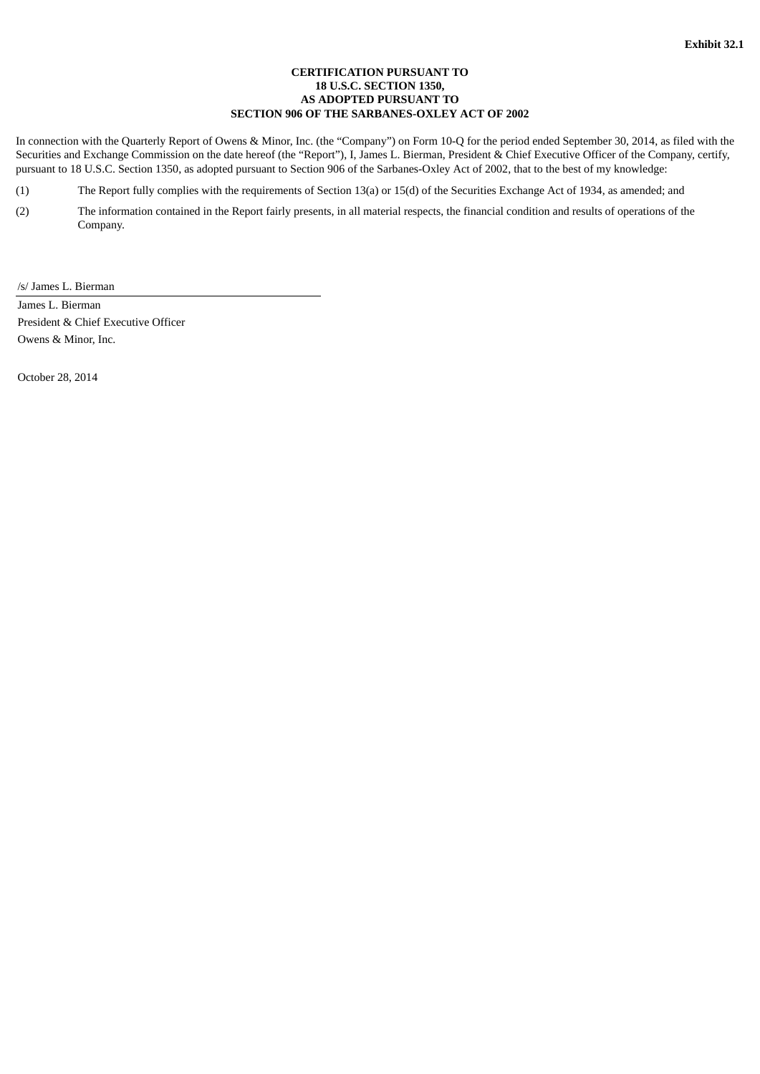## **CERTIFICATION PURSUANT TO 18 U.S.C. SECTION 1350, AS ADOPTED PURSUANT TO SECTION 906 OF THE SARBANES-OXLEY ACT OF 2002**

In connection with the Quarterly Report of Owens & Minor, Inc. (the "Company") on Form 10-Q for the period ended September 30, 2014, as filed with the Securities and Exchange Commission on the date hereof (the "Report"), I, James L. Bierman, President & Chief Executive Officer of the Company, certify, pursuant to 18 U.S.C. Section 1350, as adopted pursuant to Section 906 of the Sarbanes-Oxley Act of 2002, that to the best of my knowledge:

(1) The Report fully complies with the requirements of Section 13(a) or 15(d) of the Securities Exchange Act of 1934, as amended; and

(2) The information contained in the Report fairly presents, in all material respects, the financial condition and results of operations of the Company.

/s/ James L. Bierman

James L. Bierman President & Chief Executive Officer Owens & Minor, Inc.

October 28, 2014